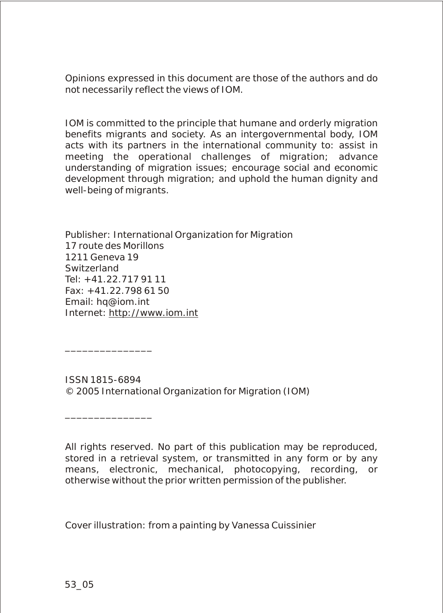Opinions expressed in this document are those of the authors and do not necessarily reflect the views of IOM.

IOM is committed to the principle that humane and orderly migration benefits migrants and society. As an intergovernmental body, IOM acts with its partners in the international community to: assist in meeting the operational challenges of migration; advance understanding of migration issues; encourage social and economic development through migration; and uphold the human dignity and well-being of migrants.

Publisher: International Organization for Migration 17 route des Morillons 1211 Geneva 19 Switzerland Tel: +41.22.717 91 11 Fax: +41.22.798 61 50 Email: hq@iom.int Internet: http://www.iom.int

ISSN 1815-6894 © 2005 International Organization for Migration (IOM)

All rights reserved. No part of this publication may be reproduced, stored in a retrieval system, or transmitted in any form or by any means, electronic, mechanical, photocopying, recording, or otherwise without the prior written permission of the publisher.

Cover illustration: from a painting by Vanessa Cuissinier

\_\_\_\_\_\_\_\_\_\_\_\_\_\_\_

\_\_\_\_\_\_\_\_\_\_\_\_\_\_\_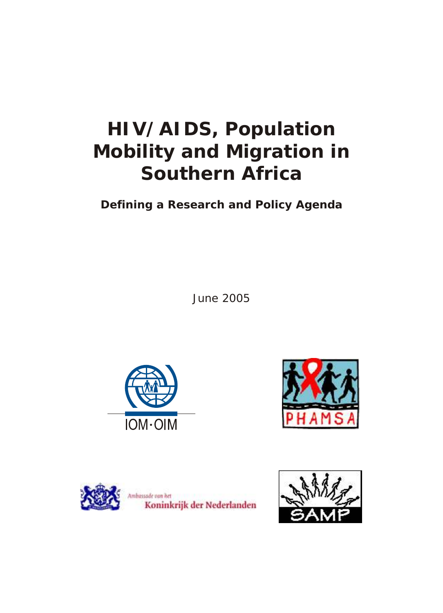# **HIV/AIDS, Population Mobility and Migration in Southern Africa**

**Defining a Research and Policy Agenda**

June 2005







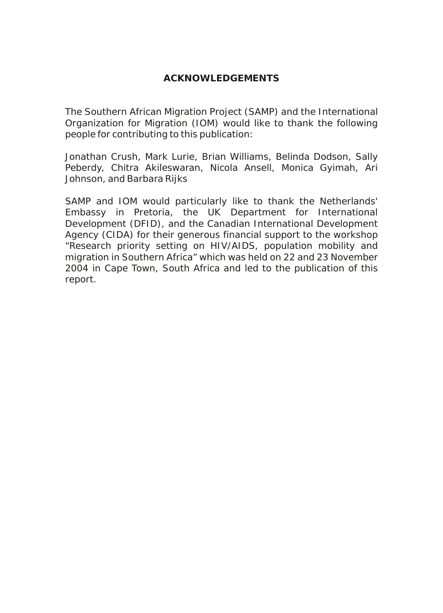The Southern African Migration Project (SAMP) and the International Organization for Migration (IOM) would like to thank the following people for contributing to this publication:

Jonathan Crush, Mark Lurie, Brian Williams, Belinda Dodson, Sally Peberdy, Chitra Akileswaran, Nicola Ansell, Monica Gyimah, Ari Johnson, and Barbara Rijks

SAMP and IOM would particularly like to thank the Netherlands' Embassy in Pretoria, the UK Department for International Development (DFID), and the Canadian International Development Agency (CIDA) for their generous financial support to the workshop "Research priority setting on HIV/AIDS, population mobility and migration in Southern Africa" which was held on 22 and 23 November 2004 in Cape Town, South Africa and led to the publication of this report.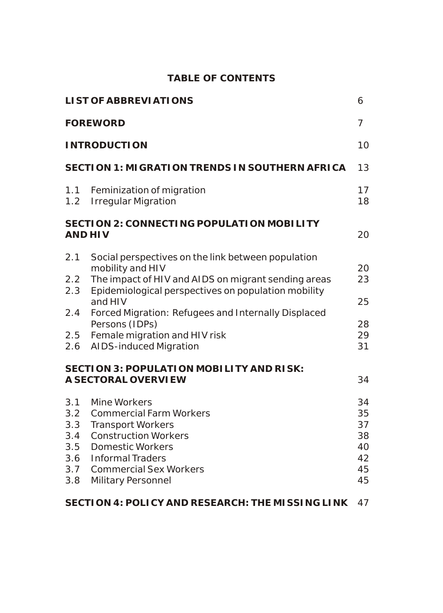### **TABLE OF CONTENTS**

|                                                      | LI ST OF ABBREVI ATIONS                                                                                                                                                                                                                                                                                                                                                                                       | 6                                            |  |
|------------------------------------------------------|---------------------------------------------------------------------------------------------------------------------------------------------------------------------------------------------------------------------------------------------------------------------------------------------------------------------------------------------------------------------------------------------------------------|----------------------------------------------|--|
| <b>FOREWORD</b>                                      |                                                                                                                                                                                                                                                                                                                                                                                                               |                                              |  |
| <b>INTRODUCTION</b><br>10                            |                                                                                                                                                                                                                                                                                                                                                                                                               |                                              |  |
| SECTION 1: MIGRATION TRENDS IN SOUTHERN AFRICA       |                                                                                                                                                                                                                                                                                                                                                                                                               |                                              |  |
| 1.1<br>1.2                                           | Feminization of migration<br><b>Irregular Migration</b>                                                                                                                                                                                                                                                                                                                                                       | 17<br>18                                     |  |
| SECTION 2: CONNECTING POPULATION MOBILITY<br>AND HIV |                                                                                                                                                                                                                                                                                                                                                                                                               |                                              |  |
| 2.1<br>2.2<br>2.3<br>2.4<br>2.5<br>2.6               | Social perspectives on the link between population<br>mobility and HIV<br>The impact of HIV and AIDS on migrant sending areas<br>Epidemiological perspectives on population mobility<br>and HIV<br>Forced Migration: Refugees and Internally Displaced<br>Persons (IDPs)<br>Female migration and HIV risk<br><b>AIDS-induced Migration</b><br>SECTION 3: POPULATION MOBILITY AND RISK:<br>A SECTORAL OVERVIEW | 20<br>23<br>25<br>28<br>29<br>31<br>34       |  |
| 3.1<br>3.2<br>3.3<br>3.4<br>3.5<br>3.6<br>3.7<br>3.8 | Mine Workers<br><b>Commercial Farm Workers</b><br><b>Transport Workers</b><br><b>Construction Workers</b><br><b>Domestic Workers</b><br><b>Informal Traders</b><br><b>Commercial Sex Workers</b><br>Military Personnel                                                                                                                                                                                        | 34<br>35<br>37<br>38<br>40<br>42<br>45<br>45 |  |
|                                                      |                                                                                                                                                                                                                                                                                                                                                                                                               |                                              |  |

**SECTION 4: POLICY AND RESEARCH: THE MISSING LINK** 47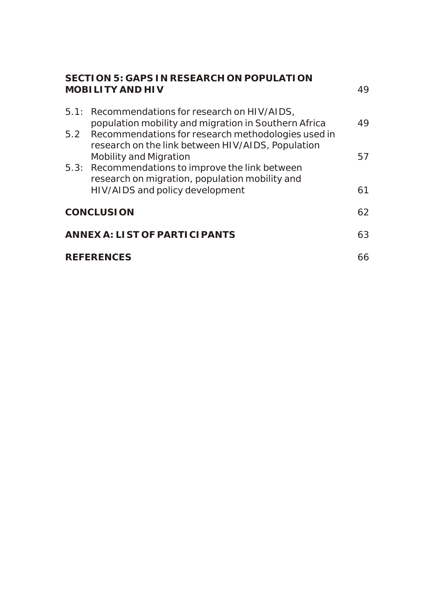| SECTION 5: GAPS IN RESEARCH ON POPULATION<br>MOBILITY AND HIV |                                                                                                         |    |
|---------------------------------------------------------------|---------------------------------------------------------------------------------------------------------|----|
| 5.1:                                                          | Recommendations for research on HIV/AIDS,<br>population mobility and migration in Southern Africa       | 49 |
| 5.2                                                           | Recommendations for research methodologies used in<br>research on the link between HIV/AIDS, Population |    |
|                                                               | Mobility and Migration<br>5.3: Recommendations to improve the link between                              | 57 |
|                                                               | research on migration, population mobility and<br>HIV/AIDS and policy development                       | 61 |
| <b>CONCLUSION</b>                                             |                                                                                                         | 62 |
| ANNEX A: LIST OF PARTICIPANTS                                 |                                                                                                         | 63 |
| <b>REFERENCES</b>                                             |                                                                                                         |    |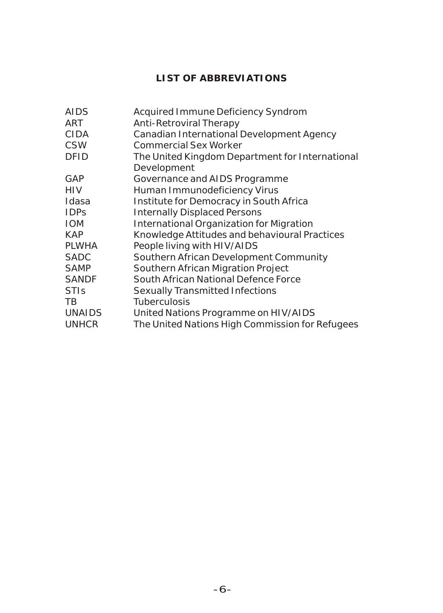## **LIST OF ABBREVIATIONS**

| <b>AIDS</b>   | Acquired Immune Deficiency Syndrom              |
|---------------|-------------------------------------------------|
| ART           | Anti-Retroviral Therapy                         |
| <b>CIDA</b>   | Canadian International Development Agency       |
| <b>CSW</b>    | <b>Commercial Sex Worker</b>                    |
| <b>DFID</b>   | The United Kingdom Department for International |
|               | Development                                     |
| GAP           | Governance and AIDS Programme                   |
| HIV           | Human Immunodeficiency Virus                    |
| Idasa         | Institute for Democracy in South Africa         |
| <b>IDPS</b>   | <b>Internally Displaced Persons</b>             |
| <b>IOM</b>    | International Organization for Migration        |
| <b>KAP</b>    | Knowledge Attitudes and behavioural Practices   |
| <b>PLWHA</b>  | People living with HIV/AIDS                     |
| <b>SADC</b>   | Southern African Development Community          |
| <b>SAMP</b>   | Southern African Migration Project              |
| <b>SANDF</b>  | South African National Defence Force            |
| <b>STIs</b>   | Sexually Transmitted Infections                 |
| TB.           | Tuberculosis                                    |
| <b>UNAIDS</b> | United Nations Programme on HIV/AIDS            |
| <b>UNHCR</b>  | The United Nations High Commission for Refugees |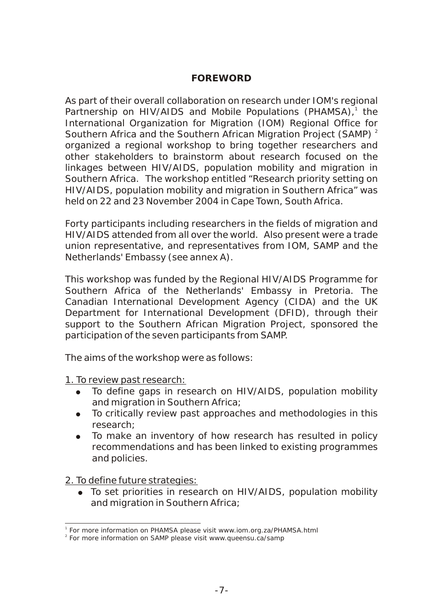#### **FOREWORD**

As part of their overall collaboration on research under IOM's regional Partnership on HIV/AIDS and Mobile Populations (PHAMSA),<sup>1</sup> the International Organization for Migration (IOM) Regional Office for Southern Africa and the Southern African Migration Project (SAMP)<sup>2</sup> organized a regional workshop to bring together researchers and other stakeholders to brainstorm about research focused on the linkages between HIV/AIDS, population mobility and migration in Southern Africa. The workshop entitled "Research priority setting on HIV/AIDS, population mobility and migration in Southern Africa" was held on 22 and 23 November 2004 in Cape Town, South Africa.

Forty participants including researchers in the fields of migration and HIV/AIDS attended from all over the world. Also present were a trade union representative, and representatives from IOM, SAMP and the Netherlands' Embassy (see annex A).

This workshop was funded by the Regional HIV/AIDS Programme for Southern Africa of the Netherlands' Embassy in Pretoria. The Canadian International Development Agency (CIDA) and the UK Department for International Development (DFID), through their support to the Southern African Migration Project, sponsored the participation of the seven participants from SAMP.

The aims of the workshop were as follows:

1. To review past research:

- To define gaps in research on HIV/AIDS, population mobility and migration in Southern Africa;
- To critically review past approaches and methodologies in this research;
- To make an inventory of how research has resulted in policy recommendations and has been linked to existing programmes and policies.

2. To define future strategies:

• To set priorities in research on HIV/AIDS, population mobility and migration in Southern Africa;

<sup>&</sup>lt;sup>1</sup> For more information on PHAMSA please visit www.iom.org.za/PHAMSA.html

<sup>&</sup>lt;sup>2</sup> For more information on SAMP please visit www.queensu.ca/samp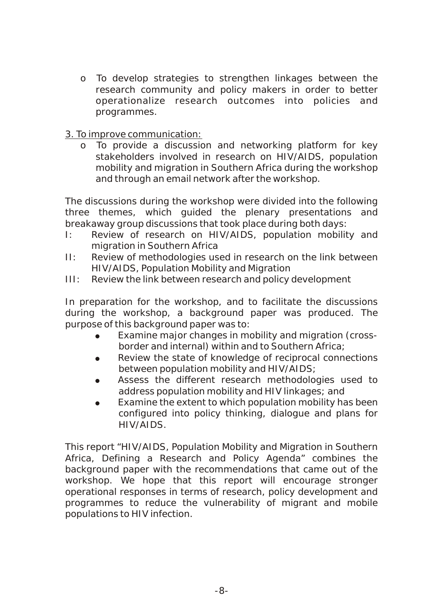o To develop strategies to strengthen linkages between the research community and policy makers in order to better operationalize research outcomes into policies and programmes.

#### 3. To improve communication:

o To provide a discussion and networking platform for key stakeholders involved in research on HIV/AIDS, population mobility and migration in Southern Africa during the workshop and through an email network after the workshop.

The discussions during the workshop were divided into the following three themes, which guided the plenary presentations and breakaway group discussions that took place during both days:

- I: Review of research on HIV/AIDS, population mobility and migration in Southern Africa
- II: Review of methodologies used in research on the link between HIV/AIDS, Population Mobility and Migration
- III: Review the link between research and policy development

In preparation for the workshop, and to facilitate the discussions during the workshop, a background paper was produced. The purpose of this background paper was to:

- Examine major changes in mobility and migration (crossborder and internal) within and to Southern Africa;
- Review the state of knowledge of reciprocal connections between population mobility and HIV/AIDS;
- Assess the different research methodologies used to address population mobility and HIV linkages; and
- Examine the extent to which population mobility has been configured into policy thinking, dialogue and plans for HIV/AIDS.

This report "HIV/AIDS, Population Mobility and Migration in Southern Africa, Defining a Research and Policy Agenda" combines the background paper with the recommendations that came out of the workshop. We hope that this report will encourage stronger operational responses in terms of research, policy development and programmes to reduce the vulnerability of migrant and mobile populations to HIV infection.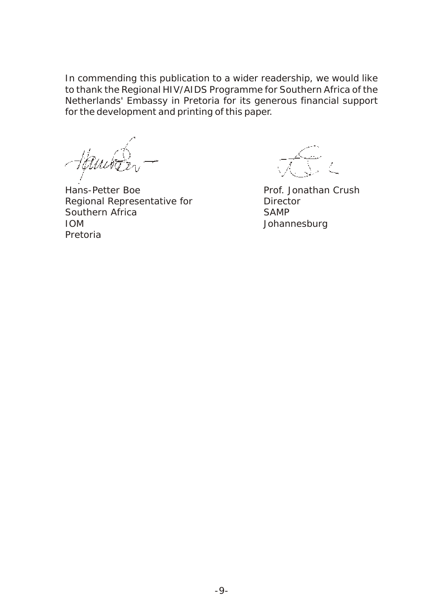In commending this publication to a wider readership, we would like to thank the Regional HIV/AIDS Programme for Southern Africa of the Netherlands' Embassy in Pretoria for its generous financial support for the development and printing of this paper.

Hans-Petter Boe **Prof.** Jonathan Crush Regional Representative for **Director** Southern Africa SAMP IOM Johannesburg Pretoria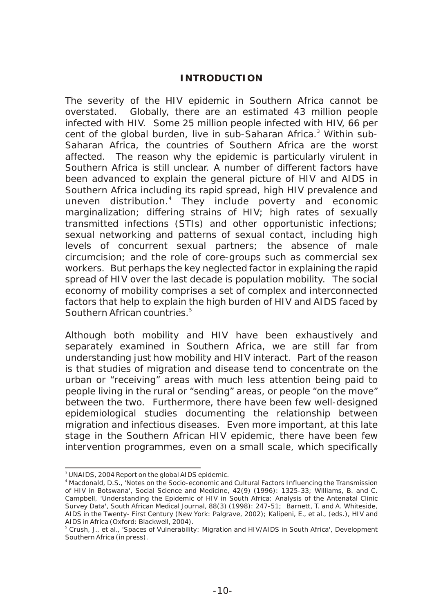#### **INTRODUCTION**

The severity of the HIV epidemic in Southern Africa cannot be overstated. Globally, there are an estimated 43 million people infected with HIV. Some 25 million people infected with HIV, 66 per cent of the global burden, live in sub-Saharan Africa.<sup>3</sup> Within sub-Saharan Africa, the countries of Southern Africa are the worst affected. The reason why the epidemic is particularly virulent in Southern Africa is still unclear. A number of different factors have been advanced to explain the general picture of HIV and AIDS in Southern Africa including its rapid spread, high HIV prevalence and uneven distribution.<sup>4</sup> They include poverty and economic marginalization; differing strains of HIV; high rates of sexually transmitted infections (STIs) and other opportunistic infections; sexual networking and patterns of sexual contact, including high levels of concurrent sexual partners; the absence of male circumcision; and the role of core-groups such as commercial sex workers. But perhaps the key neglected factor in explaining the rapid spread of HIV over the last decade is population mobility. The social economy of mobility comprises a set of complex and interconnected factors that help to explain the high burden of HIV and AIDS faced by <sup>5</sup> Southern African countries.

Although both mobility and HIV have been exhaustively and separately examined in Southern Africa, we are still far from understanding just how mobility and HIV interact. Part of the reason is that studies of migration and disease tend to concentrate on the urban or "receiving" areas with much less attention being paid to people living in the rural or "sending" areas, or people "on the move" between the two. Furthermore, there have been few well-designed epidemiological studies documenting the relationship between migration and infectious diseases. Even more important, at this late stage in the Southern African HIV epidemic, there have been few intervention programmes, even on a small scale, which specifically

<sup>&</sup>lt;sup>3</sup> UNAIDS, 2004 Report on the global AIDS epidemic.

<sup>4</sup> Macdonald, D.S., 'Notes on the Socio-economic and Cultural Factors Influencing the Transmission of HIV in Botswana', *Social Science and Medicine*, 42(9) (1996): 1325-33; Williams, B. and C. Campbell, 'Understanding the Epidemic of HIV in South Africa: Analysis of the Antenatal Clinic Survey Data', *South African Medical Journal,* 88(3) (1998): 247-51; Barnett, T. and A. Whiteside, *AIDS in the Twenty- First Century* (New York: Palgrave, 2002); Kalipeni, E., et al., (eds.), *HIV and AIDS in Africa* (Oxford: Blackwell, 2004).

<sup>5</sup> Crush, J., et al., 'Spaces of Vulnerability: Migration and HIV/AIDS in South Africa', *Development Southern Africa* (in press).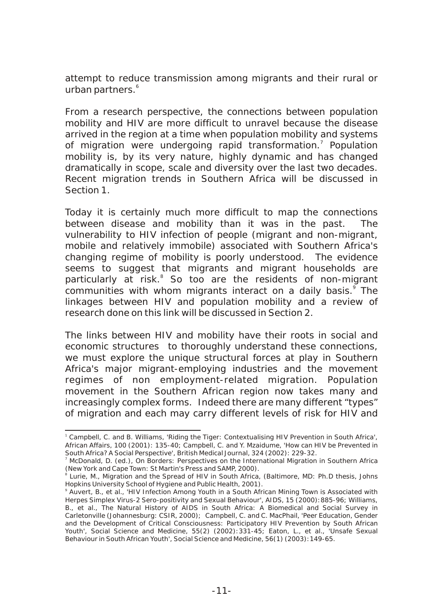attempt to reduce transmission among migrants and their rural or urban partners.<sup>6</sup>

From a research perspective, the connections between population mobility and HIV are more difficult to unravel because the disease arrived in the region at a time when population mobility and systems of migration were undergoing rapid transformation.<sup>7</sup> Population mobility is, by its very nature, highly dynamic and has changed dramatically in scope, scale and diversity over the last two decades. Recent migration trends in Southern Africa will be discussed in Section 1.

Today it is certainly much more difficult to map the connections between disease and mobility than it was in the past. The vulnerability to HIV infection of people (migrant and non-migrant, mobile and relatively immobile) associated with Southern Africa's changing regime of mobility is poorly understood. The evidence seems to suggest that migrants and migrant households are particularly at risk.<sup>8</sup> So too are the residents of non-migrant communities with whom migrants interact on a daily basis.<sup>9</sup> The linkages between HIV and population mobility and a review of research done on this link will be discussed in Section 2.

The links between HIV and mobility have their roots in social and economic structures to thoroughly understand these connections, we must explore the unique structural forces at play in Southern Africa's major migrant-employing industries and the movement regimes of non employment-related migration. Population movement in the Southern African region now takes many and increasingly complex forms. Indeed there are many different "types" of migration and each may carry different levels of risk for HIV and

<sup>&</sup>lt;sup>1</sup> Campbell, C. and B. Williams, 'Riding the Tiger: Contextualising HIV Prevention in South Africa', *African Affairs*, 100 (2001): 135-40; Campbell, C. and Y. Mzaidume, 'How can HIV be Prevented in South Africa? A Social Perspective', British Medical Journal, 324 (2002): 229-32.

<sup>7</sup> McDonald, D. (ed.), *On Borders: Perspectives on the International Migration in Southern Africa* (New York and Cape Town: St Martin's Press and SAMP, 2000).

<sup>&</sup>lt;sup>8</sup> Lurie, M., *Migration and the Spread of HIV in South Africa*, (Baltimore, MD: Ph.D thesis, Johns Hopkins University School of Hygiene and Public Health, 2001).

<sup>9</sup> Auvert, B., et al., 'HIV Infection Among Youth in a South African Mining Town is Associated with Herpes Simplex Virus-2 Sero-positivity and Sexual Behaviour', AIDS, 15 (2000):885-96; Williams, B., et al., *The Natural History of AIDS in South Africa: A Biomedical and Social Survey in Carletonville* (Johannesburg: CSIR, 2000); Campbell, C. and C. MacPhail, 'Peer Education, Gender and the Development of Critical Consciousness: Participatory HIV Prevention by South African Youth', *Social Science and Medicine*, 55(2) (2002):331-45; Eaton, L., et al., 'Unsafe Sexual Behaviour in South African Youth', *Social Science and Medicine*, 56(1) (2003):149-65.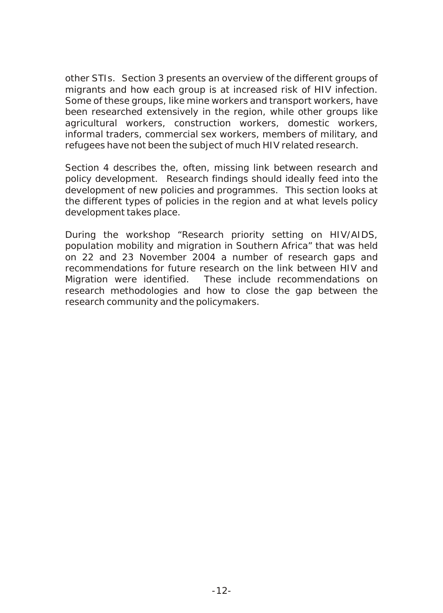other STIs. Section 3 presents an overview of the different groups of migrants and how each group is at increased risk of HIV infection. Some of these groups, like mine workers and transport workers, have been researched extensively in the region, while other groups like agricultural workers, construction workers, domestic workers, informal traders, commercial sex workers, members of military, and refugees have not been the subject of much HIV related research.

Section 4 describes the, often, missing link between research and policy development. Research findings should ideally feed into the development of new policies and programmes. This section looks at the different types of policies in the region and at what levels policy development takes place.

During the workshop "Research priority setting on HIV/AIDS, population mobility and migration in Southern Africa" that was held on 22 and 23 November 2004 a number of research gaps and recommendations for future research on the link between HIV and Migration were identified. These include recommendations on research methodologies and how to close the gap between the research community and the policymakers.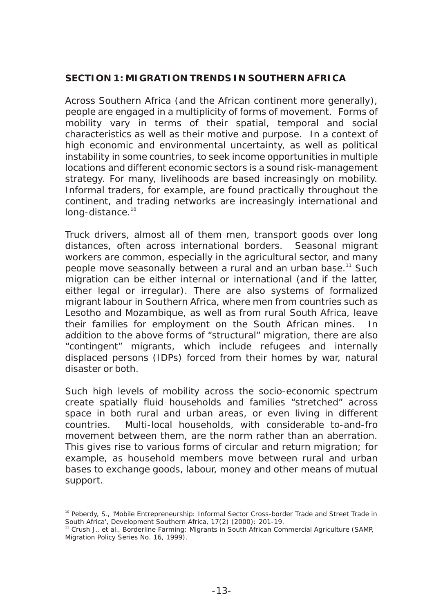#### **SECTION 1: MIGRATION TRENDS IN SOUTHERN AFRICA**

Across Southern Africa (and the African continent more generally), people are engaged in a multiplicity of forms of movement. Forms of mobility vary in terms of their spatial, temporal and social characteristics as well as their motive and purpose. In a context of high economic and environmental uncertainty, as well as political instability in some countries, to seek income opportunities in multiple locations and different economic sectors is a sound risk-management strategy. For many, livelihoods are based increasingly on mobility. Informal traders, for example, are found practically throughout the continent, and trading networks are increasingly international and long-distance.<sup>10</sup>

Truck drivers, almost all of them men, transport goods over long distances, often across international borders. Seasonal migrant workers are common, especially in the agricultural sector, and many people move seasonally between a rural and an urban base.<sup>11</sup> Such migration can be either internal or international (and if the latter, either legal or irregular). There are also systems of formalized migrant labour in Southern Africa, where men from countries such as Lesotho and Mozambique, as well as from rural South Africa, leave their families for employment on the South African mines. In addition to the above forms of "structural" migration, there are also "contingent" migrants, which include refugees and internally displaced persons (IDPs) forced from their homes by war, natural disaster or both.

Such high levels of mobility across the socio-economic spectrum create spatially fluid households and families "stretched" across space in both rural and urban areas, or even living in different countries. Multi-local households, with considerable to-and-fro movement between them, are the norm rather than an aberration. This gives rise to various forms of circular and return migration; for example, as household members move between rural and urban bases to exchange goods, labour, money and other means of mutual support.

<sup>&</sup>lt;sup>10</sup> Peberdy, S., 'Mobile Entrepreneurship: Informal Sector Cross-border Trade and Street Trade in South Africa', *Development Southern Africa*, 17(2) (2000): 201-19.

<sup>11</sup> Crush J., et al., *Borderline Farming: Migrants in South African Commercial Agriculture* (SAMP, Migration Policy Series No. 16, 1999).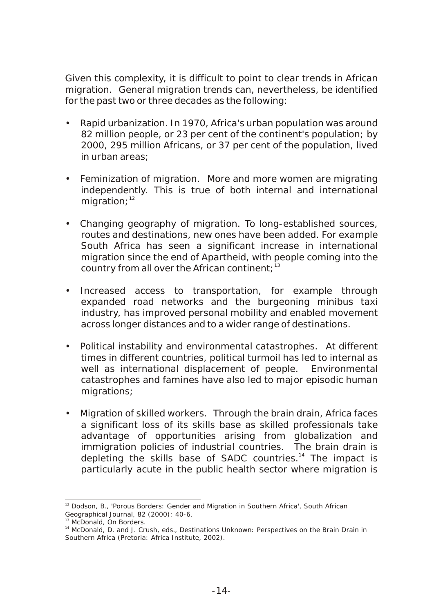Given this complexity, it is difficult to point to clear trends in African migration. General migration trends can, nevertheless, be identified for the past two or three decades as the following:

- Rapid urbanization. In 1970, Africa's urban population was around 82 million people, or 23 per cent of the continent's population; by 2000, 295 million Africans, or 37 per cent of the population, lived in urban areas;
- Feminization of migration. More and more women are migrating independently. This is true of both internal and international migration; $12$
- Changing geography of migration. To long-established sources, routes and destinations, new ones have been added. For example South Africa has seen a significant increase in international migration since the end of Apartheid, with people coming into the country from all over the African continent;  $13$
- Increased access to transportation, for example through expanded road networks and the burgeoning minibus taxi industry, has improved personal mobility and enabled movement across longer distances and to a wider range of destinations.
- Political instability and environmental catastrophes. At different times in different countries, political turmoil has led to internal as well as international displacement of people. Environmental catastrophes and famines have also led to major episodic human migrations;
- Migration of skilled workers. Through the brain drain, Africa faces a significant loss of its skills base as skilled professionals take advantage of opportunities arising from globalization and immigration policies of industrial countries. The brain drain is depleting the skills base of SADC countries.<sup>14</sup> The impact is particularly acute in the public health sector where migration is

<sup>12</sup> Dodson, B., 'Porous Borders: Gender and Migration in Southern Africa', *South African Geographical Journal*, 82 (2000): 40-6.

<sup>13</sup> McDonald, *On Borders*.

<sup>&</sup>lt;sup>14</sup> McDonald, D. and J. Crush, eds., *Destinations Unknown: Perspectives on the Brain Drain in Southern Africa* (Pretoria: Africa Institute, 2002).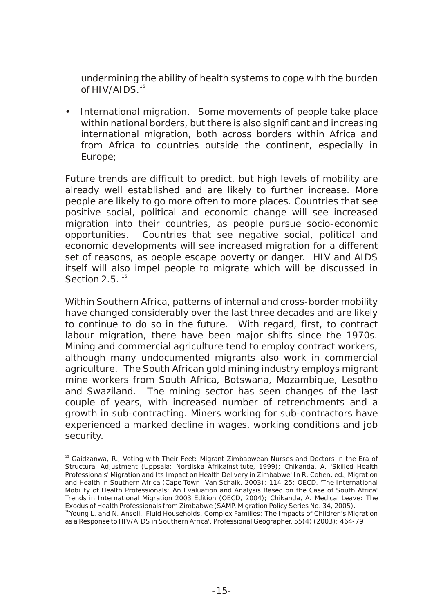undermining the ability of health systems to cope with the burden of  $HIV/AIDS$ .<sup>15</sup>

• International migration. Some movements of people take place within national borders, but there is also significant and increasing international migration, both across borders within Africa and from Africa to countries outside the continent, especially in Europe;

Future trends are difficult to predict, but high levels of mobility are already well established and are likely to further increase. More people are likely to go more often to more places. Countries that see positive social, political and economic change will see increased migration into their countries, as people pursue socio-economic opportunities. Countries that see negative social, political and economic developments will see increased migration for a different set of reasons, as people escape poverty or danger. HIV and AIDS itself will also impel people to migrate which will be discussed in Section  $2.5$ <sup>16</sup>

Within Southern Africa, patterns of internal and cross-border mobility have changed considerably over the last three decades and are likely to continue to do so in the future. With regard, first, to contract labour migration, there have been major shifts since the 1970s. Mining and commercial agriculture tend to employ contract workers, although many undocumented migrants also work in commercial agriculture. The South African gold mining industry employs migrant mine workers from South Africa, Botswana, Mozambique, Lesotho and Swaziland. The mining sector has seen changes of the last couple of years, with increased number of retrenchments and a growth in sub-contracting. Miners working for sub-contractors have experienced a marked decline in wages, working conditions and job security.

<sup>&</sup>lt;sup>15</sup> Gaidzanwa, R., Voting with Their Feet: Migrant Zimbabwean Nurses and Doctors in the Era of Structural Adjustment (Uppsala: Nordiska Afrikainstitute, 1999); Chikanda, A. 'Skilled Health Professionals' Migration and Its Impact on Health Delivery in Zimbabwe' In R. Cohen, ed., Migration and Health in Southern Africa (Cape Town: Van Schaik, 2003): 114-25; OECD, 'The International Mobility of Health Professionals: An Evaluation and Analysis Based on the Case of South Africa' Trends in International Migration 2003 Edition (OECD, 2004); Chikanda, A. Medical Leave: The Exodus of Health Professionals from Zimbabwe (SAMP, Migration Policy Series No. 34, 2005). <sup>16</sup>Young L. and N. Ansell, 'Fluid Households, Complex Families: The Impacts of Children's Migration as a Response to HIV/AIDS in Southern Africa', Professional Geographer, 55(4) (2003): 464-79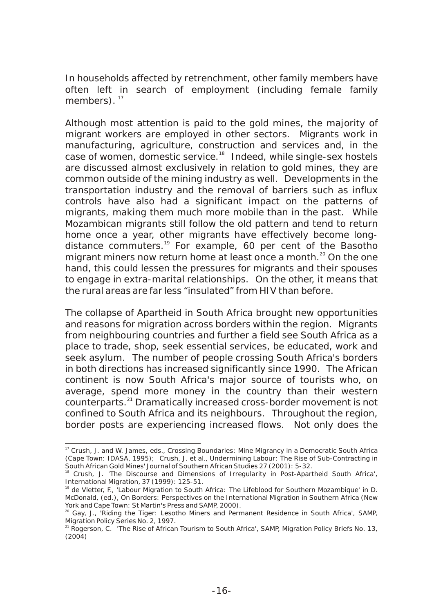In households affected by retrenchment, other family members have often left in search of employment (including female family members).  $17$ 

Although most attention is paid to the gold mines, the majority of migrant workers are employed in other sectors. Migrants work in manufacturing, agriculture, construction and services and, in the case of women, domestic service.<sup>18</sup> Indeed, while single-sex hostels are discussed almost exclusively in relation to gold mines, they are common outside of the mining industry as well. Developments in the transportation industry and the removal of barriers such as influx controls have also had a significant impact on the patterns of migrants, making them much more mobile than in the past. While Mozambican migrants still follow the old pattern and tend to return home once a year, other migrants have effectively become longdistance commuters.<sup>19</sup> For example, 60 per cent of the Basotho migrant miners now return home at least once a month. $20$  On the one hand, this could lessen the pressures for migrants and their spouses to engage in extra-marital relationships. On the other, it means that the rural areas are far less "insulated" from HIV than before.

The collapse of Apartheid in South Africa brought new opportunities and reasons for migration across borders within the region. Migrants from neighbouring countries and further a field see South Africa as a place to trade, shop, seek essential services, be educated, work and seek asylum. The number of people crossing South Africa's borders in both directions has increased significantly since 1990. The African continent is now South Africa's major source of tourists who, on average, spend more money in the country than their western counterparts.<sup>21</sup> Dramatically increased cross-border movement is not confined to South Africa and its neighbours. Throughout the region, border posts are experiencing increased flows. Not only does the

<sup>17</sup> Crush, J. and W. James, eds., *Crossing Boundaries: Mine Migrancy in a Democratic South Africa* (Cape Town: IDASA, 1995); Crush, J. et al., Undermining Labour: The Rise of Sub-Contracting in South African Gold Mines' *Journal of Southern African Studies* 27 (2001): 5-32.

<sup>&</sup>lt;sup>8</sup> Crush, J. 'The Discourse and Dimensions of Irregularity in Post-Apartheid South Africa', *International Migration*, 37 (1999): 125-51.

<sup>&</sup>lt;sup>19</sup> de Vletter, F., Labour Migration to South Africa: The Lifeblood for Southern Mozambique' in D. McDonald, (ed.), *On Borders: Perspectives on the International Migration in Southern Africa* (New York and Cape Town: St Martin's Press and SAMP, 2000).

<sup>&</sup>lt;sup>20</sup> Gay, J., 'Riding the Tiger: Lesotho Miners and Permanent Residence in South Africa'. SAMP. Migration Policy Series No. 2, 1997.

 $21$  Rogerson, C. The Rise of African Tourism to South Africa', SAMP, Migration Policy Briefs No. 13, (2004)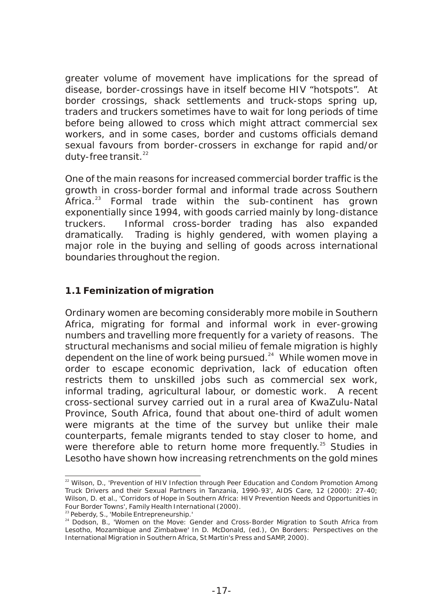greater volume of movement have implications for the spread of disease, border-crossings have in itself become HIV "hotspots". At border crossings, shack settlements and truck-stops spring up, traders and truckers sometimes have to wait for long periods of time before being allowed to cross which might attract commercial sex workers, and in some cases, border and customs officials demand sexual favours from border-crossers in exchange for rapid and/or duty-free transit. $22$ 

One of the main reasons for increased commercial border traffic is the growth in cross-border formal and informal trade across Southern Africa.<sup>23</sup> Formal trade within the sub-continent has grown exponentially since 1994, with goods carried mainly by long-distance truckers. Informal cross-border trading has also expanded dramatically. Trading is highly gendered, with women playing a major role in the buying and selling of goods across international boundaries throughout the region.

#### **1.1 Feminization of migration**

Ordinary women are becoming considerably more mobile in Southern Africa, migrating for formal and informal work in ever-growing numbers and travelling more frequently for a variety of reasons. The structural mechanisms and social milieu of female migration is highly dependent on the line of work being pursued. $24$  While women move in order to escape economic deprivation, lack of education often restricts them to unskilled jobs such as commercial sex work, informal trading, agricultural labour, or domestic work. A recent cross-sectional survey carried out in a rural area of KwaZulu-Natal Province, South Africa, found that about one-third of adult women were migrants at the time of the survey but unlike their male counterparts, female migrants tended to stay closer to home, and were therefore able to return home more frequently.<sup>25</sup> Studies in Lesotho have shown how increasing retrenchments on the gold mines

<sup>&</sup>lt;sup>22</sup> Wilson, D., 'Prevention of HIV Infection through Peer Education and Condom Promotion Among Truck Drivers and their Sexual Partners in Tanzania, 1990-93', *AIDS Care*, 12 (2000): 27-40; Wilson, D. et al., 'Corridors of Hope in Southern Africa: HIV Prevention Needs and Opportunities in Four Border Towns', Family Health International (2000).

<sup>&</sup>lt;sup>23</sup> Peberdy, S., 'Mobile Entrepreneurship.'

<sup>&</sup>lt;sup>24</sup> Dodson, B., 'Women on the Move: Gender and Cross-Border Migration to South Africa from Lesotho, Mozambique and Zimbabwe' In D. McDonald, (ed.), On Borders: *Perspectives on the International Migration in Southern Africa*, St Martin's Press and SAMP, 2000).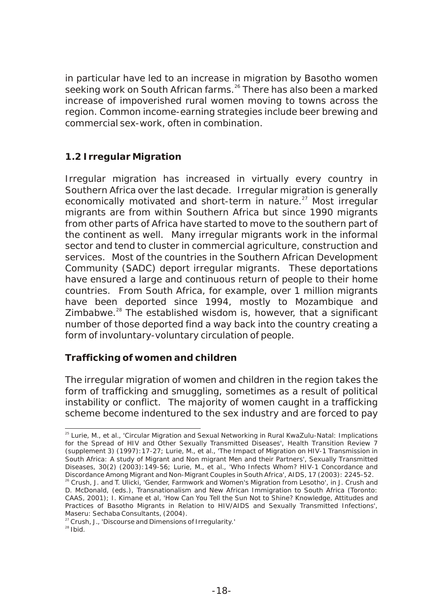in particular have led to an increase in migration by Basotho women seeking work on South African farms.<sup>26</sup> There has also been a marked increase of impoverished rural women moving to towns across the region. Common income-earning strategies include beer brewing and commercial sex-work, often in combination.

#### **1.2 Irregular Migration**

Irregular migration has increased in virtually every country in Southern Africa over the last decade. Irregular migration is generally economically motivated and short-term in nature. $^{27}$  Most irregular migrants are from within Southern Africa but since 1990 migrants from other parts of Africa have started to move to the southern part of the continent as well. Many irregular migrants work in the informal sector and tend to cluster in commercial agriculture, construction and services. Most of the countries in the Southern African Development Community (SADC) deport irregular migrants. These deportations have ensured a large and continuous return of people to their home countries. From South Africa, for example, over 1 million migrants have been deported since 1994, mostly to Mozambique and Zimbabwe. $^{28}$  The established wisdom is, however, that a significant number of those deported find a way back into the country creating a form of involuntary-voluntary circulation of people.

#### *Trafficking of women and children*

The irregular migration of women and children in the region takes the form of trafficking and smuggling, sometimes as a result of political instability or conflict. The majority of women caught in a trafficking scheme become indentured to the sex industry and are forced to pay

<sup>&</sup>lt;sup>25</sup> Lurie, M., et al., 'Circular Migration and Sexual Networking in Rural KwaZulu-Natal: Implications for the Spread of HIV and Other Sexually Transmitted Diseases', *Health Transition Review* 7 (supplement 3) (1997):17-27; Lurie, M., et al., 'The Impact of Migration on HIV-1 Transmission in South Africa: A study of Migrant and Non migrant Men and their Partners', *Sexually Transmitted Diseases*, 30(2) (2003):149-56; Lurie, M., et al., 'Who Infects Whom? HIV-1 Concordance and Discordance Among Migrant and Non-Migrant Couples in South Africa', AIDS, 17 (2003): 2245-52.

 $^{\circ}$  Crush, J. and T. Ulicki, 'Gender, Farmwork and Women's Migration from Lesotho', in J. Crush and D. McDonald, (eds.), Transnationalism and New African Immigration to South Africa (Toronto: CAAS, 2001); I. Kimane et al, 'How Can You Tell the Sun Not to Shine? Knowledge, Attitudes and Practices of Basotho Migrants in Relation to HIV/AIDS and Sexually Transmitted Infections', Maseru: Sechaba Consultants, (2004).

<sup>27</sup> Crush, J., 'Discourse and Dimensions of Irregularity.'

 $28$  Ibid.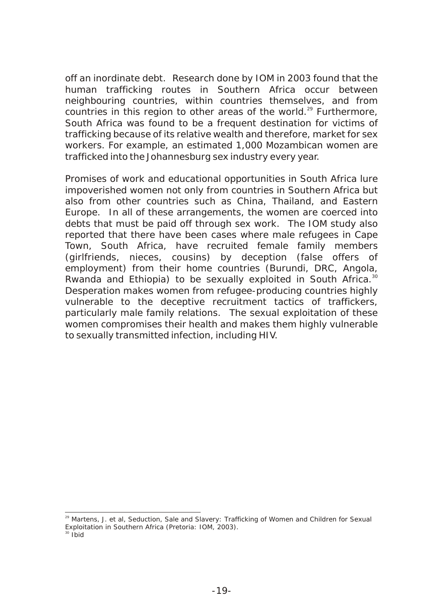off an inordinate debt. Research done by IOM in 2003 found that the human trafficking routes in Southern Africa occur between neighbouring countries, within countries themselves, and from countries in this region to other areas of the world. $29$  Furthermore, South Africa was found to be a frequent destination for victims of trafficking because of its relative wealth and therefore, market for sex workers. For example, an estimated 1,000 Mozambican women are trafficked into the Johannesburg sex industry every year.

Promises of work and educational opportunities in South Africa lure impoverished women not only from countries in Southern Africa but also from other countries such as China, Thailand, and Eastern Europe. In all of these arrangements, the women are coerced into debts that must be paid off through sex work. The IOM study also reported that there have been cases where male refugees in Cape Town, South Africa, have recruited female family members (girlfriends, nieces, cousins) by deception (false offers of employment) from their home countries (Burundi, DRC, Angola, Rwanda and Ethiopia) to be sexually exploited in South Africa.<sup>30</sup> Desperation makes women from refugee-producing countries highly vulnerable to the deceptive recruitment tactics of traffickers, particularly male family relations. The sexual exploitation of these women compromises their health and makes them highly vulnerable to sexually transmitted infection, including HIV.

<sup>29</sup> Martens, J. et al, *Seduction, Sale and Slavery: Trafficking of Women and Children for Sexual Exploitation in Southern Africa* (Pretoria: IOM, 2003).

 $30$  Ibid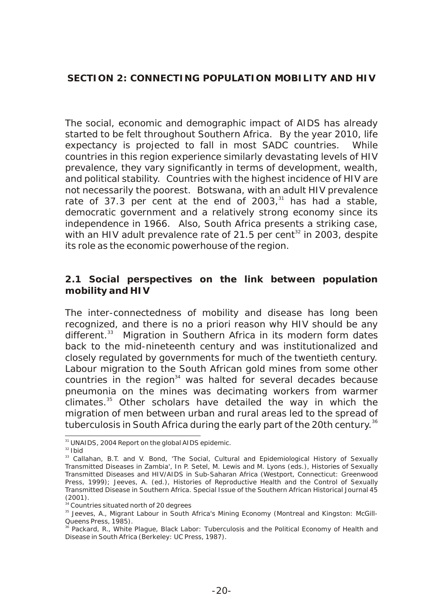The social, economic and demographic impact of AIDS has already started to be felt throughout Southern Africa. By the year 2010, life expectancy is projected to fall in most SADC countries. While countries in this region experience similarly devastating levels of HIV prevalence, they vary significantly in terms of development, wealth, and political stability. Countries with the highest incidence of HIV are not necessarily the poorest. Botswana, with an adult HIV prevalence rate of 37.3 per cent at the end of  $2003$ ,<sup>31</sup> has had a stable. democratic government and a relatively strong economy since its independence in 1966. Also, South Africa presents a striking case, with an HIV adult prevalence rate of 21.5 per cent $^{32}$  in 2003, despite its role as the economic powerhouse of the region.

**2.1 Social perspectives on the link between population mobility and HIV** 

The inter-connectedness of mobility and disease has long been recognized, and there is no a priori reason why HIV should be any different.<sup>33</sup> Migration in Southern Africa in its modern form dates back to the mid-nineteenth century and was institutionalized and closely regulated by governments for much of the twentieth century. Labour migration to the South African gold mines from some other  $s$  countries in the region<sup>34</sup> was halted for several decades because pneumonia on the mines was decimating workers from warmer climates.<sup>35</sup> Other scholars have detailed the way in which the migration of men between urban and rural areas led to the spread of tuberculosis in South Africa during the early part of the 20th century.<sup>36</sup>

<sup>&</sup>lt;sup>31</sup> UNAIDS, 2004 Report on the global AIDS epidemic.

 $32$  Ibid

<sup>&</sup>lt;sup>33</sup> Callahan, B.T. and V. Bond, 'The Social, Cultural and Epidemiological History of Sexually Transmitted Diseases in Zambia', In P. Setel, M. Lewis and M. Lyons (eds.), Histories of Sexually Transmitted Diseases and HIV/AIDS in Sub-Saharan Africa (Westport, Connecticut: Greenwood Press, 1999); Jeeves, A. (ed.), Histories of Reproductive Health and the Control of Sexually Transmitted Disease in Southern Africa. Special Issue of the Southern African Historical Journal 45 (2001).

<sup>&</sup>lt;sup>34</sup> Countries situated north of 20 degrees

<sup>&</sup>lt;sup>35</sup> Jeeves, A., Migrant Labour in South Africa's Mining Economy (Montreal and Kingston: McGill-Queens Press, 1985).

<sup>36</sup> Packard, R., *White Plague, Black Labor: Tuberculosis and the Political Economy of Health and Disease in South Africa* (Berkeley: UC Press, 1987).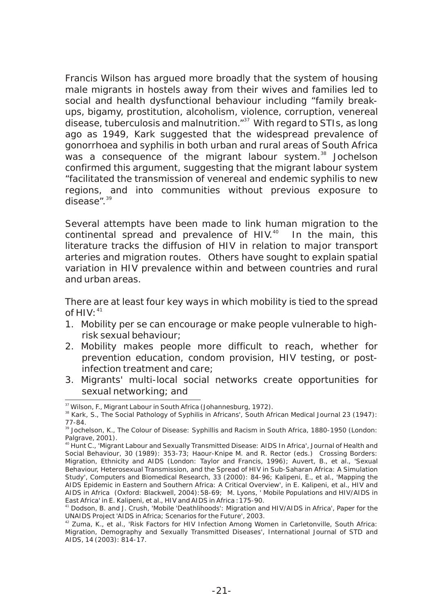Francis Wilson has argued more broadly that the system of housing male migrants in hostels away from their wives and families led to social and health dysfunctional behaviour including "family breakups, bigamy, prostitution, alcoholism, violence, corruption, venereal disease, tuberculosis and malnutrition. $137$  With regard to STIs, as long ago as 1949, Kark suggested that the widespread prevalence of gonorrhoea and syphilis in both urban and rural areas of South Africa  $\frac{3}{8}$  was a consequence of the migrant labour system.<sup>38</sup> Jochelson confirmed this argument, suggesting that the migrant labour system "facilitated the transmission of venereal and endemic syphilis to new regions, and into communities without previous exposure to  $\frac{3}{9}$ 

Several attempts have been made to link human migration to the continental spread and prevalence of HIV. $40$  In the main, this literature tracks the diffusion of HIV in relation to major transport arteries and migration routes. Others have sought to explain spatial variation in HIV prevalence within and between countries and rural and urban areas.

There are at least four key ways in which mobility is tied to the spread of  $HIV.$ <sup>41</sup>

- 1. Mobility per se can encourage or make people vulnerable to highrisk sexual behaviour;
- 2. Mobility makes people more difficult to reach, whether for prevention education, condom provision, HIV testing, or postinfection treatment and care;
- 3. Migrants' multi-local social networks create opportunities for sexual networking; and

<sup>37</sup> Wilson, F., *Migrant Labour in South Africa* (Johannesburg, 1972).

<sup>38</sup> Kark, S., The Social Pathology of Syphilis in Africans', *South African Medical Journal* 23 (1947): 77-84.

<sup>39</sup> Jochelson, K., *The Colour of Disease: Syphillis and Racism in South Africa, 1880-1950* (London: Palgrave, 2001).

<sup>40</sup> Hunt C., 'Migrant Labour and Sexually Transmitted Disease: AIDS In Africa', *Journal of Health and Social Behaviour*, 30 (1989): 353-73; Haour-Knipe M. and R. Rector (eds.) *Crossing Borders: Migration, Ethnicity and AIDS* (London: Taylor and Francis, 1996); Auvert, B., et al., 'Sexual Behaviour, Heterosexual Transmission, and the Spread of HIV in Sub-Saharan Africa: A Simulation Study', *Computers and Biomedical Research*, 33 (2000): 84-96; Kalipeni, E., et al., 'Mapping the AIDS Epidemic in Eastern and Southern Africa: A Critical Overview', in E. Kalipeni, et al., *HIV and AIDS in Africa* (Oxford: Blackwell, 2004):58-69; M. Lyons, ' Mobile Populations and HIV/AIDS in East Africa' in E. Kalipeni, et al., HIV and AIDS in Africa :175-90.

<sup>41</sup> Dodson, B. and J. Crush, 'Mobile 'Deathlihoods': Migration and HIV/AIDS in Africa', Paper for the UNAIDS Project 'AIDS in Africa; Scenarios for the Future', 2003.

 $42$  Zuma, K., et al., 'Risk Factors for HIV Infection Among Women in Carletonville, South Africa: Migration, Demography and Sexually Transmitted Diseases', *International Journal of STD and AIDS*, 14 (2003): 814-17.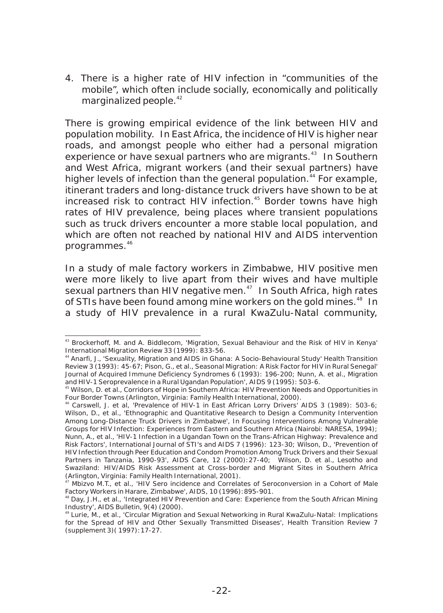4. There is a higher rate of HIV infection in "communities of the mobile", which often include socially, economically and politically marginalized people.<sup>42</sup>

There is growing empirical evidence of the link between HIV and population mobility. In East Africa, the incidence of HIV is higher near roads, and amongst people who either had a personal migration experience or have sexual partners who are migrants.<sup>43</sup> In Southern and West Africa, migrant workers (and their sexual partners) have higher levels of infection than the general population.<sup>44</sup> For example, itinerant traders and long-distance truck drivers have shown to be at increased risk to contract HIV infection.<sup>45</sup> Border towns have high rates of HIV prevalence, being places where transient populations such as truck drivers encounter a more stable local population, and which are often not reached by national HIV and AIDS intervention programmes.<sup>46</sup>

In a study of male factory workers in Zimbabwe, HIV positive men were more likely to live apart from their wives and have multiple sexual partners than HIV negative men. $47$  In South Africa, high rates of STIs have been found among mine workers on the gold mines.<sup>48</sup> In a study of HIV prevalence in a rural KwaZulu-Natal community,

<sup>43</sup> Brockerhoff, M. and A. Biddlecom, 'Migration, Sexual Behaviour and the Risk of HIV in Kenya' *International Migration Review* 33 (1999): 833-56.

<sup>44</sup> Anarfi, J., 'Sexuality, Migration and AIDS in Ghana: A Socio-Behavioural Study' Health Transition Review 3 (1993): 45-67; Pison, G., et al., Seasonal Migration: A Risk Factor for HIV in Rural Senegal' *Journal of Acquired Immune Deficiency Syndromes* 6 (1993): 196-200; Nunn, A. et al., Migration and HIV-1 Seroprevalence in a Rural Ugandan Population', AIDS 9 (1995): 503-6.

<sup>45</sup> Wilson, D. et al., *Corridors of Hope in Southern Africa: HIV Prevention Needs and Opportunities in Four Border Towns* (Arlington, Virginia: Family Health International, 2000).

<sup>46</sup> Carswell, J. et al, 'Prevalence of HIV-1 in East African Lorry Drivers' AIDS 3 (1989): 503-6; Wilson, D., et al., 'Ethnographic and Quantitative Research to Design a Community Intervention Among Long-Distance Truck Drivers in Zimbabwe', In *Focusing Interventions Among Vulnerable Groups for HIV Infection: Experiences from Eastern and Southern Africa* (Nairobi: NARESA, 1994); Nunn, A., et al., 'HIV-1 Infection in a Ugandan Town on the Trans-African Highway: Prevalence and Risk Factors', *International Journal of STI's and AIDS 7* (1996): 123-30; Wilson, D., 'Prevention of HIV Infection through Peer Education and Condom Promotion Among Truck Drivers and their Sexual Partners in Tanzania, 1990-93', AIDS Care, 12 (2000):27-40; Wilson, D. et al., *Lesotho and Swaziland: HIV/AIDS Risk Assessment at Cross-border and Migrant Sites in Southern Africa* (Arlington, Virginia: Family Health International, 2001).

 $47$  Mbizvo M.T., et al., 'HIV Sero incidence and Correlates of Seroconversion in a Cohort of Male Factory Workers in Harare, Zimbabwe', *AIDS*, 10 (1996):895-901.

<sup>&</sup>lt;sup>48</sup> Day, J.H., et al., 'Integrated HIV Prevention and Care: Experience from the South African Mining Industry', *AIDS Bulletin*, 9(4) (2000).

<sup>&</sup>lt;sup>9</sup> Lurie, M., et al., 'Circular Migration and Sexual Networking in Rural KwaZulu-Natal: Implications for the Spread of HIV and Other Sexually Transmitted Diseases', *Health Transition Review* 7 (supplement 3)( 1997):17-27.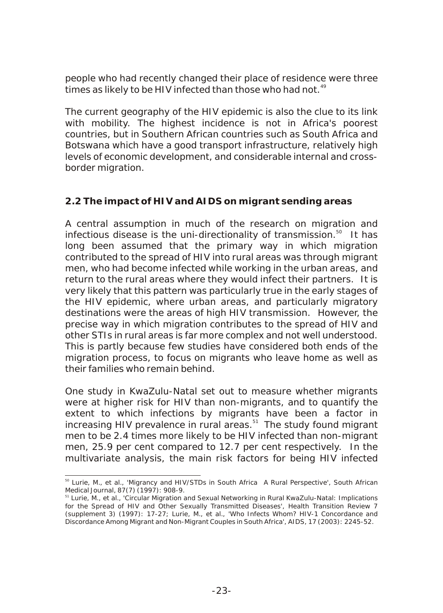people who had recently changed their place of residence were three times as likely to be HIV infected than those who had not.<sup>49</sup>

The current geography of the HIV epidemic is also the clue to its link with mobility. The highest incidence is not in Africa's poorest countries, but in Southern African countries such as South Africa and Botswana which have a good transport infrastructure, relatively high levels of economic development, and considerable internal and crossborder migration.

#### **2.2 The impact of HIV and AIDS on migrant sending areas**

A central assumption in much of the research on migration and infectious disease is the uni-directionality of transmission. $^{50}$  It has long been assumed that the primary way in which migration contributed to the spread of HIV into rural areas was through migrant men, who had become infected while working in the urban areas, and return to the rural areas where they would infect their partners. It is very likely that this pattern was particularly true in the early stages of the HIV epidemic, where urban areas, and particularly migratory destinations were the areas of high HIV transmission. However, the precise way in which migration contributes to the spread of HIV and other STIs in rural areas is far more complex and not well understood. This is partly because few studies have considered both ends of the migration process, to focus on migrants who leave home as well as their families who remain behind.

One study in KwaZulu-Natal set out to measure whether migrants were at higher risk for HIV than non-migrants, and to quantify the extent to which infections by migrants have been a factor in increasing HIV prevalence in rural areas.<sup>51</sup> The study found migrant men to be 2.4 times more likely to be HIV infected than non-migrant men, 25.9 per cent compared to 12.7 per cent respectively. In the multivariate analysis, the main risk factors for being HIV infected

<sup>&</sup>lt;sup>50</sup> Lurie, M., et al., 'Migrancy and HIV/STDs in South Africa A Rural Perspective', South African Medical Journal, 87(7) (1997): 908-9.

<sup>&</sup>lt;sup>51</sup> Lurie, M., et al., 'Circular Migration and Sexual Networking in Rural KwaZulu-Natal: Implications for the Spread of HIV and Other Sexually Transmitted Diseases', Health Transition Review 7 (supplement 3) (1997): 17-27; Lurie, M., et al., 'Who Infects Whom? HIV-1 Concordance and Discordance Among Migrant and Non-Migrant Couples in South Africa', AIDS, 17 (2003): 2245-52.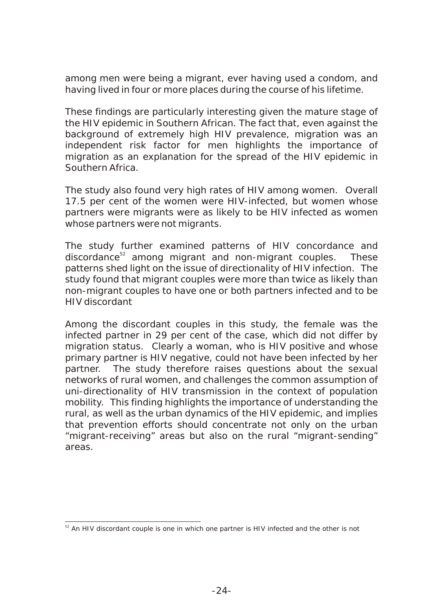among men were being a migrant, ever having used a condom, and having lived in four or more places during the course of his lifetime.

These findings are particularly interesting given the mature stage of the HIV epidemic in Southern African. The fact that, even against the background of extremely high HIV prevalence, migration was an independent risk factor for men highlights the importance of migration as an explanation for the spread of the HIV epidemic in Southern Africa.

The study also found very high rates of HIV among women. Overall 17.5 per cent of the women were HIV-infected, but women whose partners were migrants were as likely to be HIV infected as women whose partners were not migrants.

The study further examined patterns of HIV concordance and  $discordance<sup>52</sup>$  among migrant and non-migrant couples. These patterns shed light on the issue of directionality of HIV infection. The study found that migrant couples were more than twice as likely than non-migrant couples to have one or both partners infected and to be HIV discordant

Among the discordant couples in this study, the female was the infected partner in 29 per cent of the case, which did not differ by migration status. Clearly a woman, who is HIV positive and whose primary partner is HIV negative, could not have been infected by her partner. The study therefore raises questions about the sexual networks of rural women, and challenges the common assumption of uni-directionality of HIV transmission in the context of population mobility. This finding highlights the importance of understanding the rural, as well as the urban dynamics of the HIV epidemic, and implies that prevention efforts should concentrate not only on the urban "migrant-receiving" areas but also on the rural "migrant-sending" areas.

 $52$  An HIV discordant couple is one in which one partner is HIV infected and the other is not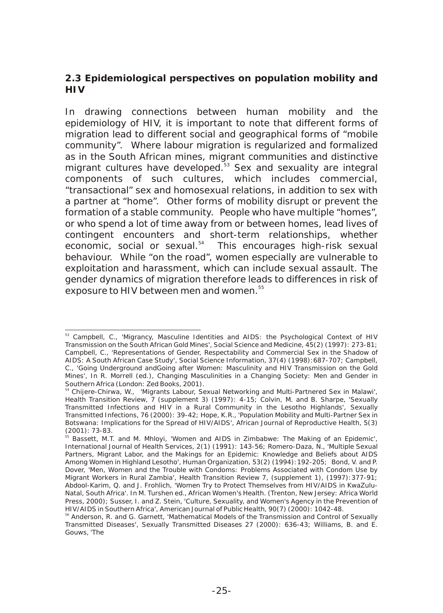**2.3 Epidemiological perspectives on population mobility and HIV**

In drawing connections between human mobility and the epidemiology of HIV, it is important to note that different forms of migration lead to different social and geographical forms of "mobile community". Where labour migration is regularized and formalized as in the South African mines, migrant communities and distinctive migrant cultures have developed.<sup>53</sup> Sex and sexuality are integral components of such cultures, which includes commercial, "transactional" sex and homosexual relations, in addition to sex with a partner at "home". Other forms of mobility disrupt or prevent the formation of a stable community. People who have multiple "homes", or who spend a lot of time away from or between homes, lead lives of contingent encounters and short-term relationships, whether economic, social or sexual.<sup>54</sup> This encourages high-risk sexual behaviour. While "on the road", women especially are vulnerable to exploitation and harassment, which can include sexual assault. The gender dynamics of migration therefore leads to differences in risk of exposure to HIV between men and women.<sup>55</sup>

<sup>&</sup>lt;sup>53</sup> Campbell, C., 'Migrancy, Masculine Identities and AIDS: the Psychological Context of HIV Transmission on the South African Gold Mines', Social Science and Medicine, 45(2) (1997): 273-81; Campbell, C., 'Representations of Gender, Respectability and Commercial Sex in the Shadow of AIDS: A South African Case Study', Social Science Information, 37(4) (1998):687-707; Campbell, C., 'Going Underground andGoing after Women: Masculinity and HIV Transmission on the Gold Mines', In R. Morrell (ed.), Changing Masculinities in a Changing Society: Men and Gender in Southern Africa (London: Zed Books, 2001).

<sup>54</sup> Chijere-Chirwa, W., 'Migrants Labour, Sexual Networking and Multi-Partnered Sex in Malawi', Health Transition Review, 7 (supplement 3) (1997): 4-15; Colvin, M. and B. Sharpe, 'Sexually Transmitted Infections and HIV in a Rural Community in the Lesotho Highlands', Sexually Transmitted Infections, 76 (2000): 39-42; Hope, K.R., 'Population Mobility and Multi-Partner Sex in Botswana: Implications for the Spread of HIV/AIDS', African Journal of Reproductive Health, 5(3)  $(2001)$ : 73-83.

<sup>&</sup>lt;sup>5</sup> Bassett, M.T. and M. Mhloyi, 'Women and AIDS in Zimbabwe: The Making of an Epidemic', International Journal of Health Services, 2(1) (1991): 143-56; Romero-Daza, N., 'Multiple Sexual Partners, Migrant Labor, and the Makings for an Epidemic: Knowledge and Beliefs about AIDS Among Women in Highland Lesotho', Human Organization, 53(2) (1994):192-205; Bond, V. and P. Dover, 'Men, Women and the Trouble with Condoms: Problems Associated with Condom Use by Migrant Workers in Rural Zambia', Health Transition Review 7, (supplement 1), (1997):377-91; Abdool-Karim, Q. and J. Frohlich, 'Women Try to Protect Themselves from HIV/AIDS in KwaZulu-Natal, South Africa'. In M. Turshen ed., African Women's Health. (Trenton, New Jersey: Africa World Press, 2000); Susser, I. and Z. Stein, 'Culture, Sexuality, and Women's Agency in the Prevention of HIV/AIDS in Southern Africa', American Journal of Public Health, 90(7) (2000): 1042-48.

<sup>&</sup>lt;sup>56</sup> Anderson, R. and G. Garnett, 'Mathematical Models of the Transmission and Control of Sexually Transmitted Diseases', Sexually Transmitted Diseases 27 (2000): 636-43; Williams, B. and E. Gouws, 'The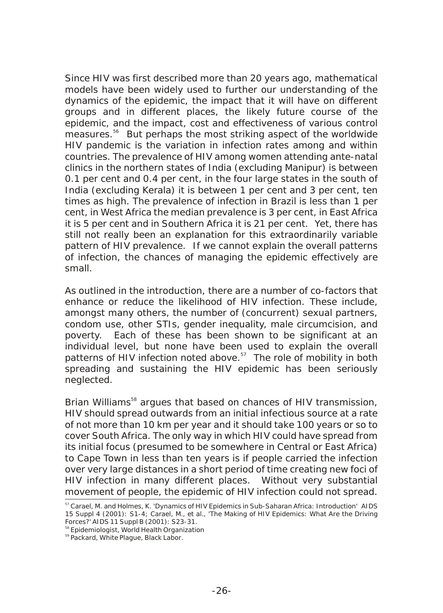Since HIV was first described more than 20 years ago, mathematical models have been widely used to further our understanding of the dynamics of the epidemic, the impact that it will have on different groups and in different places, the likely future course of the epidemic, and the impact, cost and effectiveness of various control measures.<sup>56</sup> But perhaps the most striking aspect of the worldwide HIV pandemic is the variation in infection rates among and within countries. The prevalence of HIV among women attending ante-natal clinics in the northern states of India (excluding Manipur) is between 0.1 per cent and 0.4 per cent, in the four large states in the south of India (excluding Kerala) it is between 1 per cent and 3 per cent, ten times as high. The prevalence of infection in Brazil is less than 1 per cent, in West Africa the median prevalence is 3 per cent, in East Africa it is 5 per cent and in Southern Africa it is 21 per cent. Yet, there has still not really been an explanation for this extraordinarily variable pattern of HIV prevalence. If we cannot explain the overall patterns of infection, the chances of managing the epidemic effectively are small.

As outlined in the introduction, there are a number of co-factors that enhance or reduce the likelihood of HIV infection. These include, amongst many others, the number of (concurrent) sexual partners, condom use, other STIs, gender inequality, male circumcision, and poverty. Each of these has been shown to be significant at an individual level, but none have been used to explain the overall patterns of HIV infection noted above.<sup>57</sup> The role of mobility in both spreading and sustaining the HIV epidemic has been seriously neglected.

Brian Williams<sup>58</sup> argues that based on chances of HIV transmission, HIV should spread outwards from an initial infectious source at a rate of not more than 10 km per year and it should take 100 years or so to cover South Africa. The only way in which HIV could have spread from its initial focus (presumed to be somewhere in Central or East Africa) to Cape Town in less than ten years is if people carried the infection over very large distances in a short period of time creating new foci of HIV infection in many different places. Without very substantial movement of people, the epidemic of HIV infection could not spread.

<sup>&</sup>lt;sup>57</sup> Carael, M. and Holmes, K. 'Dynamics of HIV Epidemics in Sub-Saharan Africa: Introduction' AIDS 15 Suppl 4 (2001): S1-4; Carael, M., et al., 'The Making of HIV Epidemics: What Are the Driving Forces?' *AIDS* 11 Suppl B (2001): S23-31.

<sup>&</sup>lt;sup>58</sup> Epidemiologist, World Health Organization

<sup>59</sup> Packard, *White Plague, Black Labor.*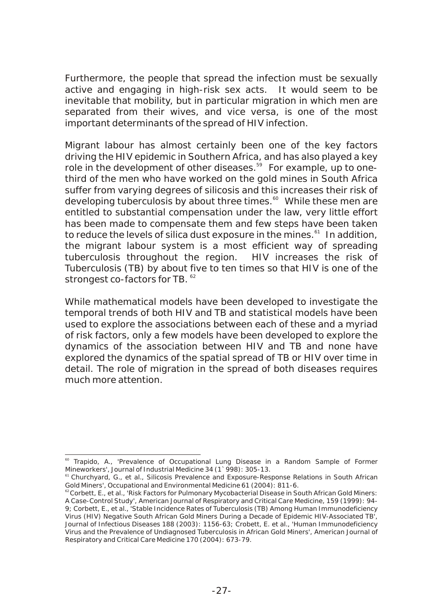Furthermore, the people that spread the infection must be sexually active and engaging in high-risk sex acts. It would seem to be inevitable that mobility, but in particular migration in which men are separated from their wives, and vice versa, is one of the most important determinants of the spread of HIV infection.

Migrant labour has almost certainly been one of the key factors driving the HIV epidemic in Southern Africa, and has also played a key role in the development of other diseases.<sup>59</sup> For example, up to onethird of the men who have worked on the gold mines in South Africa suffer from varying degrees of silicosis and this increases their risk of developing tuberculosis by about three times.<sup>60</sup> While these men are entitled to substantial compensation under the law, very little effort has been made to compensate them and few steps have been taken to reduce the levels of silica dust exposure in the mines.<sup>61</sup> In addition, the migrant labour system is a most efficient way of spreading tuberculosis throughout the region. HIV increases the risk of Tuberculosis (TB) by about five to ten times so that HIV is one of the strongest co-factors for TB.  $^{62}$ 

While mathematical models have been developed to investigate the temporal trends of both HIV and TB and statistical models have been used to explore the associations between each of these and a myriad of risk factors, only a few models have been developed to explore the dynamics of the association between HIV and TB and none have explored the dynamics of the spatial spread of TB or HIV over time in detail. The role of migration in the spread of both diseases requires much more attention.

<sup>60</sup> Trapido, A., 'Prevalence of Occupational Lung Disease in a Random Sample of Former Mineworkers', *Journal of Industrial Medicine* 34 (1`998): 305-13.

<sup>&</sup>lt;sup>61</sup> Churchyard, G., et al., Silicosis Prevalence and Exposure-Response Relations in South African Gold Miners', *Occupational and Environmental Medicine* 61 (2004): 811-6.

 $62^{\circ}$ Corbett, E., et al., 'Risk Factors for Pulmonary Mycobacterial Disease in South African Gold Miners: A Case-Control Study', American Journal of Respiratory and Critical Care Medicine, 159 (1999): 94- 9; Corbett, E., et al., 'Stable Incidence Rates of Tuberculosis (TB) Among Human Immunodeficiency Virus (HIV) Negative South African Gold Miners During a Decade of Epidemic HIV-Associated TB', *Journal of Infectious Diseases* 188 (2003): 1156-63; Crobett, E. et al., 'Human Immunodeficiency Virus and the Prevalence of Undiagnosed Tuberculosis in African Gold Miners', *American Journal of Respiratory and Critical Care Medicine* 170 (2004): 673-79.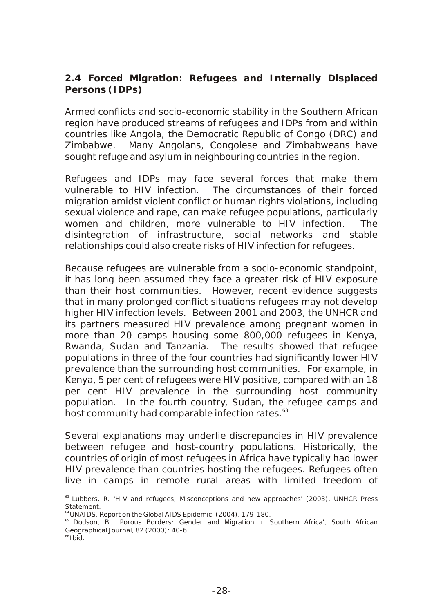**2.4 Forced Migration: Refugees and Internally Displaced Persons (IDPs)**

Armed conflicts and socio-economic stability in the Southern African region have produced streams of refugees and IDPs from and within countries like Angola, the Democratic Republic of Congo (DRC) and Zimbabwe. Many Angolans, Congolese and Zimbabweans have sought refuge and asylum in neighbouring countries in the region.

Refugees and IDPs may face several forces that make them vulnerable to HIV infection. The circumstances of their forced migration amidst violent conflict or human rights violations, including sexual violence and rape, can make refugee populations, particularly women and children, more vulnerable to HIV infection. The disintegration of infrastructure, social networks and stable relationships could also create risks of HIV infection for refugees.

Because refugees are vulnerable from a socio-economic standpoint, it has long been assumed they face a greater risk of HIV exposure than their host communities. However, recent evidence suggests that in many prolonged conflict situations refugees may not develop higher HIV infection levels. Between 2001 and 2003, the UNHCR and its partners measured HIV prevalence among pregnant women in more than 20 camps housing some 800,000 refugees in Kenya, Rwanda, Sudan and Tanzania. The results showed that refugee populations in three of the four countries had significantly lower HIV prevalence than the surrounding host communities. For example, in Kenya, 5 per cent of refugees were HIV positive, compared with an 18 per cent HIV prevalence in the surrounding host community population. In the fourth country, Sudan, the refugee camps and host community had comparable infection rates.<sup>63</sup>

Several explanations may underlie discrepancies in HIV prevalence between refugee and host-country populations. Historically, the countries of origin of most refugees in Africa have typically had lower HIV prevalence than countries hosting the refugees. Refugees often live in camps in remote rural areas with limited freedom of

<sup>&</sup>lt;sup>63</sup> Lubbers, R. 'HIV and refugees, Misconceptions and new approaches' (2003), UNHCR Press Statement.

<sup>64</sup>UNAIDS, Report on the Global AIDS Epidemic, (2004), 179-180.

<sup>&</sup>lt;sup>65</sup> Dodson, B., 'Porous Borders: Gender and Migration in Southern Africa', South African *Geographical Journal,* 82 (2000): 40-6.

 $66$ Ibid.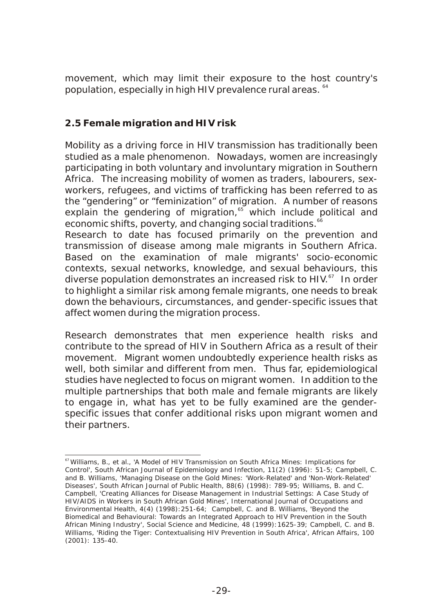movement, which may limit their exposure to the host country's population, especially in high HIV prevalence rural areas. <sup>64</sup>

#### **2.5 Female migration and HIV risk**

Mobility as a driving force in HIV transmission has traditionally been studied as a male phenomenon. Nowadays, women are increasingly participating in both voluntary and involuntary migration in Southern Africa. The increasing mobility of women as traders, labourers, sexworkers, refugees, and victims of trafficking has been referred to as the "gendering" or "feminization" of migration. A number of reasons explain the gendering of migration, $65$  which include political and economic shifts, poverty, and changing social traditions.<sup>66</sup>

Research to date has focused primarily on the prevention and transmission of disease among male migrants in Southern Africa. Based on the examination of male migrants' socio-economic contexts, sexual networks, knowledge, and sexual behaviours, this diverse population demonstrates an increased risk to HIV. $^{67}$  In order to highlight a similar risk among female migrants, one needs to break down the behaviours, circumstances, and gender-specific issues that affect women during the migration process.

Research demonstrates that men experience health risks and contribute to the spread of HIV in Southern Africa as a result of their movement. Migrant women undoubtedly experience health risks as well, both similar and different from men. Thus far, epidemiological studies have neglected to focus on migrant women. In addition to the multiple partnerships that both male and female migrants are likely to engage in, what has yet to be fully examined are the genderspecific issues that confer additional risks upon migrant women and their partners.

<sup>&</sup>lt;sup>67</sup> Williams, B., et al., 'A Model of HIV Transmission on South Africa Mines: Implications for Control', South African Journal of Epidemiology and Infection, 11(2) (1996): 51-5; Campbell, C. and B. Williams, 'Managing Disease on the Gold Mines: 'Work-Related' and 'Non-Work-Related' Diseases', *South African Journal of Public Health*, 88(6) (1998): 789-95; Williams, B. and C. Campbell, 'Creating Alliances for Disease Management in Industrial Settings: A Case Study of HIV/AIDS in Workers in South African Gold Mines', *International Journal of Occupations and Environmental Health*, 4(4) (1998):251-64; Campbell, C. and B. Williams, 'Beyond the Biomedical and Behavioural: Towards an Integrated Approach to HIV Prevention in the South African Mining Industry', Social Science and Medicine, 48 (1999):1625-39; Campbell, C. and B. Williams, 'Riding the Tiger: Contextualising HIV Prevention in South Africa', African Affairs, 100 (2001): 135-40.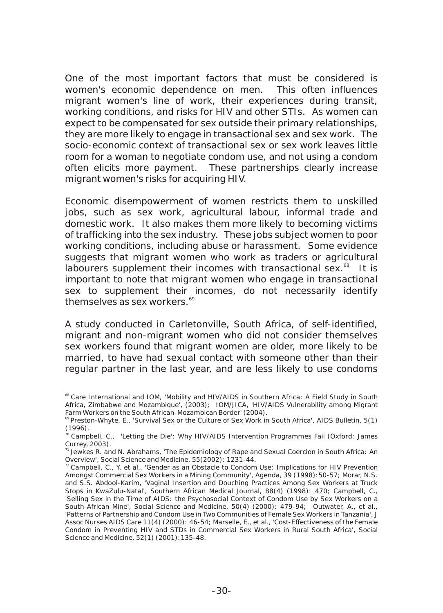One of the most important factors that must be considered is women's economic dependence on men. This often influences migrant women's line of work, their experiences during transit, working conditions, and risks for HIV and other STIs. As women can expect to be compensated for sex outside their primary relationships, they are more likely to engage in transactional sex and sex work. The socio-economic context of transactional sex or sex work leaves little room for a woman to negotiate condom use, and not using a condom often elicits more payment. These partnerships clearly increase migrant women's risks for acquiring HIV.

Economic disempowerment of women restricts them to unskilled jobs, such as sex work, agricultural labour, informal trade and domestic work. It also makes them more likely to becoming victims of trafficking into the sex industry. These jobs subject women to poor working conditions, including abuse or harassment. Some evidence suggests that migrant women who work as traders or agricultural labourers supplement their incomes with transactional sex.<sup>68</sup> It is important to note that migrant women who engage in transactional sex to supplement their incomes, do not necessarily identify themselves as sex workers.<sup>69</sup>

A study conducted in Carletonville, South Africa, of self-identified, migrant and non-migrant women who did not consider themselves sex workers found that migrant women are older, more likely to be married, to have had sexual contact with someone other than their regular partner in the last year, and are less likely to use condoms

<sup>&</sup>lt;sup>68</sup> Care International and IOM, 'Mobility and HIV/AIDS in Southern Africa: A Field Study in South Africa, Zimbabwe and Mozambique', (2003); IOM/JICA, 'HIV/AIDS Vulnerability among Migrant Farm Workers on the South African-Mozambican Border' (2004).

<sup>&</sup>lt;sup>69</sup> Preston-Whyte, E., 'Survival Sex or the Culture of Sex Work in South Africa', AIDS Bulletin, 5(1) (1996).

 $\frac{70}{10}$  Campbell, C., 'Letting the Die': Why HIV/AIDS Intervention Programmes Fail (Oxford: James Currey, 2003).

 $<sup>71</sup>$  Jewkes R. and N. Abrahams, 'The Epidemiology of Rape and Sexual Coercion in South Africa: An</sup> Overview', *Social Science and Medicine*, 55(2002): 1231-44.

 $72$  Campbell, C., Y. et al., 'Gender as an Obstacle to Condom Use: Implications for HIV Prevention Amongst Commercial Sex Workers in a Mining Community', Agenda, 39 (1998):50-57; Morar, N.S. and S.S. Abdool-Karim, 'Vaginal Insertion and Douching Practices Among Sex Workers at Truck Stops in KwaZulu-Natal', Southern African Medical Journal, 88(4) (1998): 470; Campbell, C., 'Selling Sex in the Time of AIDS: the Psychosocial Context of Condom Use by Sex Workers on a South African Mine', Social Science and Medicine, 50(4) (2000): 479-94; Outwater, A., et al., 'Patterns of Partnership and Condom Use in Two Communities of Female Sex Workers in Tanzania', *J Assoc Nurses AIDS Care* 11(4) (2000): 46-54; Marselle, E., et al., 'Cost-Effectiveness of the Female Condom in Preventing HIV and STDs in Commercial Sex Workers in Rural South Africa', *Social Science and Medicine*, 52(1) (2001):135-48.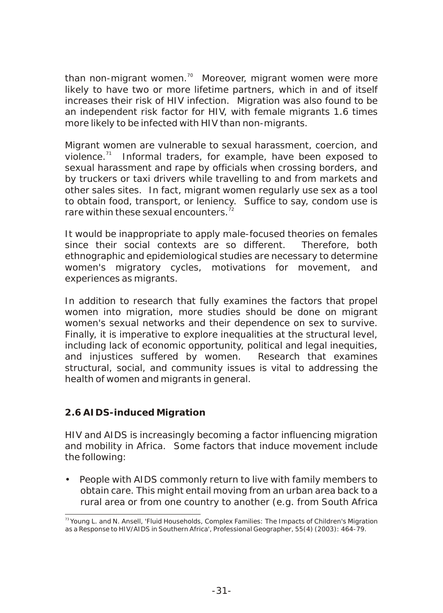than non-migrant women. $\frac{70}{10}$  Moreover, migrant women were more likely to have two or more lifetime partners, which in and of itself increases their risk of HIV infection. Migration was also found to be an independent risk factor for HIV, with female migrants 1.6 times more likely to be infected with HIV than non-migrants.

Migrant women are vulnerable to sexual harassment, coercion, and violence. $71$  Informal traders, for example, have been exposed to sexual harassment and rape by officials when crossing borders, and by truckers or taxi drivers while travelling to and from markets and other sales sites. In fact, migrant women regularly use sex as a tool to obtain food, transport, or leniency. Suffice to say, condom use is rare within these sexual encounters.  $72$ 

It would be inappropriate to apply male-focused theories on females since their social contexts are so different. Therefore, both ethnographic and epidemiological studies are necessary to determine women's migratory cycles, motivations for movement, and experiences as migrants.

In addition to research that fully examines the factors that propel women into migration, more studies should be done on migrant women's sexual networks and their dependence on sex to survive. Finally, it is imperative to explore inequalities at the structural level, including lack of economic opportunity, political and legal inequities, and injustices suffered by women. Research that examines structural, social, and community issues is vital to addressing the health of women and migrants in general.

#### **2.6 AIDS-induced Migration**

HIV and AIDS is increasingly becoming a factor influencing migration and mobility in Africa. Some factors that induce movement include the following:

• People with AIDS commonly return to live with family members to obtain care. This might entail moving from an urban area back to a rural area or from one country to another (e.g. from South Africa

<sup>&</sup>lt;sup>73</sup> Young L. and N. Ansell, 'Fluid Households, Complex Families: The Impacts of Children's Migration as a Response to HIV/AIDS in Southern Africa', *Professional Geographer*, 55(4) (2003): 464-79.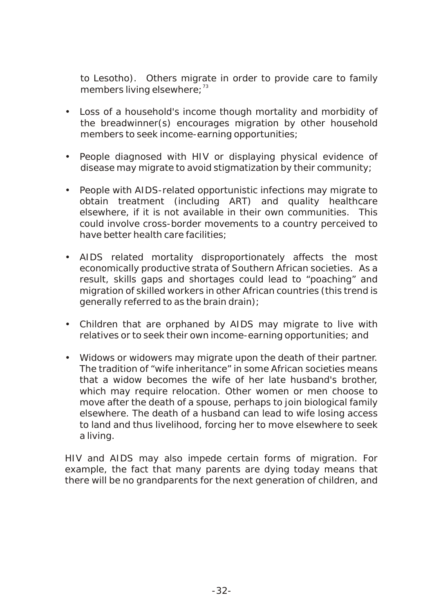to Lesotho). Others migrate in order to provide care to family members living elsewhere;<sup>73</sup>

- Loss of a household's income though mortality and morbidity of the breadwinner(s) encourages migration by other household members to seek income-earning opportunities;
- People diagnosed with HIV or displaying physical evidence of disease may migrate to avoid stigmatization by their community;
- People with AIDS-related opportunistic infections may migrate to obtain treatment (including ART) and quality healthcare elsewhere, if it is not available in their own communities. This could involve cross-border movements to a country perceived to have better health care facilities;
- AIDS related mortality disproportionately affects the most economically productive strata of Southern African societies. As a result, skills gaps and shortages could lead to "poaching" and migration of skilled workers in other African countries (this trend is generally referred to as the brain drain);
- Children that are orphaned by AIDS may migrate to live with relatives or to seek their own income-earning opportunities; and
- Widows or widowers may migrate upon the death of their partner. The tradition of "wife inheritance" in some African societies means that a widow becomes the wife of her late husband's brother, which may require relocation. Other women or men choose to move after the death of a spouse, perhaps to join biological family elsewhere. The death of a husband can lead to wife losing access to land and thus livelihood, forcing her to move elsewhere to seek a living.

HIV and AIDS may also impede certain forms of migration. For example, the fact that many parents are dying today means that there will be no grandparents for the next generation of children, and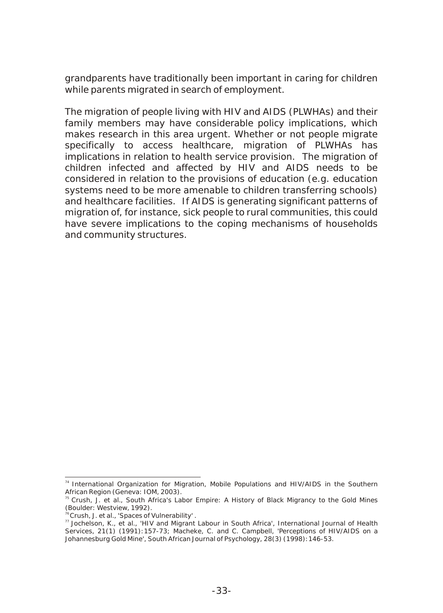grandparents have traditionally been important in caring for children while parents migrated in search of employment.

The migration of people living with HIV and AIDS (PLWHAs) and their family members may have considerable policy implications, which makes research in this area urgent. Whether or not people migrate specifically to access healthcare, migration of PLWHAs has implications in relation to health service provision. The migration of children infected and affected by HIV and AIDS needs to be considered in relation to the provisions of education (e.g. education systems need to be more amenable to children transferring schools) and healthcare facilities. If AIDS is generating significant patterns of migration of, for instance, sick people to rural communities, this could have severe implications to the coping mechanisms of households and community structures.

<sup>&</sup>lt;sup>74</sup> International Organization for Migration, Mobile Populations and HIV/AIDS in the *Southern African Region* (Geneva: IOM, 2003).

<sup>&</sup>lt;sup>75</sup> Crush, J. et al., *South Africa's Labor Empire*: A History of Black Migrancy to the Gold Mines (Boulder: Westview, 1992).

<sup>&</sup>lt;sup>6</sup>Crush, J. et al., 'Spaces of Vulnerability' .

<sup>77</sup>Jochelson, K., et al., 'HIV and Migrant Labour in South Africa', *International Journal of Health Services*, 21(1) (1991):157-73; Macheke, C. and C. Campbell, 'Perceptions of HIV/AIDS on a Johannesburg Gold Mine', *South African Journal of Psychology*, 28(3) (1998):146-53.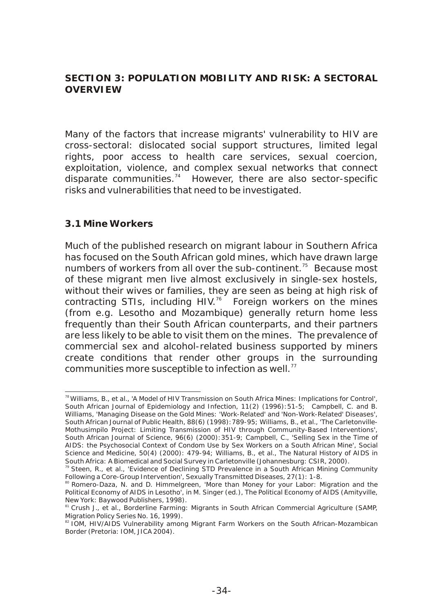**SECTION 3: POPULATION MOBILITY AND RISK: A SECTORAL OVERVIEW**

Many of the factors that increase migrants' vulnerability to HIV are cross-sectoral: dislocated social support structures, limited legal rights, poor access to health care services, sexual coercion, exploitation, violence, and complex sexual networks that connect disparate communities. $14$  However, there are also sector-specific risks and vulnerabilities that need to be investigated.

#### **3.1 Mine Workers**

Much of the published research on migrant labour in Southern Africa has focused on the South African gold mines, which have drawn large numbers of workers from all over the sub-continent.<sup> $75$ </sup> Because most of these migrant men live almost exclusively in single-sex hostels, without their wives or families, they are seen as being at high risk of contracting STIs, including HIV.<sup>76</sup> Foreign workers on the mines (from e.g. Lesotho and Mozambique) generally return home less frequently than their South African counterparts, and their partners are less likely to be able to visit them on the mines. The prevalence of commercial sex and alcohol-related business supported by miners create conditions that render other groups in the surrounding communities more susceptible to infection as well. $77$ 

<sup>&</sup>lt;sup>78</sup> Williams. B., et al., 'A Model of HIV Transmission on South Africa Mines: Implications for Control', *South African Journal of Epidemiology and Infection*, 11(2) (1996):51-5; Campbell, C. and B. Williams, 'Managing Disease on the Gold Mines: 'Work-Related' and 'Non-Work-Related' Diseases', South African Journal of Public Health, 88(6) (1998): 789-95; Williams, B., et al., 'The Carletonville-Mothusimpilo Project: Limiting Transmission of HIV through Community-Based Interventions', South African Journal of Science, 96(6) (2000):351-9; Campbell, C., 'Selling Sex in the Time of AIDS: the Psychosocial Context of Condom Use by Sex Workers on a South African Mine', *Social Science and Medicine*, 50(4) (2000): 479-94; Williams, B., et al., The Natural History of AIDS in South Africa: A Biomedical and Social Survey in Carletonville (Johannesburg: CSIR, 2000).

 $79$  Steen, R., et al., 'Evidence of Declining STD Prevalence in a South African Mining Community Following a Core-Group Intervention', *Sexually Transmitted Diseases*, 27(1): 1-8.

<sup>&</sup>lt;sup>80</sup> Romero-Daza, N. and D. Himmelgreen, 'More than Money for your Labor: Migration and the Political Economy of AIDS in Lesotho', in M. Singer (ed.), The Political Economy of AIDS (Amityville, New York: Baywood Publishers, 1998).

<sup>&</sup>lt;sup>31</sup> Crush J., et al., Borderline Farming: *Migrants in South African Commercial Agriculture* (SAMP, Migration Policy Series No. 16, 1999).

<sup>&</sup>lt;sup>82</sup> IOM, *HIV/AIDS Vulnerability among Migrant Farm Workers on the South African-Mozambican Border* (Pretoria: IOM, JICA 2004).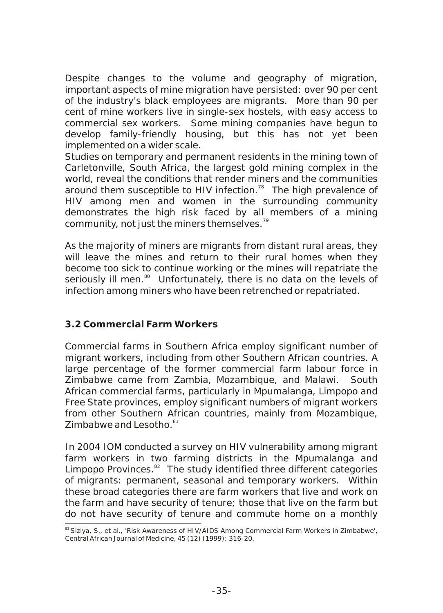Despite changes to the volume and geography of migration, important aspects of mine migration have persisted: over 90 per cent of the industry's black employees are migrants. More than 90 per cent of mine workers live in single-sex hostels, with easy access to commercial sex workers. Some mining companies have begun to develop family-friendly housing, but this has not yet been implemented on a wider scale.

Studies on temporary and permanent residents in the mining town of Carletonville, South Africa, the largest gold mining complex in the world, reveal the conditions that render miners and the communities around them susceptible to HIV infection.<sup>78</sup> The high prevalence of HIV among men and women in the surrounding community demonstrates the high risk faced by all members of a mining community, not just the miners themselves.<sup>79</sup>

As the majority of miners are migrants from distant rural areas, they will leave the mines and return to their rural homes when they become too sick to continue working or the mines will repatriate the seriously ill men.<sup>80</sup> Unfortunately, there is no data on the levels of infection among miners who have been retrenched or repatriated.

#### **3.2 Commercial Farm Workers**

Commercial farms in Southern Africa employ significant number of migrant workers, including from other Southern African countries. A large percentage of the former commercial farm labour force in Zimbabwe came from Zambia, Mozambique, and Malawi. South African commercial farms, particularly in Mpumalanga, Limpopo and Free State provinces, employ significant numbers of migrant workers from other Southern African countries, mainly from Mozambique, Zimbabwe and Lesotho. 81

In 2004 IOM conducted a survey on HIV vulnerability among migrant farm workers in two farming districts in the Mpumalanga and Limpopo Provinces. $^{82}$  The study identified three different categories of migrants: permanent, seasonal and temporary workers. Within these broad categories there are farm workers that live and work on the farm and have security of tenure; those that live on the farm but do not have security of tenure and commute home on a monthly

<sup>83</sup> Siziya, S., et al., 'Risk Awareness of HIV/AIDS Among Commercial Farm Workers in Zimbabwe', *Central African Journal of Medicine*, 45 (12) (1999): 316-20.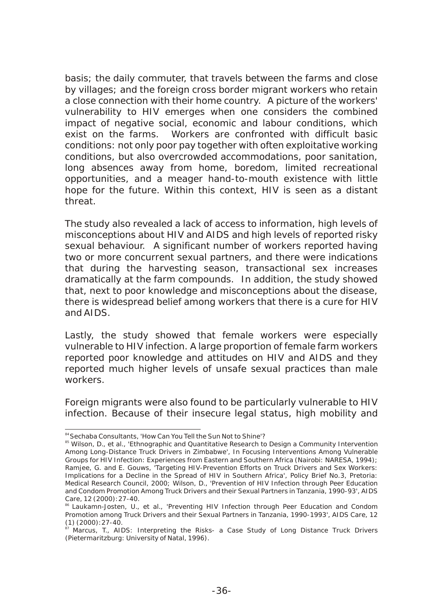basis; the daily commuter, that travels between the farms and close by villages; and the foreign cross border migrant workers who retain a close connection with their home country. A picture of the workers' vulnerability to HIV emerges when one considers the combined impact of negative social, economic and labour conditions, which exist on the farms. Workers are confronted with difficult basic conditions: not only poor pay together with often exploitative working conditions, but also overcrowded accommodations, poor sanitation, long absences away from home, boredom, limited recreational opportunities, and a meager hand-to-mouth existence with little hope for the future. Within this context, HIV is seen as a distant threat.

The study also revealed a lack of access to information, high levels of misconceptions about HIV and AIDS and high levels of reported risky sexual behaviour. A significant number of workers reported having two or more concurrent sexual partners, and there were indications that during the harvesting season, transactional sex increases dramatically at the farm compounds. In addition, the study showed that, next to poor knowledge and misconceptions about the disease, there is widespread belief among workers that there is a cure for HIV and AIDS.

Lastly, the study showed that female workers were especially vulnerable to HIV infection. A large proportion of female farm workers reported poor knowledge and attitudes on HIV and AIDS and they reported much higher levels of unsafe sexual practices than male workers.

Foreign migrants were also found to be particularly vulnerable to HIV infection. Because of their insecure legal status, high mobility and

<sup>84</sup> Sechaba Consultants, 'How Can You Tell the Sun Not to Shine'?

<sup>&</sup>lt;sup>85</sup> Wilson, D., et al., 'Ethnographic and Quantitative Research to Design a Community Intervention Among Long-Distance Truck Drivers in Zimbabwe', In Focusing Interventions Among Vulnerable Groups for HIV Infection: Experiences from Eastern and Southern Africa (Nairobi: NARESA, 1994); Ramjee, G. and E. Gouws, 'Targeting HIV-Prevention Efforts on Truck Drivers and Sex Workers: Implications for a Decline in the Spread of HIV in Southern Africa', Policy Brief No.3, Pretoria: Medical Research Council, 2000; Wilson, D., 'Prevention of HIV Infection through Peer Education and Condom Promotion Among Truck Drivers and their Sexual Partners in Tanzania, 1990-93', AIDS Care, 12 (2000):27-40.

<sup>&</sup>lt;sup>86</sup> Laukamn-Josten, U., et al., 'Preventing HIV Infection through Peer Education and Condom Promotion among Truck Drivers and their Sexual Partners in Tanzania, 1990-1993', *AIDS Care*, 12 (1) (2000):27-40.

<sup>&</sup>lt;sup>87</sup> Marcus, T., AIDS: *Interpreting the Risks- a Case Study of Long Distance Truck Drivers* (Pietermaritzburg: University of Natal, 1996).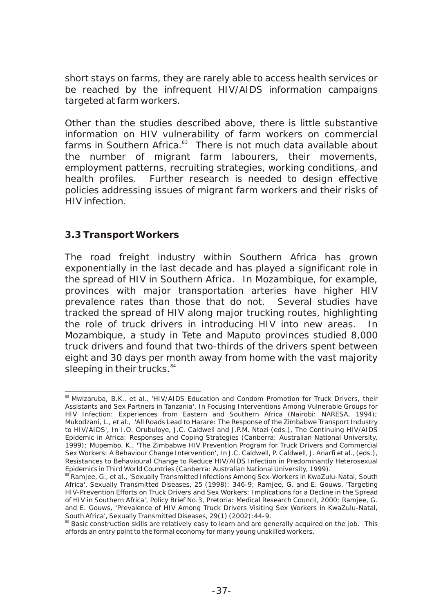short stays on farms, they are rarely able to access health services or be reached by the infrequent HIV/AIDS information campaigns targeted at farm workers.

Other than the studies described above, there is little substantive information on HIV vulnerability of farm workers on commercial farms in Southern Africa.<sup>83</sup> There is not much data available about the number of migrant farm labourers, their movements, employment patterns, recruiting strategies, working conditions, and health profiles. Further research is needed to design effective policies addressing issues of migrant farm workers and their risks of HIV infection.

#### **3.3 Transport Workers**

The road freight industry within Southern Africa has grown exponentially in the last decade and has played a significant role in the spread of HIV in Southern Africa. In Mozambique, for example, provinces with major transportation arteries have higher HIV prevalence rates than those that do not. Several studies have tracked the spread of HIV along major trucking routes, highlighting the role of truck drivers in introducing HIV into new areas. In Mozambique, a study in Tete and Maputo provinces studied 8,000 truck drivers and found that two-thirds of the drivers spent between eight and 30 days per month away from home with the vast majority sleeping in their trucks. $84$ 

<sup>88</sup> Mwizaruba, B.K., et al., 'HIV/AIDS Education and Condom Promotion for Truck Drivers, their Assistants and Sex Partners in Tanzania', In *Focusing Interventions Among Vulnerable Groups for HIV Infection: Experiences from Eastern and Southern Africa* (Nairobi: NARESA, 1994); Mukodzani, L., et al., 'All Roads Lead to Harare: The Response of the Zimbabwe Transport Industry to HIV/AIDS', In I.O. Orubuloye, J.C. Caldwell and J.P.M. Ntozi (eds.), The Continuing HIV/AIDS Epidemic in Africa: Responses and Coping Strategies (Canberra: Australian National University, 1999); Mupembo, K., 'The Zimbabwe HIV Prevention Program for Truck Drivers and Commercial Sex Workers: A Behaviour Change Intervention', In J.C. Caldwell, P. Caldwell, J. Anarfi et al., (eds.), Resistances to Behavioural Change to Reduce HIV/AIDS Infection in Predominantly Heterosexual Epidemics in Third World Countries (Canberra: Australian National University, 1999).

<sup>89</sup> Ramjee, G., et al., 'Sexually Transmitted Infections Among Sex-Workers in KwaZulu-Natal, South Africa', *Sexually Transmitted Diseases*, 25 (1998): 346-9; Ramjee, G. and E. Gouws, 'Targeting HIV-Prevention Efforts on Truck Drivers and Sex Workers: Implications for a Decline in the Spread of HIV in Southern Africa', Policy Brief No.3, Pretoria: Medical Research Council, 2000; Ramjee, G. and E. Gouws, 'Prevalence of HIV Among Truck Drivers Visiting Sex Workers in KwaZulu-Natal, South Africa', Sexually Transmitted Diseases, 29(1) (2002):44-9.

<sup>&</sup>lt;sup>90</sup> Basic construction skills are relatively easy to learn and are generally acquired on the job. This affords an entry point to the formal economy for many young unskilled workers.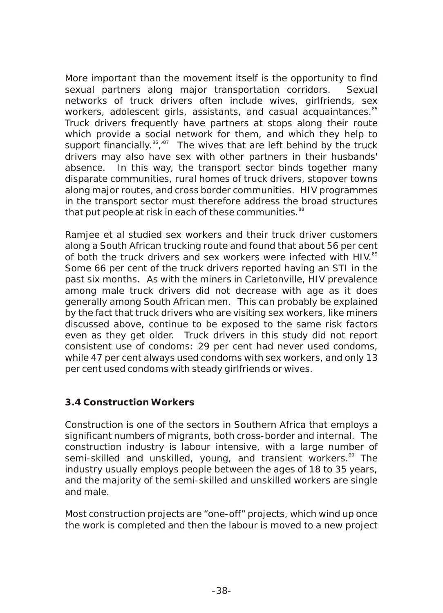More important than the movement itself is the opportunity to find sexual partners along major transportation corridors. Sexual networks of truck drivers often include wives, girlfriends, sex workers, adolescent girls, assistants, and casual acquaintances.<sup>85</sup> Truck drivers frequently have partners at stops along their route which provide a social network for them, and which they help to support financially.<sup>86</sup>,<sup>87</sup> The wives that are left behind by the truck drivers may also have sex with other partners in their husbands' absence. In this way, the transport sector binds together many disparate communities, rural homes of truck drivers, stopover towns along major routes, and cross border communities. HIV programmes in the transport sector must therefore address the broad structures that put people at risk in each of these communities.<sup>88</sup>

Ramjee et al studied sex workers and their truck driver customers along a South African trucking route and found that about 56 per cent of both the truck drivers and sex workers were infected with HIV.<sup>89</sup> Some 66 per cent of the truck drivers reported having an STI in the past six months. As with the miners in Carletonville, HIV prevalence among male truck drivers did not decrease with age as it does generally among South African men. This can probably be explained by the fact that truck drivers who are visiting sex workers, like miners discussed above, continue to be exposed to the same risk factors even as they get older. Truck drivers in this study did not report consistent use of condoms: 29 per cent had never used condoms, while 47 per cent always used condoms with sex workers, and only 13 per cent used condoms with steady girlfriends or wives.

#### **3.4 Construction Workers**

Construction is one of the sectors in Southern Africa that employs a significant numbers of migrants, both cross-border and internal. The construction industry is labour intensive, with a large number of semi-skilled and unskilled, young, and transient workers.<sup>90</sup> The industry usually employs people between the ages of 18 to 35 years, and the majority of the semi-skilled and unskilled workers are single and male.

Most construction projects are "one-off" projects, which wind up once the work is completed and then the labour is moved to a new project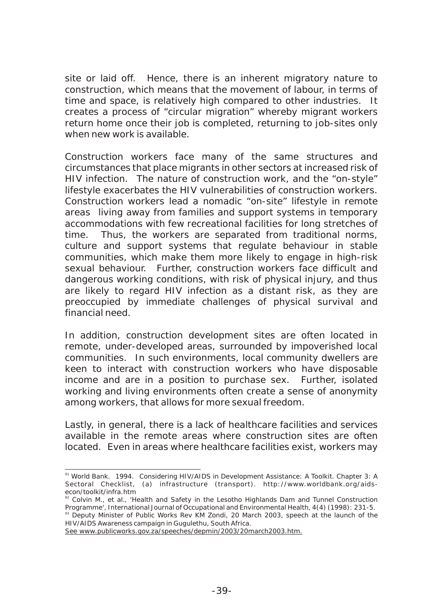site or laid off. Hence, there is an inherent migratory nature to construction, which means that the movement of labour, in terms of time and space, is relatively high compared to other industries. It creates a process of "circular migration" whereby migrant workers return home once their job is completed, returning to job-sites only when new work is available.

Construction workers face many of the same structures and circumstances that place migrants in other sectors at increased risk of HIV infection. The nature of construction work, and the "on-style" lifestyle exacerbates the HIV vulnerabilities of construction workers. Construction workers lead a nomadic "on-site" lifestyle in remote areas living away from families and support systems in temporary accommodations with few recreational facilities for long stretches of time. Thus, the workers are separated from traditional norms, culture and support systems that regulate behaviour in stable communities, which make them more likely to engage in high-risk sexual behaviour. Further, construction workers face difficult and dangerous working conditions, with risk of physical injury, and thus are likely to regard HIV infection as a distant risk, as they are preoccupied by immediate challenges of physical survival and financial need.

In addition, construction development sites are often located in remote, under-developed areas, surrounded by impoverished local communities. In such environments, local community dwellers are keen to interact with construction workers who have disposable income and are in a position to purchase sex. Further, isolated working and living environments often create a sense of anonymity among workers, that allows for more sexual freedom.

Lastly, in general, there is a lack of healthcare facilities and services available in the remote areas where construction sites are often located. Even in areas where healthcare facilities exist, workers may

<sup>91</sup> World Bank. 1994. Considering HIV/AIDS in Development Assistance: A Toolkit. Chapter 3: A Sectoral Checklist, (a) infrastructure (transport). http://www.worldbank.org/aidsecon/toolkit/infra.htm

<sup>&</sup>lt;sup>2</sup> Colvin M., et al., 'Health and Safety in the Lesotho Highlands Dam and Tunnel Construction Programme', *International Journal of Occupational and Environmental Health*, 4(4) (1998): 231-5.

<sup>&</sup>lt;sup>93</sup> Deputy Minister of Public Works Rev KM Zondi, 20 March 2003, speech at the launch of the HIV/AIDS Awareness campaign in Gugulethu, South Africa.

See www.publicworks.gov.za/speeches/depmin/2003/20march2003.htm.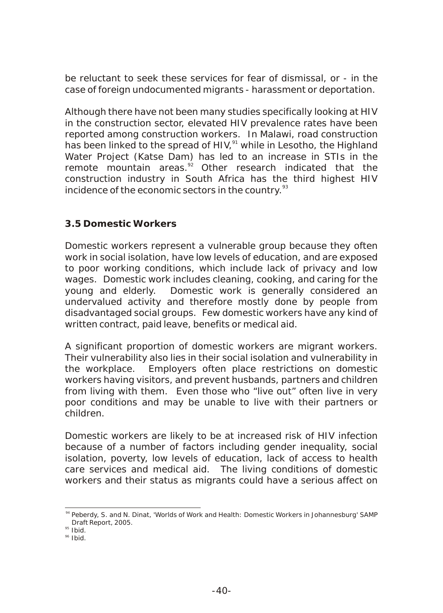be reluctant to seek these services for fear of dismissal, or - in the case of foreign undocumented migrants - harassment or deportation.

Although there have not been many studies specifically looking at HIV in the construction sector, elevated HIV prevalence rates have been reported among construction workers. In Malawi, road construction has been linked to the spread of HIV,<sup>91</sup> while in Lesotho, the Highland Water Project (Katse Dam) has led to an increase in STIs in the remote mountain areas. $\frac{\dot{p}_2}{2}$  Other research indicated that the construction industry in South Africa has the third highest HIV incidence of the economic sectors in the country.<sup>93</sup>

#### **3.5 Domestic Workers**

Domestic workers represent a vulnerable group because they often work in social isolation, have low levels of education, and are exposed to poor working conditions, which include lack of privacy and low wages. Domestic work includes cleaning, cooking, and caring for the young and elderly. Domestic work is generally considered an undervalued activity and therefore mostly done by people from disadvantaged social groups. Few domestic workers have any kind of written contract, paid leave, benefits or medical aid.

A significant proportion of domestic workers are migrant workers. Their vulnerability also lies in their social isolation and vulnerability in the workplace. Employers often place restrictions on domestic workers having visitors, and prevent husbands, partners and children from living with them. Even those who "live out" often live in very poor conditions and may be unable to live with their partners or children.

Domestic workers are likely to be at increased risk of HIV infection because of a number of factors including gender inequality, social isolation, poverty, low levels of education, lack of access to health care services and medical aid. The living conditions of domestic workers and their status as migrants could have a serious affect on

<sup>94</sup> Peberdy, S. and N. Dinat, 'Worlds of Work and Health: Domestic Workers in Johannesburg' SAMP Draft Report, 2005.

<sup>&</sup>lt;sup>95</sup> Ibid.

<sup>&</sup>lt;sup>96</sup> Ibid.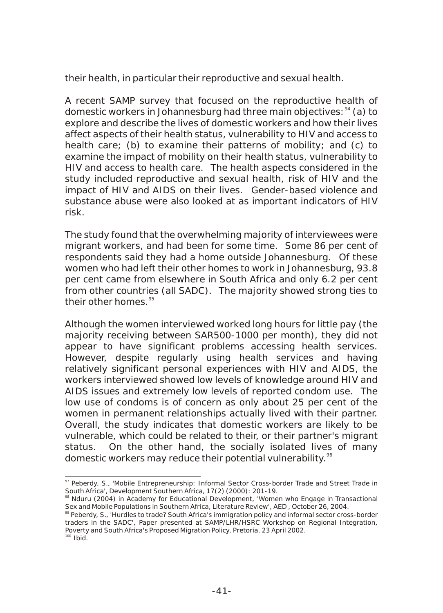their health, in particular their reproductive and sexual health.

A recent SAMP survey that focused on the reproductive health of domestic workers in Johannesburg had three main objectives: <sup>94</sup> (a) to explore and describe the lives of domestic workers and how their lives affect aspects of their health status, vulnerability to HIV and access to health care; (b) to examine their patterns of mobility; and (c) to examine the impact of mobility on their health status, vulnerability to HIV and access to health care. The health aspects considered in the study included reproductive and sexual health, risk of HIV and the impact of HIV and AIDS on their lives. Gender-based violence and substance abuse were also looked at as important indicators of HIV risk.

The study found that the overwhelming majority of interviewees were migrant workers, and had been for some time. Some 86 per cent of respondents said they had a home outside Johannesburg. Of these women who had left their other homes to work in Johannesburg, 93.8 per cent came from elsewhere in South Africa and only 6.2 per cent from other countries (all SADC). The majority showed strong ties to their other homes.<sup>95</sup>

Although the women interviewed worked long hours for little pay (the majority receiving between SAR500-1000 per month), they did not appear to have significant problems accessing health services. However, despite regularly using health services and having relatively significant personal experiences with HIV and AIDS, the workers interviewed showed low levels of knowledge around HIV and AIDS issues and extremely low levels of reported condom use. The low use of condoms is of concern as only about 25 per cent of the women in permanent relationships actually lived with their partner. Overall, the study indicates that domestic workers are likely to be vulnerable, which could be related to their, or their partner's migrant status. On the other hand, the socially isolated lives of many domestic workers may reduce their potential vulnerability.<sup>96</sup>

<sup>97</sup> Peberdy, S., 'Mobile Entrepreneurship: Informal Sector Cross-border Trade and Street Trade in South Africa', *Development Southern Africa,* 17(2) (2000): 201-19.

<sup>98</sup> Nduru (2004) in Academy for Educational Development, 'Women who Engage in Transactional Sex and Mobile Populations in Southern Africa, Literature Review', AED , October 26, 2004.

<sup>99</sup> Peberdy, S., 'Hurdles to trade? South Africa's immigration policy and informal sector cross-border traders in the SADC', Paper presented at SAMP/LHR/HSRC Workshop on Regional Integration, Poverty and South Africa's Proposed Migration Policy, Pretoria, 23 April 2002.  $100$  Ibid.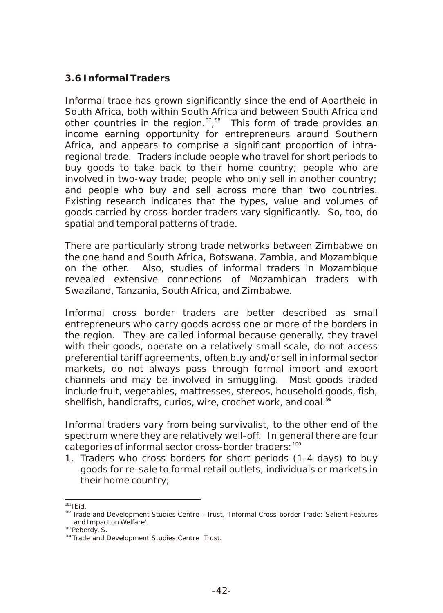## **3.6 Informal Traders**

Informal trade has grown significantly since the end of Apartheid in South Africa, both within South Africa and between South Africa and other countries in the region.  $\frac{97}{98}$  This form of trade provides an income earning opportunity for entrepreneurs around Southern Africa, and appears to comprise a significant proportion of intraregional trade. Traders include people who travel for short periods to buy goods to take back to their home country; people who are involved in two-way trade; people who only sell in another country; and people who buy and sell across more than two countries. Existing research indicates that the types, value and volumes of goods carried by cross-border traders vary significantly. So, too, do spatial and temporal patterns of trade.

There are particularly strong trade networks between Zimbabwe on the one hand and South Africa, Botswana, Zambia, and Mozambique on the other. Also, studies of informal traders in Mozambique revealed extensive connections of Mozambican traders with Swaziland, Tanzania, South Africa, and Zimbabwe.

Informal cross border traders are better described as small entrepreneurs who carry goods across one or more of the borders in the region. They are called informal because generally, they travel with their goods, operate on a relatively small scale, do not access preferential tariff agreements, often buy and/or sell in informal sector markets, do not always pass through formal import and export channels and may be involved in smuggling. Most goods traded include fruit, vegetables, mattresses, stereos, household goods, fish, shellfish, handicrafts, curios, wire, crochet work, and coal.<sup>9</sup>

Informal traders vary from being survivalist, to the other end of the spectrum where they are relatively well-off. In general there are four categories of informal sector cross-border traders: 100

1. Traders who cross borders for short periods (1-4 days) to buy goods for re-sale to formal retail outlets, individuals or markets in their home country;

 $101$  Ibid.

<sup>102</sup> Trade and Development Studies Centre - Trust, 'Informal Cross-border Trade: Salient Features and Impact on Welfare'.

<sup>103</sup> Peberdy, S.

<sup>&</sup>lt;sup>104</sup> Trade and Development Studies Centre Trust.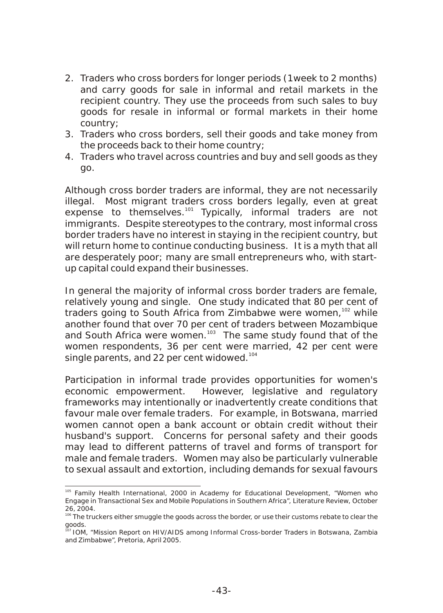- 2. Traders who cross borders for longer periods (1week to 2 months) and carry goods for sale in informal and retail markets in the recipient country. They use the proceeds from such sales to buy goods for resale in informal or formal markets in their home country;
- 3. Traders who cross borders, sell their goods and take money from the proceeds back to their home country;
- 4. Traders who travel across countries and buy and sell goods as they go.

Although cross border traders are informal, they are not necessarily illegal. Most migrant traders cross borders legally, even at great expense to themselves.<sup>101</sup> Typically, informal traders are not immigrants. Despite stereotypes to the contrary, most informal cross border traders have no interest in staying in the recipient country, but will return home to continue conducting business. It is a myth that all are desperately poor; many are small entrepreneurs who, with startup capital could expand their businesses.

In general the majority of informal cross border traders are female, relatively young and single. One study indicated that 80 per cent of traders going to South Africa from Zimbabwe were women,  $102$  while another found that over 70 per cent of traders between Mozambique and South Africa were women.<sup>103</sup> The same study found that of the women respondents, 36 per cent were married, 42 per cent were single parents, and 22 per cent widowed.<sup>104</sup>

Participation in informal trade provides opportunities for women's economic empowerment. However, legislative and regulatory frameworks may intentionally or inadvertently create conditions that favour male over female traders. For example, in Botswana, married women cannot open a bank account or obtain credit without their husband's support. Concerns for personal safety and their goods may lead to different patterns of travel and forms of transport for male and female traders. Women may also be particularly vulnerable to sexual assault and extortion, including demands for sexual favours

<sup>&</sup>lt;sup>105</sup> Family Health International, 2000 in Academy for Educational Development, "Women who Engage in Transactional Sex and Mobile Populations in Southern Africa", Literature Review, October 26, 2004.

<sup>106</sup> The truckers either smuggle the goods across the border, or use their customs rebate to clear the goods.

<sup>&</sup>lt;sup>57</sup> IOM, "Mission Report on HIV/AIDS among Informal Cross-border Traders in Botswana, Zambia and Zimbabwe", Pretoria, April 2005.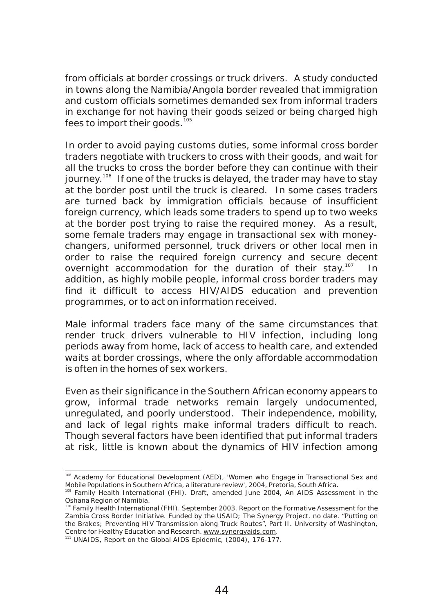from officials at border crossings or truck drivers. A study conducted in towns along the Namibia/Angola border revealed that immigration and custom officials sometimes demanded sex from informal traders in exchange for not having their goods seized or being charged high fees to import their goods.<sup>105</sup>

In order to avoid paying customs duties, some informal cross border traders negotiate with truckers to cross with their goods, and wait for all the trucks to cross the border before they can continue with their journey.<sup>106</sup> If one of the trucks is delayed, the trader may have to stay at the border post until the truck is cleared. In some cases traders are turned back by immigration officials because of insufficient foreign currency, which leads some traders to spend up to two weeks at the border post trying to raise the required money. As a result, some female traders may engage in transactional sex with moneychangers, uniformed personnel, truck drivers or other local men in order to raise the required foreign currency and secure decent overnight accommodation for the duration of their stay.<sup>107</sup> In addition, as highly mobile people, informal cross border traders may find it difficult to access HIV/AIDS education and prevention programmes, or to act on information received.

Male informal traders face many of the same circumstances that render truck drivers vulnerable to HIV infection, including long periods away from home, lack of access to health care, and extended waits at border crossings, where the only affordable accommodation is often in the homes of sex workers.

Even as their significance in the Southern African economy appears to grow, informal trade networks remain largely undocumented, unregulated, and poorly understood. Their independence, mobility, and lack of legal rights make informal traders difficult to reach. Though several factors have been identified that put informal traders at risk, little is known about the dynamics of HIV infection among

<sup>&</sup>lt;sup>108</sup> Academy for Educational Development (AED), 'Women who Engage in Transactional Sex and Mobile Populations in Southern Africa, a literature review', 2004, Pretoria, South Africa.

<sup>109</sup> Family Health International (FHI). Draft, amended June 2004, *An AIDS Assessment in the Oshana Region of Namibia.*

<sup>&</sup>lt;sup>110</sup> Family Health International (FHI). September 2003. Report on the Formative Assessment for the Zambia Cross Border Initiative. Funded by the USAID; The Synergy Project. no date. "Putting on the Brakes; Preventing HIV Transmission along Truck Routes", Part II. University of Washington, Centre for Healthy Education and Research. www.synergyaids.com.

<sup>&</sup>lt;sup>111</sup> UNAIDS, Report on the Global AIDS Epidemic, (2004), 176-177.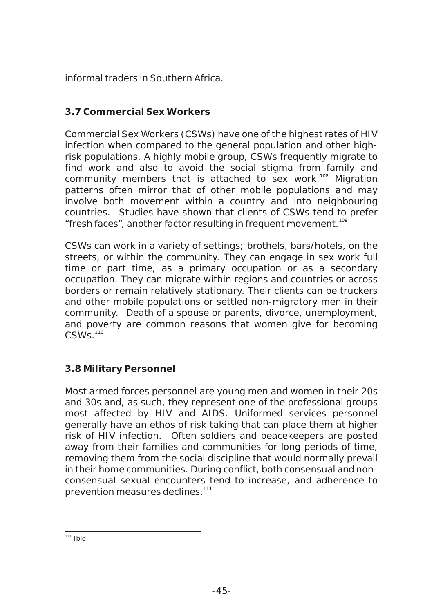informal traders in Southern Africa.

## **3.7 Commercial Sex Workers**

Commercial Sex Workers (CSWs) have one of the highest rates of HIV infection when compared to the general population and other highrisk populations. A highly mobile group, CSWs frequently migrate to find work and also to avoid the social stigma from family and community members that is attached to sex work.<sup>108</sup> Migration patterns often mirror that of other mobile populations and may involve both movement within a country and into neighbouring countries. Studies have shown that clients of CSWs tend to prefer "fresh faces", another factor resulting in frequent movement.<sup>109</sup>

CSWs can work in a variety of settings; brothels, bars/hotels, on the streets, or within the community. They can engage in sex work full time or part time, as a primary occupation or as a secondary occupation. They can migrate within regions and countries or across borders or remain relatively stationary. Their clients can be truckers and other mobile populations or settled non-migratory men in their community. Death of a spouse or parents, divorce, unemployment, and poverty are common reasons that women give for becoming  $CSWs$ <sup>110</sup>

#### **3.8 Military Personnel**

Most armed forces personnel are young men and women in their 20s and 30s and, as such, they represent one of the professional groups most affected by HIV and AIDS. Uniformed services personnel generally have an ethos of risk taking that can place them at higher risk of HIV infection. Often soldiers and peacekeepers are posted away from their families and communities for long periods of time, removing them from the social discipline that would normally prevail in their home communities. During conflict, both consensual and nonconsensual sexual encounters tend to increase, and adherence to prevention measures declines.<sup>111</sup>

 $112$  Ibid.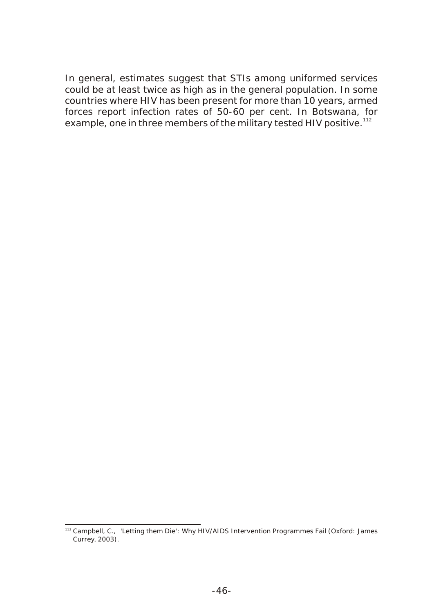In general, estimates suggest that STIs among uniformed services could be at least twice as high as in the general population. In some countries where HIV has been present for more than 10 years, armed forces report infection rates of 50-60 per cent. In Botswana, for example, one in three members of the military tested HIV positive.<sup>112</sup>

<sup>113</sup> Campbell, C., 'Letting them Die': *Why HIV/AIDS Intervention Programmes Fail* (Oxford: James Currey, 2003).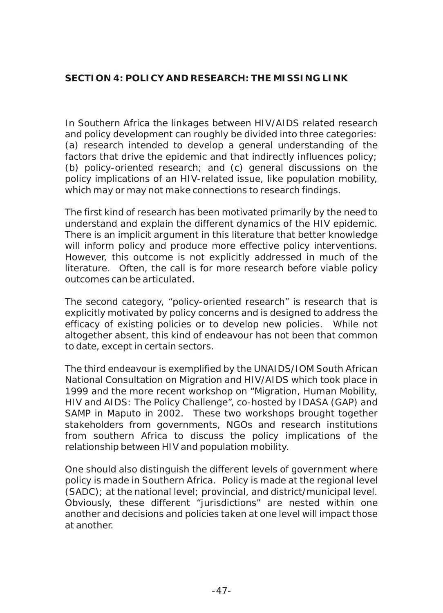## **SECTION 4: POLICY AND RESEARCH: THE MISSING LINK**

In Southern Africa the linkages between HIV/AIDS related research and policy development can roughly be divided into three categories: (a) research intended to develop a general understanding of the factors that drive the epidemic and that indirectly influences policy; (b) policy-oriented research; and (c) general discussions on the policy implications of an HIV-related issue, like population mobility, which may or may not make connections to research findings.

The first kind of research has been motivated primarily by the need to understand and explain the different dynamics of the HIV epidemic. There is an implicit argument in this literature that better knowledge will inform policy and produce more effective policy interventions. However, this outcome is not explicitly addressed in much of the literature. Often, the call is for more research before viable policy outcomes can be articulated.

The second category, "policy-oriented research" is research that is explicitly motivated by policy concerns and is designed to address the efficacy of existing policies or to develop new policies. While not altogether absent, this kind of endeavour has not been that common to date, except in certain sectors.

The third endeavour is exemplified by the UNAIDS/IOM South African National Consultation on Migration and HIV/AIDS which took place in 1999 and the more recent workshop on "Migration, Human Mobility, HIV and AIDS: The Policy Challenge", co-hosted by IDASA (GAP) and SAMP in Maputo in 2002. These two workshops brought together stakeholders from governments, NGOs and research institutions from southern Africa to discuss the policy implications of the relationship between HIV and population mobility.

One should also distinguish the different levels of government where policy is made in Southern Africa. Policy is made at the regional level (SADC); at the national level; provincial, and district/municipal level. Obviously, these different "jurisdictions" are nested within one another and decisions and policies taken at one level will impact those at another.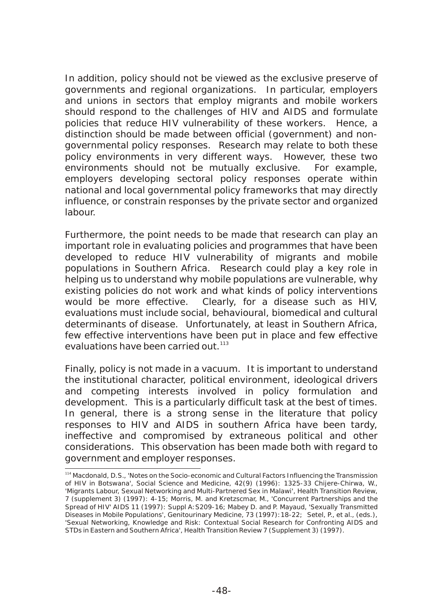In addition, policy should not be viewed as the exclusive preserve of governments and regional organizations. In particular, employers and unions in sectors that employ migrants and mobile workers should respond to the challenges of HIV and AIDS and formulate policies that reduce HIV vulnerability of these workers. Hence, a distinction should be made between official (government) and nongovernmental policy responses. Research may relate to both these policy environments in very different ways. However, these two environments should not be mutually exclusive. For example, employers developing sectoral policy responses operate within national and local governmental policy frameworks that may directly influence, or constrain responses by the private sector and organized labour.

Furthermore, the point needs to be made that research can play an important role in evaluating policies and programmes that have been developed to reduce HIV vulnerability of migrants and mobile populations in Southern Africa. Research could play a key role in helping us to understand why mobile populations are vulnerable, why existing policies do not work and what kinds of policy interventions would be more effective. Clearly, for a disease such as HIV, evaluations must include social, behavioural, biomedical and cultural determinants of disease. Unfortunately, at least in Southern Africa, few effective interventions have been put in place and few effective evaluations have been carried out.<sup>113</sup>

Finally, policy is not made in a vacuum. It is important to understand the institutional character, political environment, ideological drivers and competing interests involved in policy formulation and development. This is a particularly difficult task at the best of times. In general, there is a strong sense in the literature that policy responses to HIV and AIDS in southern Africa have been tardy, ineffective and compromised by extraneous political and other considerations. This observation has been made both with regard to government and employer responses.

<sup>114</sup> Macdonald, D.S., 'Notes on the Socio-economic and Cultural Factors Influencing the Transmission of HIV in Botswana', *Social Science and Medicine*, 42(9) (1996): 1325-33 Chijere-Chirwa, W., 'Migrants Labour, Sexual Networking and Multi-Partnered Sex in Malawi', Health Transition Review, 7 (supplement 3) (1997): 4-15; Morris, M. and Kretzscmar, M., 'Concurrent Partnerships and the Spread of HIV' AIDS 11 (1997): Suppl A:S209-16; Mabey D. and P. Mayaud, 'Sexually Transmitted Diseases in Mobile Populations', Genitourinary Medicine, 73 (1997):18-22; Setel, P., et al., (eds.), 'Sexual Networking, Knowledge and Risk: Contextual Social Research for Confronting AIDS and STDs in Eastern and Southern Africa', Health Transition Review 7 (Supplement 3) (1997).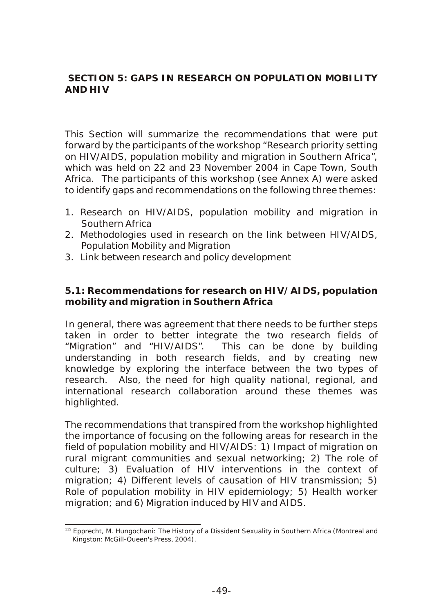## **SECTION 5: GAPS IN RESEARCH ON POPULATION MOBILITY AND HIV**

This Section will summarize the recommendations that were put forward by the participants of the workshop "Research priority setting on HIV/AIDS, population mobility and migration in Southern Africa", which was held on 22 and 23 November 2004 in Cape Town, South Africa. The participants of this workshop (see Annex A) were asked to identify gaps and recommendations on the following three themes:

- 1. Research on HIV/AIDS, population mobility and migration in Southern Africa
- 2. Methodologies used in research on the link between HIV/AIDS, Population Mobility and Migration
- 3. Link between research and policy development

**5.1: Recommendations for research on HIV/AIDS, population mobility and migration in Southern Africa**

In general, there was agreement that there needs to be further steps taken in order to better integrate the two research fields of "Migration" and "HIV/AIDS". This can be done by building understanding in both research fields, and by creating new knowledge by exploring the interface between the two types of research. Also, the need for high quality national, regional, and international research collaboration around these themes was highlighted.

The recommendations that transpired from the workshop highlighted the importance of focusing on the following areas for research in the field of population mobility and HIV/AIDS: 1) Impact of migration on rural migrant communities and sexual networking; 2) The role of culture; 3) Evaluation of HIV interventions in the context of migration; 4) Different levels of causation of HIV transmission; 5) Role of population mobility in HIV epidemiology; 5) Health worker migration; and 6) Migration induced by HIV and AIDS.

<sup>115</sup> Epprecht, M. *Hungochani: The History of a Dissident Sexuality in Southern Africa* (Montreal and Kingston: McGill-Queen's Press, 2004).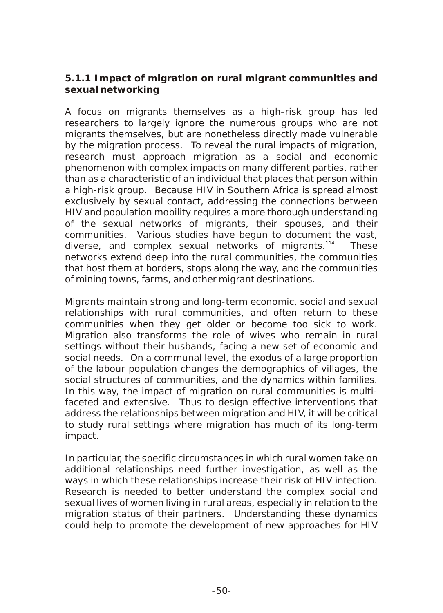**5.1.1 Impact of migration on rural migrant communities and sexual networking**

A focus on migrants themselves as a high-risk group has led researchers to largely ignore the numerous groups who are not migrants themselves, but are nonetheless directly made vulnerable by the migration process. To reveal the rural impacts of migration, research must approach migration as a social and economic phenomenon with complex impacts on many different parties, rather than as a characteristic of an individual that places that person within a high-risk group. Because HIV in Southern Africa is spread almost exclusively by sexual contact, addressing the connections between HIV and population mobility requires a more thorough understanding of the sexual networks of migrants, their spouses, and their communities. Various studies have begun to document the vast, diverse, and complex sexual networks of migrants. $114$  These networks extend deep into the rural communities, the communities that host them at borders, stops along the way, and the communities of mining towns, farms, and other migrant destinations.

Migrants maintain strong and long-term economic, social and sexual relationships with rural communities, and often return to these communities when they get older or become too sick to work. Migration also transforms the role of wives who remain in rural settings without their husbands, facing a new set of economic and social needs. On a communal level, the exodus of a large proportion of the labour population changes the demographics of villages, the social structures of communities, and the dynamics within families. In this way, the impact of migration on rural communities is multifaceted and extensive. Thus to design effective interventions that address the relationships between migration and HIV, it will be critical to study rural settings where migration has much of its long-term impact.

In particular, the specific circumstances in which rural women take on additional relationships need further investigation, as well as the ways in which these relationships increase their risk of HIV infection. Research is needed to better understand the complex social and sexual lives of women living in rural areas, especially in relation to the migration status of their partners. Understanding these dynamics could help to promote the development of new approaches for HIV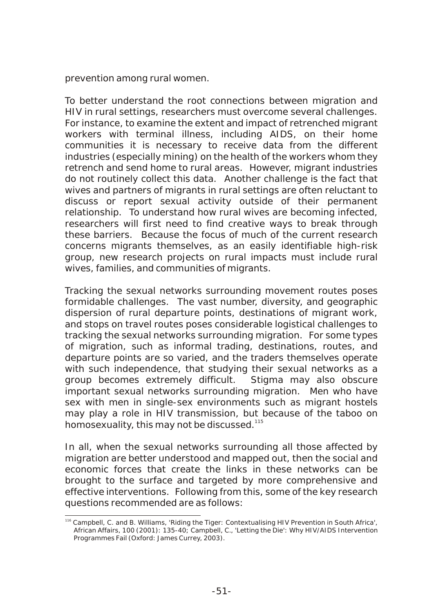prevention among rural women.

To better understand the root connections between migration and HIV in rural settings, researchers must overcome several challenges. For instance, to examine the extent and impact of retrenched migrant workers with terminal illness, including AIDS, on their home communities it is necessary to receive data from the different industries (especially mining) on the health of the workers whom they retrench and send home to rural areas. However, migrant industries do not routinely collect this data. Another challenge is the fact that wives and partners of migrants in rural settings are often reluctant to discuss or report sexual activity outside of their permanent relationship. To understand how rural wives are becoming infected, researchers will first need to find creative ways to break through these barriers. Because the focus of much of the current research concerns migrants themselves, as an easily identifiable high-risk group, new research projects on rural impacts must include rural wives, families, and communities of migrants.

Tracking the sexual networks surrounding movement routes poses formidable challenges. The vast number, diversity, and geographic dispersion of rural departure points, destinations of migrant work, and stops on travel routes poses considerable logistical challenges to tracking the sexual networks surrounding migration. For some types of migration, such as informal trading, destinations, routes, and departure points are so varied, and the traders themselves operate with such independence, that studying their sexual networks as a group becomes extremely difficult. Stigma may also obscure important sexual networks surrounding migration. Men who have sex with men in single-sex environments such as migrant hostels may play a role in HIV transmission, but because of the taboo on homosexuality, this may not be discussed.<sup>115</sup>

In all, when the sexual networks surrounding all those affected by migration are better understood and mapped out, then the social and economic forces that create the links in these networks can be brought to the surface and targeted by more comprehensive and effective interventions. Following from this, some of the key research questions recommended are as follows:

<sup>116</sup> Campbell, C. and B. Williams, 'Riding the Tiger: Contextualising HIV Prevention in South Africa', African Affairs, 100 (2001): 135-40; Campbell, C., '*Letting the Die': Why HIV/AIDS Intervention Programmes Fail* (Oxford: James Currey, 2003).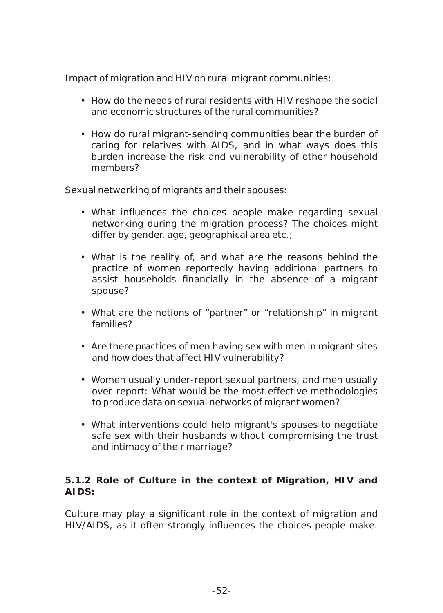## *Impact of migration and HIV on rural migrant communities:*

- How do the needs of rural residents with HIV reshape the social and economic structures of the rural communities?
- How do rural migrant-sending communities bear the burden of caring for relatives with AIDS, and in what ways does this burden increase the risk and vulnerability of other household members?

#### *Sexual networking of migrants and their spouses:*

- What influences the choices people make regarding sexual networking during the migration process? The choices might differ by gender, age, geographical area etc.;
- What is the reality of, and what are the reasons behind the practice of women reportedly having additional partners to assist households financially in the absence of a migrant spouse?
- What are the notions of "partner" or "relationship" in migrant families?
- Are there practices of men having sex with men in migrant sites and how does that affect HIV vulnerability?
- Women usually under-report sexual partners, and men usually over-report: What would be the most effective methodologies to produce data on sexual networks of migrant women?
- What interventions could help migrant's spouses to negotiate safe sex with their husbands without compromising the trust and intimacy of their marriage?

**5.1.2 Role of Culture in the context of Migration, HIV and AIDS:**

Culture may play a significant role in the context of migration and HIV/AIDS, as it often strongly influences the choices people make.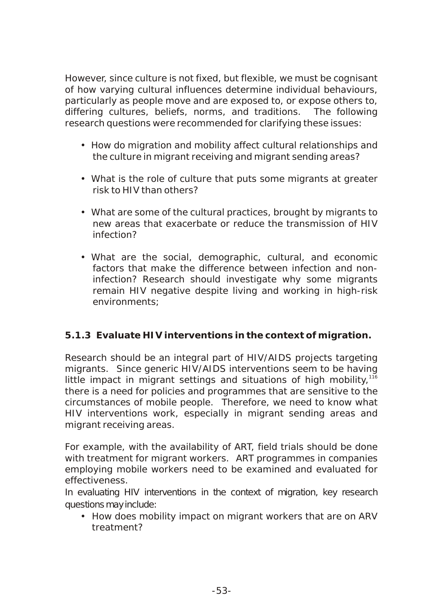However, since culture is not fixed, but flexible, we must be cognisant of how varying cultural influences determine individual behaviours, particularly as people move and are exposed to, or expose others to, differing cultures, beliefs, norms, and traditions. The following research questions were recommended for clarifying these issues:

- How do migration and mobility affect cultural relationships and the culture in migrant receiving and migrant sending areas?
- What is the role of culture that puts some migrants at greater risk to HIV than others?
- What are some of the cultural practices, brought by migrants to new areas that exacerbate or reduce the transmission of HIV infection?
- What are the social, demographic, cultural, and economic factors that make the difference between infection and noninfection? Research should investigate why some migrants remain HIV negative despite living and working in high-risk environments;

## *5.1.3 Evaluate HIV interventions in the context of migration.*

Research should be an integral part of HIV/AIDS projects targeting migrants. Since generic HIV/AIDS interventions seem to be having little impact in migrant settings and situations of high mobility,  $116$ there is a need for policies and programmes that are sensitive to the circumstances of mobile people. Therefore, we need to know what HIV interventions work, especially in migrant sending areas and migrant receiving areas.

For example, with the availability of ART, field trials should be done with treatment for migrant workers. ART programmes in companies employing mobile workers need to be examined and evaluated for effectiveness.

In evaluating HIV interventions in the context of migration, key research questions may include:

• How does mobility impact on migrant workers that are on ARV treatment?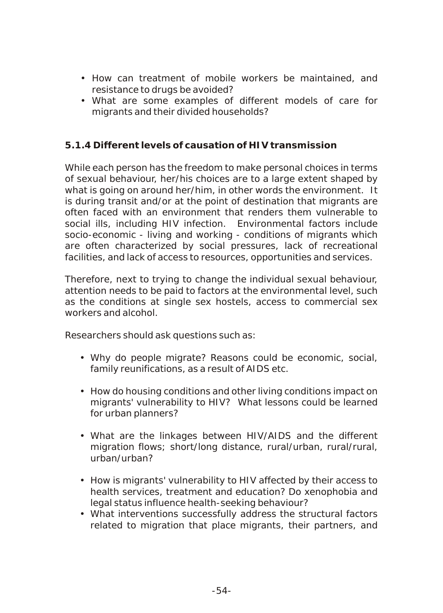- How can treatment of mobile workers be maintained, and resistance to drugs be avoided?
- What are some examples of different models of care for migrants and their divided households?

## *5.1.4 Different levels of causation of HIV transmission*

While each person has the freedom to make personal choices in terms of sexual behaviour, her/his choices are to a large extent shaped by what is going on around her/him, in other words the environment. It is during transit and/or at the point of destination that migrants are often faced with an environment that renders them vulnerable to social ills, including HIV infection. Environmental factors include socio-economic - living and working - conditions of migrants which are often characterized by social pressures, lack of recreational facilities, and lack of access to resources, opportunities and services.

Therefore, next to trying to change the individual sexual behaviour, attention needs to be paid to factors at the environmental level, such as the conditions at single sex hostels, access to commercial sex workers and alcohol.

Researchers should ask questions such as:

- Why do people migrate? Reasons could be economic, social, family reunifications, as a result of AIDS etc.
- How do housing conditions and other living conditions impact on migrants' vulnerability to HIV? What lessons could be learned for urban planners?
- What are the linkages between HIV/AIDS and the different migration flows; short/long distance, rural/urban, rural/rural, urban/urban?
- How is migrants' vulnerability to HIV affected by their access to health services, treatment and education? Do xenophobia and legal status influence health-seeking behaviour?
- What interventions successfully address the structural factors related to migration that place migrants, their partners, and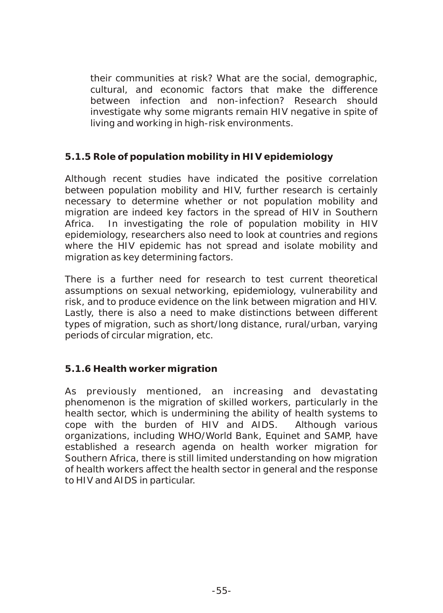their communities at risk? What are the social, demographic, cultural, and economic factors that make the difference between infection and non-infection? Research should investigate why some migrants remain HIV negative in spite of living and working in high-risk environments.

## *5.1.5 Role of population mobility in HIV epidemiology*

Although recent studies have indicated the positive correlation between population mobility and HIV, further research is certainly necessary to determine whether or not population mobility and migration are indeed key factors in the spread of HIV in Southern Africa. In investigating the role of population mobility in HIV epidemiology, researchers also need to look at countries and regions where the HIV epidemic has not spread and isolate mobility and migration as key determining factors.

There is a further need for research to test current theoretical assumptions on sexual networking, epidemiology, vulnerability and risk, and to produce evidence on the link between migration and HIV. Lastly, there is also a need to make distinctions between different types of migration, such as short/long distance, rural/urban, varying periods of circular migration, etc.

## *5.1.6 Health worker migration*

As previously mentioned, an increasing and devastating phenomenon is the migration of skilled workers, particularly in the health sector, which is undermining the ability of health systems to cope with the burden of HIV and AIDS. Although various organizations, including WHO/World Bank, Equinet and SAMP, have established a research agenda on health worker migration for Southern Africa, there is still limited understanding on how migration of health workers affect the health sector in general and the response to HIV and AIDS in particular.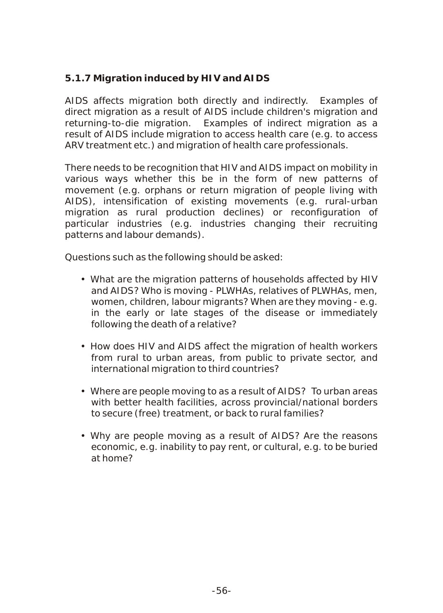# *5.1.7 Migration induced by HIV and AIDS*

AIDS affects migration both directly and indirectly. Examples of direct migration as a result of AIDS include children's migration and returning-to-die migration. Examples of indirect migration as a result of AIDS include migration to access health care (e.g. to access ARV treatment etc.) and migration of health care professionals.

There needs to be recognition that HIV and AIDS impact on mobility in various ways whether this be in the form of new patterns of movement (e.g. orphans or return migration of people living with AIDS), intensification of existing movements (e.g. rural-urban migration as rural production declines) or reconfiguration of particular industries (e.g. industries changing their recruiting patterns and labour demands).

Questions such as the following should be asked:

- What are the migration patterns of households affected by HIV and AIDS? Who is moving - PLWHAs, relatives of PLWHAs, men, women, children, labour migrants? When are they moving - e.g. in the early or late stages of the disease or immediately following the death of a relative?
- How does HIV and AIDS affect the migration of health workers from rural to urban areas, from public to private sector, and international migration to third countries?
- Where are people moving to as a result of AIDS? To urban areas with better health facilities, across provincial/national borders to secure (free) treatment, or back to rural families?
- Why are people moving as a result of AIDS? Are the reasons economic, e.g. inability to pay rent, or cultural, e.g. to be buried at home?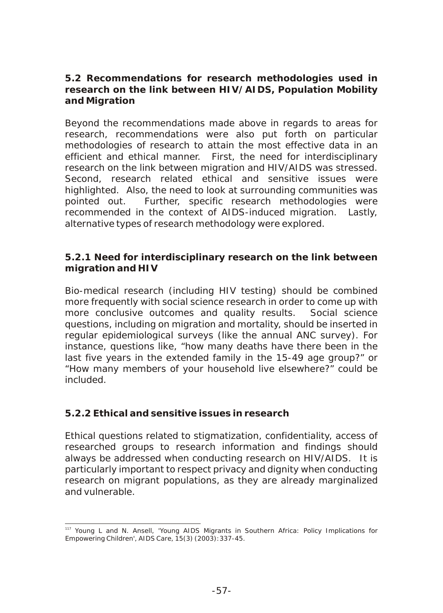**5.2 Recommendations for research methodologies used in research on the link between HIV/AIDS, Population Mobility and Migration**

Beyond the recommendations made above in regards to areas for research, recommendations were also put forth on particular methodologies of research to attain the most effective data in an efficient and ethical manner. First, the need for interdisciplinary research on the link between migration and HIV/AIDS was stressed. Second, research related ethical and sensitive issues were highlighted. Also, the need to look at surrounding communities was pointed out. Further, specific research methodologies were recommended in the context of AIDS-induced migration. Lastly, alternative types of research methodology were explored.

#### *5.2.1 Need for interdisciplinary research on the link between migration and HIV*

Bio-medical research (including HIV testing) should be combined more frequently with social science research in order to come up with more conclusive outcomes and quality results. Social science questions, including on migration and mortality, should be inserted in regular epidemiological surveys (like the annual ANC survey). For instance, questions like, "how many deaths have there been in the last five years in the extended family in the 15-49 age group?" or "How many members of your household live elsewhere?" could be included.

## *5.2.2 Ethical and sensitive issues in research*

Ethical questions related to stigmatization, confidentiality, access of researched groups to research information and findings should always be addressed when conducting research on HIV/AIDS. It is particularly important to respect privacy and dignity when conducting research on migrant populations, as they are already marginalized and vulnerable.

<sup>&</sup>lt;sup>117</sup> Young L and N. Ansell, 'Young AIDS Migrants in Southern Africa: Policy Implications for Empowering Children', AIDS Care, 15(3) (2003):337-45.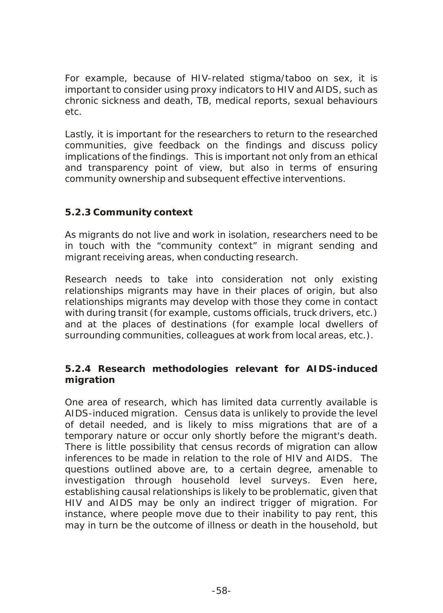For example, because of HIV-related stigma/taboo on sex, it is important to consider using proxy indicators to HIV and AIDS, such as chronic sickness and death, TB, medical reports, sexual behaviours etc.

Lastly, it is important for the researchers to return to the researched communities, give feedback on the findings and discuss policy implications of the findings. This is important not only from an ethical and transparency point of view, but also in terms of ensuring community ownership and subsequent effective interventions.

## *5.2.3 Community context*

As migrants do not live and work in isolation, researchers need to be in touch with the "community context" in migrant sending and migrant receiving areas, when conducting research.

Research needs to take into consideration not only existing relationships migrants may have in their places of origin, but also relationships migrants may develop with those they come in contact with during transit (for example, customs officials, truck drivers, etc.) and at the places of destinations (for example local dwellers of surrounding communities, colleagues at work from local areas, etc.).

## *5.2.4 Research methodologies relevant for AIDS-induced migration*

One area of research, which has limited data currently available is AIDS-induced migration. Census data is unlikely to provide the level of detail needed, and is likely to miss migrations that are of a temporary nature or occur only shortly before the migrant's death. There is little possibility that census records of migration can allow inferences to be made in relation to the role of HIV and AIDS. The questions outlined above are, to a certain degree, amenable to investigation through household level surveys. Even here, establishing causal relationships is likely to be problematic, given that HIV and AIDS may be only an indirect trigger of migration. For instance, where people move due to their inability to pay rent, this may in turn be the outcome of illness or death in the household, but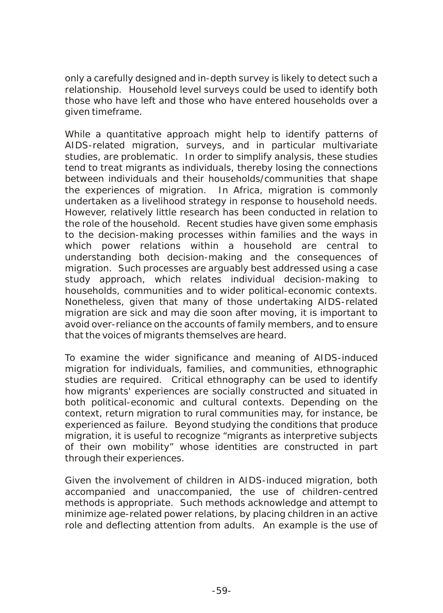only a carefully designed and in-depth survey is likely to detect such a relationship. Household level surveys could be used to identify both those who have left and those who have entered households over a given timeframe.

While a quantitative approach might help to identify patterns of AIDS-related migration, surveys, and in particular multivariate studies, are problematic. In order to simplify analysis, these studies tend to treat migrants as individuals, thereby losing the connections between individuals and their households/communities that shape the experiences of migration. In Africa, migration is commonly undertaken as a livelihood strategy in response to household needs. However, relatively little research has been conducted in relation to the role of the household. Recent studies have given some emphasis to the decision-making processes within families and the ways in which power relations within a household are central to understanding both decision-making and the consequences of migration. Such processes are arguably best addressed using a case study approach, which relates individual decision-making to households, communities and to wider political-economic contexts. Nonetheless, given that many of those undertaking AIDS-related migration are sick and may die soon after moving, it is important to avoid over-reliance on the accounts of family members, and to ensure that the voices of migrants themselves are heard.

To examine the wider significance and meaning of AIDS-induced migration for individuals, families, and communities, ethnographic studies are required. Critical ethnography can be used to identify how migrants' experiences are socially constructed and situated in both political-economic and cultural contexts. Depending on the context, return migration to rural communities may, for instance, be experienced as failure. Beyond studying the conditions that produce migration, it is useful to recognize "migrants as interpretive subjects of their own mobility" whose identities are constructed in part through their experiences.

Given the involvement of children in AIDS-induced migration, both accompanied and unaccompanied, the use of children-centred methods is appropriate. Such methods acknowledge and attempt to minimize age-related power relations, by placing children in an active role and deflecting attention from adults. An example is the use of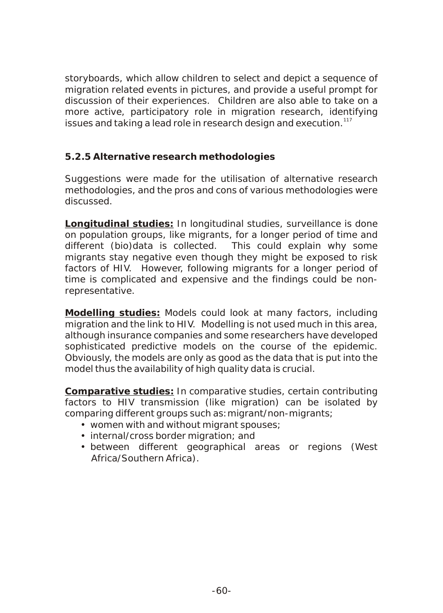storyboards, which allow children to select and depict a sequence of migration related events in pictures, and provide a useful prompt for discussion of their experiences. Children are also able to take on a more active, participatory role in migration research, identifying issues and taking a lead role in research design and execution.<sup>117</sup>

## *5.2.5 Alternative research methodologies*

Suggestions were made for the utilisation of alternative research methodologies, and the pros and cons of various methodologies were discussed.

**Longitudinal studies:** In longitudinal studies, surveillance is done on population groups, like migrants, for a longer period of time and different (bio)data is collected. This could explain why some migrants stay negative even though they might be exposed to risk factors of HIV. However, following migrants for a longer period of time is complicated and expensive and the findings could be nonrepresentative.

**Modelling studies:** Models could look at many factors, including migration and the link to HIV. Modelling is not used much in this area, although insurance companies and some researchers have developed sophisticated predictive models on the course of the epidemic. Obviously, the models are only as good as the data that is put into the model thus the availability of high quality data is crucial.

**Comparative studies:** In comparative studies, certain contributing factors to HIV transmission (like migration) can be isolated by comparing different groups such as:migrant/non-migrants;

- women with and without migrant spouses;
- internal/cross border migration; and
- between different geographical areas or regions (West Africa/Southern Africa).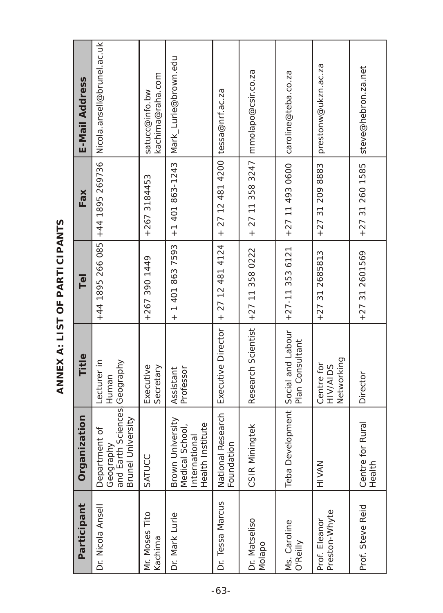| E-Mail Address            | Nicola ansell@brunel.ac.uk                                                      | kachima@raha.com<br>satucc@info.bw | Mark_Lurie@brown.edu                                                            |                                    | mmolapo@csir.co.za      | caroline@teba.co.za                | prestonw@ukzn.ac.za                  | steve@hebron.za.net        |
|---------------------------|---------------------------------------------------------------------------------|------------------------------------|---------------------------------------------------------------------------------|------------------------------------|-------------------------|------------------------------------|--------------------------------------|----------------------------|
| Fax                       | $+44$ 1895 266 085 +44 1895 269736                                              | +267 3184453                       | $+1$ 401 863-1243                                                               | + 27 12 481 4200 tessa@nrf.ac.za   | $+27$ 11 358 3247       | $+27$ 11 493 0600                  | +27 31 209 8883                      | $+27312601585$             |
| $\overline{\overline{e}}$ |                                                                                 | +267 390 1449                      | + 1 401 863 7593                                                                | $+27$ 12 481 4124                  | $+27$ 11 358 0222       | $+27-113536121$                    | $+27312685813$                       | $+27312601569$             |
| Title                     | Lecturer in<br>Human                                                            | Executive<br>Secretary             | Assistant<br>Professor                                                          | Executive Director                 | Research Scientist      | Plan Consultant                    | Networking<br>Centre for<br>HIV/AIDS | Director                   |
| nization<br>Orgar         | and Earth Sciences Geography<br>Brunel University<br>Department of<br>Geography | SATUCC                             | Brown University<br>nstitute<br>School,<br>International<br>Health I<br>Medical | Research<br>Foundation<br>National | ningtek<br>CSIR Mi      | Teba Development Social and Labour | HIVAN                                | Centre for Rural<br>Health |
| Participant               | Dr. Nicola Ansell                                                               | Mr. Moses Tito<br>Kachima          | Dr. Mark Lurie                                                                  | Dr. Tessa Marcus                   | Dr. Matseliso<br>Molapo | Ms. Caroline<br>O'Reilly           | Preston-Whyte<br>Prof. Eleanor       | Prof. Steve Reid           |

ANNEX A: LIST OF PARTICIPANTS **ANNEX A: LIST OF PARTICIPANTS**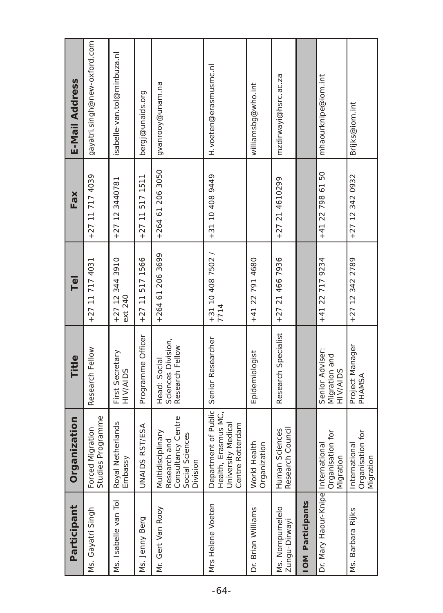| Participant                        | Organization                                                                                 | Title                                                 | $\overline{\overline{e}}$    | Fax               | E-Mail Address               |
|------------------------------------|----------------------------------------------------------------------------------------------|-------------------------------------------------------|------------------------------|-------------------|------------------------------|
| Ms. Gayatri Singh                  | Studies Programme<br>Forced Migration                                                        | Research Fellow                                       | +27 11 717 4031              | +27 11 717 4039   | gayatri.singh@new-oxford.com |
| Ms. Isabelle van Tol               | herlands<br>Royal Net<br>Embassy                                                             | First Secretary<br>HIV/AIDS                           | $+27$ 12 344 3910<br>ext 240 | $+27$ 12 3440781  | isabelle-van.tol@minbuza.nl  |
| Ms. Jenny Berg                     | <b>ST/ESA</b><br>UNAIDS R                                                                    | Programme Officer                                     | $+27$ 11 517 1566            | $+27$ 11 517 1511 | bergj@unaids.org             |
| Mr. Gert Van Rooy                  | Consultancy Centre<br>Multidisciplinary<br>Social Sciences<br>and<br>Research<br>Division    | Sciences Division,<br>Research Fellow<br>Head: Social | +264 61 206 3699             | +264 61 206 3050  | gvanrooy@unam.na             |
| Mrs Helene Voeten                  | Department of Public<br>asmus MC,<br>Medical<br>Centre Rotterdam<br>University<br>Health, Er | Senior Researcher                                     | $+31$ 10 408 7502 /<br>7714  | +31 10 408 9449   | H.voeten@erasmusmc.nl        |
| Dr. Brian Williams                 | World Health<br>ion<br>Organizati                                                            | Epidemiologist                                        | +41 22 791 4680              |                   | williamsbg@who.int           |
| Ms. Nompumelelo<br>Zungu-Dirwayi   | Council<br>Human Sciences<br>Research (                                                      | Research Specialist                                   | $+27$ 21 466 7936            | +27 21 4610299    | mzdirwayi@hsrc.ac.za         |
| IOM Participants                   |                                                                                              |                                                       |                              |                   |                              |
| Dr. Mary Haour-Knipe International | Organisation for<br>Migration                                                                | Senior Adviser:<br>Migration and<br><b>HIV/AIDS</b>   | +41 22 717 9234              | +41 22 798 61 50  | mhaourknipe@iom.int          |
| Ms. Barbara Rijks                  | ion for<br>International<br>Organisati<br>Migration                                          | Project Manager<br>PHAMSA                             | +27 12 342 2789              | +27 12 342 0932   | Brijks@iom.int               |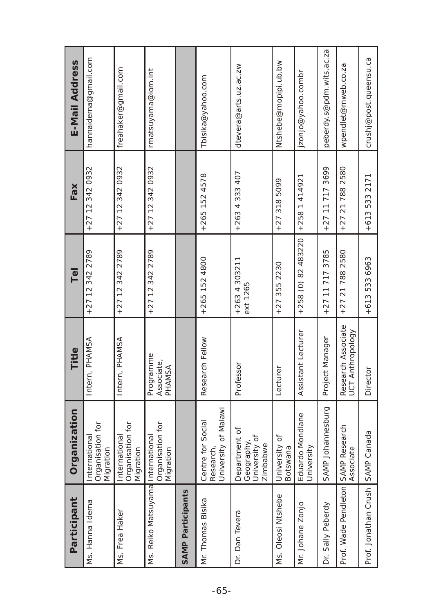| E-Mail Address          | hannaidema@gmail.com                           | freahaker@gmail.com                            | rmatsuyama@iom.int                |                   | Tbisika@yahoo.com                                      | dtevera@arts.uz.ac.zw                                    | Ntshebe@mopipi.ub.bw      | jzonjo@yahoo.combr                 | peberdy.s@pdm.wits.ac.za | wpendlet@mweb.co.za                    | crushj@post.queensu.ca    |
|-------------------------|------------------------------------------------|------------------------------------------------|-----------------------------------|-------------------|--------------------------------------------------------|----------------------------------------------------------|---------------------------|------------------------------------|--------------------------|----------------------------------------|---------------------------|
| Fax                     | +27 12 342 0932                                | +27 12 342 0932                                | +27 12 342 0932                   |                   | $+265$ 152 4578                                        | +263 4 333 407                                           | $+273185099$              | +258 1 414921                      | +27 11 717 3699          | $+27$ 21 788 2580                      | $+6135332171$             |
| $\overline{\mathbb{P}}$ | +27 12 342 2789                                | $+27$ 12 342 2789                              | +27 12 342 2789                   |                   | $+265$ 152 4800                                        | $+2634303211$<br>ext 1265                                | 355 2230<br>$+27$         | $+258$ (0) 82 483220               | $+27$ 11 717 3785        | $+27217882580$                         | +613 533 6963             |
| Title                   | Intern, PHAMSA                                 | Intern, PHAMSA                                 | Programme<br>Associate,<br>PHAMSA |                   | Research Fellow                                        | Professor                                                | Lecturer                  | Assistant Lecturer                 | Project Manager          | Research Associate<br>UCT Anthropology | Director                  |
| Organization            | Organisation for<br>International<br>Migration | Organisation for<br>International<br>Migration | Organisation for<br>Migration     |                   | University of Malawi<br>Centre for Social<br>Research, | Department of<br>University of<br>Geography,<br>Zimbabwe | University of<br>Botswana | do Mondlane<br>University<br>Eduar | SAMP Johannesburg        | Research<br>Associate                  | Canada                    |
| Participant             | Ms. Hanna Idema                                | Ms. Frea Haker                                 | Ms. Reiko Matsuyama International | SAMP Participants | Mr. Thomas Bisika                                      | Dr. Dan Tevera                                           | Ms. Oleosi Ntshebe        | Mr. Johane Zonjo                   | Dr. Sally Peberdy        | Prof. Wade Pendleton SAMP              | Prof. Jonathan Crush SAMP |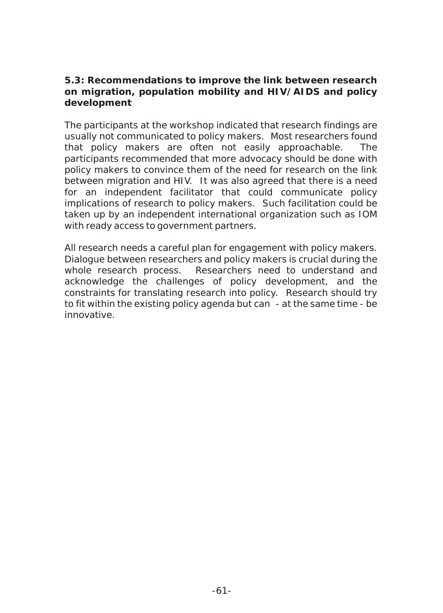**5.3: Recommendations to improve the link between research on migration, population mobility and HIV/AIDS and policy development**

The participants at the workshop indicated that research findings are usually not communicated to policy makers. Most researchers found that policy makers are often not easily approachable. The participants recommended that more advocacy should be done with policy makers to convince them of the need for research on the link between migration and HIV. It was also agreed that there is a need for an independent facilitator that could communicate policy implications of research to policy makers. Such facilitation could be taken up by an independent international organization such as IOM with ready access to government partners.

All research needs a careful plan for engagement with policy makers. Dialogue between researchers and policy makers is crucial during the whole research process. Researchers need to understand and acknowledge the challenges of policy development, and the constraints for translating research into policy. Research should try to fit within the existing policy agenda but can - at the same time - be innovative.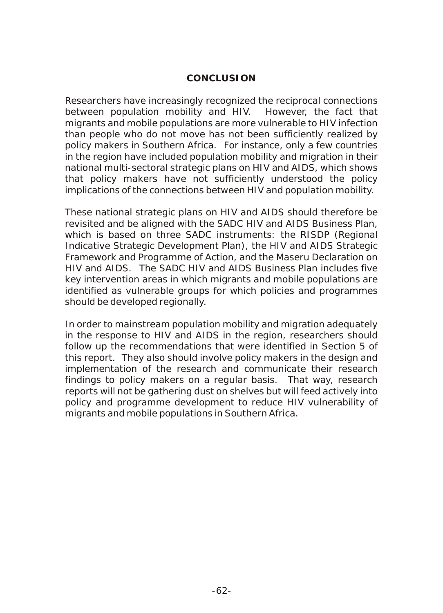#### **CONCLUSION**

Researchers have increasingly recognized the reciprocal connections between population mobility and HIV. However, the fact that migrants and mobile populations are more vulnerable to HIV infection than people who do not move has not been sufficiently realized by policy makers in Southern Africa. For instance, only a few countries in the region have included population mobility and migration in their national multi-sectoral strategic plans on HIV and AIDS, which shows that policy makers have not sufficiently understood the policy implications of the connections between HIV and population mobility.

These national strategic plans on HIV and AIDS should therefore be revisited and be aligned with the SADC HIV and AIDS Business Plan, which is based on three SADC instruments: the RISDP (Regional Indicative Strategic Development Plan), the HIV and AIDS Strategic Framework and Programme of Action, and the Maseru Declaration on HIV and AIDS. The SADC HIV and AIDS Business Plan includes five key intervention areas in which migrants and mobile populations are identified as vulnerable groups for which policies and programmes should be developed regionally.

In order to mainstream population mobility and migration adequately in the response to HIV and AIDS in the region, researchers should follow up the recommendations that were identified in Section 5 of this report. They also should involve policy makers in the design and implementation of the research and communicate their research findings to policy makers on a regular basis. That way, research reports will not be gathering dust on shelves but will feed actively into policy and programme development to reduce HIV vulnerability of migrants and mobile populations in Southern Africa.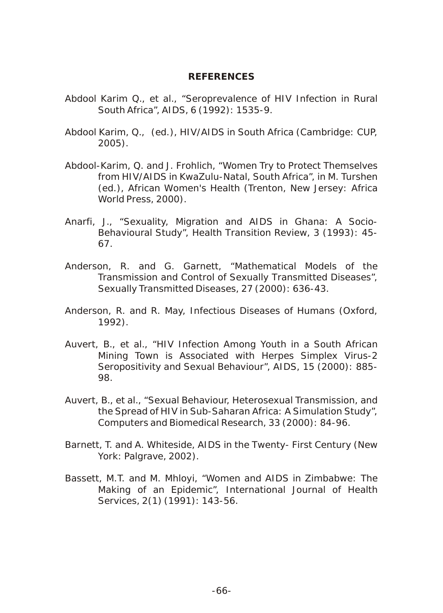#### **REFERENCES**

- Abdool Karim Q., et al., "Seroprevalence of HIV Infection in Rural South Africa", AIDS, 6 (1992): 1535-9.
- Abdool Karim, Q., (ed.), *HIV/AIDS in South Africa* (Cambridge: CUP, 2005).
- Abdool-Karim, Q. and J. Frohlich, "Women Try to Protect Themselves from HIV/AIDS in KwaZulu-Natal, South Africa", in M. Turshen (ed.), *African Women's Health* (Trenton, New Jersey: Africa World Press, 2000).
- Anarfi, J., "Sexuality, Migration and AIDS in Ghana: A Socio-Behavioural Study", *Health Transition Review*, 3 (1993): 45- 67.
- Anderson, R. and G. Garnett, "Mathematical Models of the Transmission and Control of *Sexually Transmitted Diseases*", Sexually Transmitted Diseases, 27 (2000): 636-43.
- Anderson, R. and R. May, *Infectious Diseases of Human*s (Oxford, 1992).
- Auvert, B., et al., "HIV Infection Among Youth in a South African Mining Town is Associated with Herpes Simplex Virus-2 Seropositivity and Sexual Behaviour", *AIDS*, 15 (2000): 885- 98.
- Auvert, B., et al., "Sexual Behaviour, Heterosexual Transmission, and the Spread of HIV in Sub-Saharan Africa: A Simulation Study", *Computers and Biomedical Research*, 33 (2000): 84-96.
- Barnett, T. and A. Whiteside, *AIDS in the Twenty- First Century* (New York: Palgrave, 2002).
- Bassett, M.T. and M. Mhloyi, "Women and AIDS in Zimbabwe: The Making of an Epidemic", *International Journal of Health Services*, 2(1) (1991): 143-56.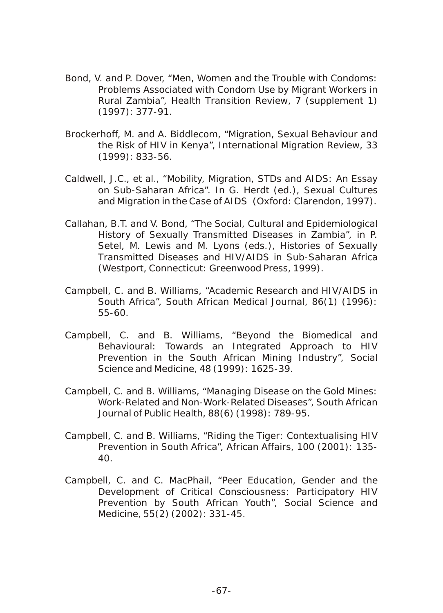- Bond, V. and P. Dover, "Men, Women and the Trouble with Condoms: Problems Associated with Condom Use by Migrant Workers in Rural Zambia", *Health Transition Review*, 7 (supplement 1) (1997): 377-91.
- Brockerhoff, M. and A. Biddlecom, "Migration, Sexual Behaviour and the Risk of HIV in Kenya", *International Migration Review*, 33 (1999): 833-56.
- Caldwell, J.C., et al., "Mobility, Migration, STDs and AIDS: An Essay on Sub-Saharan Africa". In G. Herdt (ed.), *Sexual Cultures and Migration in the Case of AIDS* (Oxford: Clarendon, 1997).
- Callahan, B.T. and V. Bond, "The Social, Cultural and Epidemiological History of Sexually Transmitted Diseases in Zambia", in P. Setel, M. Lewis and M. Lyons (eds.), *Histories of Sexually Transmitted Diseases and HIV/AIDS in Sub-Saharan Africa* (Westport, Connecticut: Greenwood Press, 1999).
- Campbell, C. and B. Williams, "Academic Research and HIV/AIDS in South Africa", *South African Medical Journal,* 86(1) (1996): 55-60.
- Campbell, C. and B. Williams, "Beyond the Biomedical and Behavioural: Towards an Integrated Approach to HIV Prevention in the South African Mining Industry", *Social Science and Medicine*, 48 (1999): 1625-39.
- Campbell, C. and B. Williams, "Managing Disease on the Gold Mines: Work-Related and Non-Work-Related Diseases", *South African Journal of Public Health*, 88(6) (1998): 789-95.
- Campbell, C. and B. Williams, "Riding the Tiger: Contextualising HIV Prevention in South Africa", *African Affairs*, 100 (2001): 135- 40.
- Campbell, C. and C. MacPhail, "Peer Education, Gender and the Development of Critical Consciousness: Participatory HIV Prevention by South African Youth", *Social Science and Medicine*, 55(2) (2002): 331-45.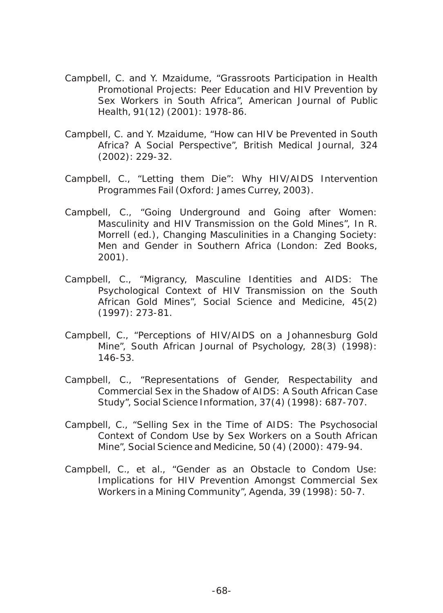- Campbell, C. and Y. Mzaidume, "Grassroots Participation in Health Promotional Projects: Peer Education and HIV Prevention by Sex Workers in South Africa", *American Journal of Public Health*, 91(12) (2001): 1978-86.
- Campbell, C. and Y. Mzaidume, "How can HIV be Prevented in South Africa? A Social Perspective", *British Medical Journal*, 324 (2002): 229-32.
- Campbell, C., "Letting them Die": Why HIV/AIDS Intervention Programmes Fail (Oxford: James Currey, 2003).
- Campbell, C., "Going Underground and Going after Women: Masculinity and HIV Transmission on the Gold Mines", In R. Morrell (ed.), Changing Masculinities in a Changing Society: Men and Gender in Southern Africa (London: Zed Books, 2001).
- Campbell, C., "Migrancy, Masculine Identities and AIDS: The Psychological Context of HIV Transmission on the South African Gold Mines", *Social Science and Medicine*, 45(2) (1997): 273-81.
- Campbell, C., "Perceptions of HIV/AIDS on a Johannesburg Gold Mine", *South African Journal of Psycholog*y, 28(3) (1998): 146-53.
- Campbell, C., "Representations of Gender, Respectability and Commercial Sex in the Shadow of AIDS: A South African Case Study", *Social Science Information*, 37(4) (1998): 687-707.
- Campbell, C., "Selling Sex in the Time of AIDS: The Psychosocial Context of Condom Use by Sex Workers on a South African Mine", *Social Science and Medicine*, 50 (4) (2000): 479-94.
- Campbell, C., et al., "Gender as an Obstacle to Condom Use: Implications for HIV Prevention Amongst Commercial Sex Workers in a Mining Community", *Agenda*, 39 (1998): 50-7.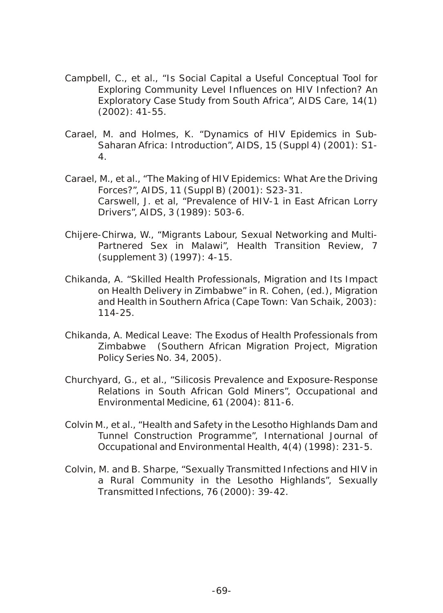- Campbell, C., et al., "Is Social Capital a Useful Conceptual Tool for Exploring Community Level Influences on HIV Infection? An Exploratory Case Study from South Africa", *AIDS Care*, 14(1) (2002): 41-55.
- Carael, M. and Holmes, K. "Dynamics of HIV Epidemics in Sub-Saharan Africa: Introduction", *AIDS*, 15 (Suppl 4) (2001): S1- 4.
- Carael, M., et al., "The Making of HIV Epidemics: What Are the Driving Forces?", *AIDS*, 11 (Suppl B) (2001): S23-31. Carswell, J. et al, "Prevalence of HIV-1 in East African Lorry Drivers", *AIDS*, 3 (1989): 503-6.
- Chijere-Chirwa, W., "Migrants Labour, Sexual Networking and Multi-Partnered Sex in Malawi", *Health Transition Review*, 7 (supplement 3) (1997): 4-15.
- Chikanda, A. "Skilled Health Professionals, Migration and Its Impact on Health Delivery in Zimbabwe" in R. Cohen, (ed.), Migration and Health in Southern Africa (Cape Town: Van Schaik, 2003): 114-25.
- Chikanda, A. Medical Leave: The Exodus of Health Professionals from Zimbabwe (Southern African Migration Project, Migration Policy Series No. 34, 2005).
- Churchyard, G., et al., "Silicosis Prevalence and Exposure-Response Relations in South African Gold Miners", *Occupational and Environmental Medicine*, 61 (2004): 811-6.
- Colvin M., et al., "Health and Safety in the Lesotho Highlands Dam and Tunnel Construction Programme", *International Journal of Occupational and Environmental Health*, 4(4) (1998): 231-5.
- Colvin, M. and B. Sharpe, "Sexually Transmitted Infections and HIV in a Rural Community in the Lesotho Highlands", *Sexually Transmitted Infections*, 76 (2000): 39-42.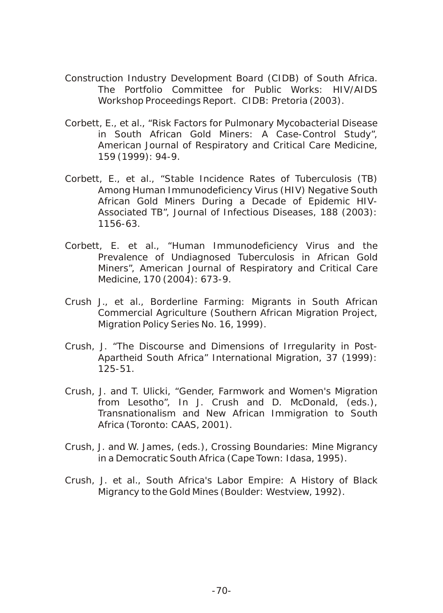- Construction Industry Development Board (CIDB) of South Africa. The Portfolio Committee for Public Works: HIV/AIDS Workshop Proceedings Report. CIDB: Pretoria (2003).
- Corbett, E., et al., "Risk Factors for Pulmonary Mycobacterial Disease in South African Gold Miners: A Case-Control Study", *American Journal of Respiratory and Critical Care Medicine*, 159 (1999): 94-9.
- Corbett, E., et al., "Stable Incidence Rates of Tuberculosis (TB) Among Human Immunodeficiency Virus (HIV) Negative South African Gold Miners During a Decade of Epidemic HIV-Associated TB", *Journal of Infectious Diseases*, 188 (2003): 1156-63.
- Corbett, E. et al., "Human Immunodeficiency Virus and the Prevalence of Undiagnosed Tuberculosis in African Gold Miners", *American Journal of Respiratory and Critical Care Medicine*, 170 (2004): 673-9.
- Crush J., et al., Borderline Farming: Migrants in South African Commercial Agriculture (Southern African Migration Project, Migration Policy Series No. 16, 1999).
- Crush, J. "The Discourse and Dimensions of Irregularity in Post-Apartheid South Africa" *International Migration*, 37 (1999): 125-51.
- Crush, J. and T. Ulicki, "Gender, Farmwork and Women's Migration from Lesotho", In J. Crush and D. McDonald, (eds.), Transnationalism and New African Immigration to South Africa (Toronto: CAAS, 2001).
- Crush, J. and W. James, (eds.), Crossing Boundaries: Mine Migrancy in a Democratic South Africa (Cape Town: Idasa, 1995).
- Crush, J. et al., South Africa's Labor Empire: A History of Black Migrancy to the Gold Mines (Boulder: Westview, 1992).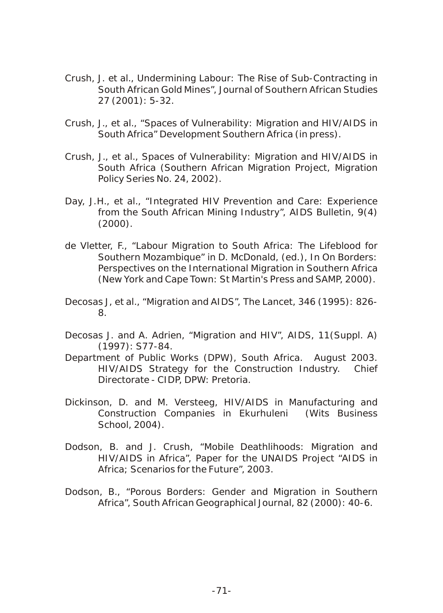- Crush, J. et al., Undermining Labour: The Rise of Sub-Contracting in South African Gold Mines", *Journal of Southern African Studies* 27 (2001): 5-32.
- Crush, J., et al., "Spaces of Vulnerability: Migration and HIV/AIDS in South Africa" Development Southern Africa (in press).
- Crush, J., et al., Spaces of Vulnerability: Migration and HIV/AIDS in South Africa (Southern African Migration Project, Migration Policy Series No. 24, 2002).
- Day, J.H., et al., "Integrated HIV Prevention and Care: Experience from the South African Mining Industry", *AIDS Bulletin*, 9(4) (2000).
- de Vletter, F., "Labour Migration to South Africa: The Lifeblood for Southern Mozambique" in D. McDonald, (ed.), In On Borders: Perspectives on the International Migration in Southern Africa (New York and Cape Town: St Martin's Press and SAMP, 2000).
- Decosas J, et al., "Migration and AIDS", The Lancet, 346 (1995): 826- 8.
- Decosas J. and A. Adrien, "Migration and HIV", *AIDS*, 11(Suppl. A) (1997): S77-84.
- Department of Public Works (DPW), South Africa. August 2003. HIV/AIDS Strategy for the Construction Industry. Chief Directorate - CIDP, DPW: Pretoria.
- Dickinson, D. and M. Versteeg, HIV/AIDS in Manufacturing and Construction Companies in Ekurhuleni (Wits Business School, 2004).
- Dodson, B. and J. Crush, "Mobile Deathlihoods: Migration and HIV/AIDS in Africa", Paper for the UNAIDS Project "AIDS in Africa; Scenarios for the Future", 2003.
- Dodson, B., "Porous Borders: Gender and Migration in Southern Africa", *South African Geographical Journal*, 82 (2000): 40-6.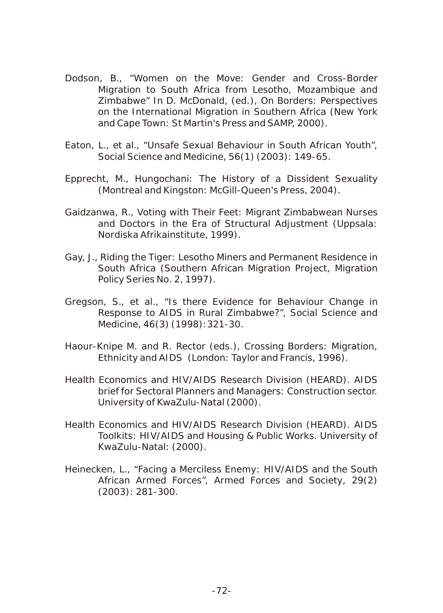- Dodson, B., "Women on the Move: Gender and Cross-Border Migration to South Africa from Lesotho, Mozambique and Zimbabwe" In D. McDonald, (ed.), On Borders: Perspectives on the International Migration in Southern Africa (New York and Cape Town: St Martin's Press and SAMP, 2000).
- Eaton, L., et al., "Unsafe Sexual Behaviour in South African Youth", *Social Science and Medicine*, 56(1) (2003): 149-65.
- Epprecht, M., Hungochani: The History of a Dissident Sexuality (Montreal and Kingston: McGill-Queen's Press, 2004).
- Gaidzanwa, R., Voting with Their Feet: Migrant Zimbabwean Nurses and Doctors in the Era of Structural Adjustment (Uppsala: Nordiska Afrikainstitute, 1999).
- Gay, J., Riding the Tiger: Lesotho Miners and Permanent Residence in South Africa (Southern African Migration Project, Migration Policy Series No. 2, 1997).
- Gregson, S., et al., "Is there Evidence for Behaviour Change in Response to AIDS in Rural Zimbabwe?", Social Science and Medicine, 46(3) (1998):321-30.
- Haour-Knipe M. and R. Rector (eds.), Crossing Borders: Migration, Ethnicity and AIDS (London: Taylor and Francis, 1996).
- Health Economics and HIV/AIDS Research Division (HEARD). AIDS brief for Sectoral Planners and Managers: Construction sector. University of KwaZulu-Natal (2000).
- Health Economics and HIV/AIDS Research Division (HEARD). AIDS Toolkits: HIV/AIDS and Housing & Public Works. University of KwaZulu-Natal: (2000).
- Heinecken, L., "Facing a Merciless Enemy: HIV/AIDS and the South African Armed Forces", *Armed Forces and Society*, 29(2) (2003): 281-300.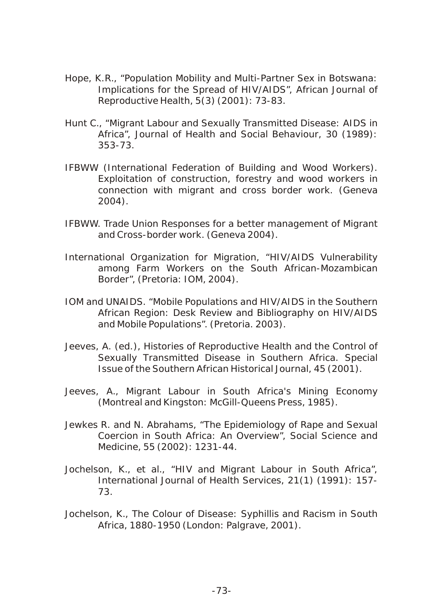- Hope, K.R., "Population Mobility and Multi-Partner Sex in Botswana: Implications for the Spread of HIV/AIDS", African Journal of Reproductive Health, 5(3) (2001): 73-83.
- Hunt C., "Migrant Labour and Sexually Transmitted Disease: AIDS in Africa", *Journal of Health and Social Behaviour*, 30 (1989): 353-73.
- IFBWW (International Federation of Building and Wood Workers). Exploitation of construction, forestry and wood workers in connection with migrant and cross border work. (Geneva 2004).
- IFBWW. Trade Union Responses for a better management of Migrant and Cross-border work. (Geneva 2004).
- International Organization for Migration, "HIV/AIDS Vulnerability among Farm Workers on the South African-Mozambican Border", (Pretoria: IOM, 2004).
- IOM and UNAIDS. "Mobile Populations and HIV/AIDS in the Southern African Region: Desk Review and Bibliography on HIV/AIDS and Mobile Populations". (Pretoria. 2003).
- Jeeves, A. (ed.), *Histories of Reproductive Health and the Control of Sexually Transmitted Disease in Southern Africa. Special Issue of the Southern African Historical Journal*, 45 (2001).
- Jeeves, A., Migrant Labour in South Africa's Mining Economy (Montreal and Kingston: McGill-Queens Press, 1985).
- Jewkes R. and N. Abrahams, "The Epidemiology of Rape and Sexual Coercion in South Africa: An Overview", Social Science and Medicine, 55 (2002): 1231-44.
- Jochelson, K., et al., "HIV and Migrant Labour in South Africa", International Journal of Health Services, 21(1) (1991): 157- 73.
- Jochelson, K., The Colour of Disease: Syphillis and Racism in South Africa, 1880-1950 (London: Palgrave, 2001).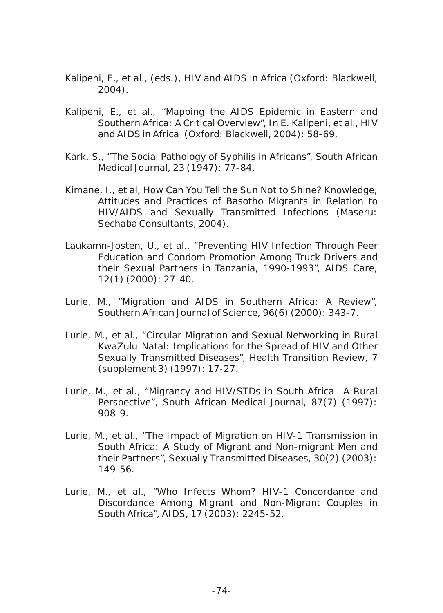Kalipeni, E., et al., (eds.), HIV and AIDS in Africa (Oxford: Blackwell, 2004).

- Kalipeni, E., et al., "Mapping the AIDS Epidemic in Eastern and Southern Africa: A Critical Overview", In E. Kalipeni, et al., HIV and AIDS in Africa (Oxford: Blackwell, 2004): 58-69.
- Kark, S., "The Social Pathology of Syphilis in Africans", *South African Medical Journal*, 23 (1947): 77-84.
- Kimane, I., et al, How Can You Tell the Sun Not to Shine? Knowledge, Attitudes and Practices of Basotho Migrants in Relation to HIV/AIDS and Sexually Transmitted Infections (Maseru: Sechaba Consultants, 2004).
- Laukamn-Josten, U., et al., "Preventing HIV Infection Through Peer Education and Condom Promotion Among Truck Drivers and their Sexual Partners in Tanzania, 1990-1993", *AIDS Care*, 12(1) (2000): 27-40.
- Lurie, M., "Migration and AIDS in Southern Africa: A Review", Southern African Journal of Science, 96(6) (2000): 343-7.
- Lurie, M., et al., "Circular Migration and Sexual Networking in Rural KwaZulu-Natal: Implications for the Spread of HIV and Other Sexually Transmitted Diseases", *Health Transition Review*, 7 (supplement 3) (1997): 17-27.
- Lurie, M., et *al., "Migrancy and HIV/STDs in South Africa A Rural Perspective", South African Medical Journal*, 87(7) (1997): 908-9.
- Lurie, M., et al., "The Impact of Migration on HIV-1 Transmission in South Africa: A Study of Migrant and Non-migrant Men and their Partners", *Sexually Transmitted Diseases*, 30(2) (2003): 149-56.
- Lurie, M., et al., "Who Infects Whom? HIV-1 Concordance and Discordance Among Migrant and Non-Migrant Couples in South Africa", *AIDS*, 17 (2003): 2245-52.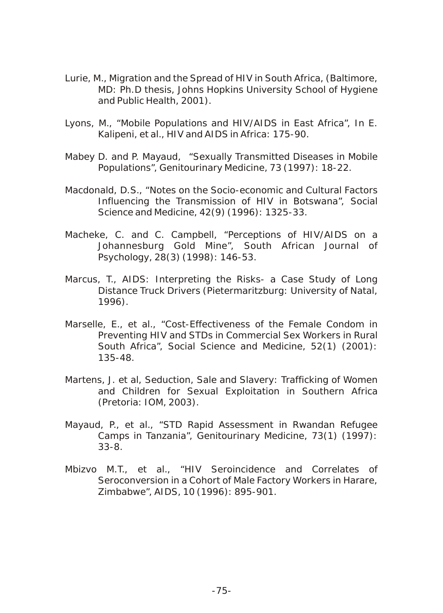- Lurie, M., Migration and the Spread of HIV in South Africa, (Baltimore, MD: Ph.D thesis, Johns Hopkins University School of Hygiene and Public Health, 2001).
- Lyons, M., "Mobile Populations and HIV/AIDS in East Africa", In E. Kalipeni, et al., HIV and AIDS in Africa: 175-90.
- Mabey D. and P. Mayaud, "Sexually Transmitted Diseases in Mobile Populations", Genitourinary Medicine, 73 (1997): 18-22.
- Macdonald, D.S., "Notes on the Socio-economic and Cultural Factors Influencing the Transmission of HIV in Botswana", *Social Science and Medicine*, 42(9) (1996): 1325-33.
- Macheke, C. and C. Campbell, "Perceptions of HIV/AIDS on a Johannesburg Gold Mine", *South African Journal of Psychology*, 28(3) (1998): 146-53.
- Marcus, T., AIDS: Interpreting the Risks- a Case Study of Long Distance Truck Drivers (Pietermaritzburg: University of Natal, 1996).
- Marselle, E., et al., "Cost-Effectiveness of the Female Condom in Preventing HIV and STDs in Commercial Sex Workers in Rural South Africa", *Social Science and Medicine*, 52(1) (2001): 135-48.
- Martens, J. et al, Seduction, Sale and Slavery: Trafficking of Women and Children for Sexual Exploitation in Southern Africa (Pretoria: IOM, 2003).
- Mayaud, P., et al., "STD Rapid Assessment in Rwandan Refugee Camps in Tanzania", *Genitourinary Medicine,* 73(1) (1997): 33-8.
- Mbizvo M.T., et al., "HIV Seroincidence and Correlates of Seroconversion in a Cohort of Male Factory Workers in Harare, Zimbabwe", *AIDS*, 10 (1996): 895-901.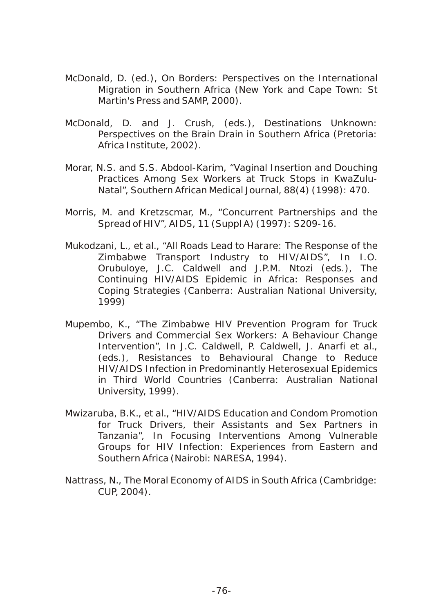- McDonald, D. (ed.), On Borders: Perspectives on the International Migration in Southern Africa (New York and Cape Town: St Martin's Press and SAMP, 2000).
- McDonald, D. and J. Crush, (eds.), Destinations Unknown: Perspectives on the Brain Drain in Southern Africa (Pretoria: Africa Institute, 2002).
- Morar, N.S. and S.S. Abdool-Karim, "Vaginal Insertion and Douching Practices Among Sex Workers at Truck Stops in KwaZulu-Natal", *Southern African Medical Journal*, 88(4) (1998): 470.
- Morris, M. and Kretzscmar, M., "Concurrent Partnerships and the Spread of HIV", *AIDS*, 11 (Suppl A) (1997): S209-16.
- Mukodzani, L., et al., "All Roads Lead to Harare: The Response of the Zimbabwe Transport Industry to HIV/AIDS", In I.O. Orubuloye, J.C. Caldwell and J.P.M. Ntozi (eds.), The Continuing HIV/AIDS Epidemic in Africa: Responses and Coping Strategies (Canberra: Australian National University, 1999)
- Mupembo, K., "The Zimbabwe HIV Prevention Program for Truck Drivers and Commercial Sex Workers: A Behaviour Change Intervention", In J.C. Caldwell, P. Caldwell, J. Anarfi et al., (eds.), Resistances to Behavioural Change to Reduce HIV/AIDS Infection in Predominantly Heterosexual Epidemics in Third World Countries (Canberra: Australian National University, 1999).
- Mwizaruba, B.K., et al., "HIV/AIDS Education and Condom Promotion for Truck Drivers, their Assistants and Sex Partners in Tanzania", In Focusing Interventions Among Vulnerable Groups for HIV Infection: Experiences from Eastern and Southern Africa (Nairobi: NARESA, 1994).
- Nattrass, N., The Moral Economy of AIDS in South Africa (Cambridge: CUP, 2004).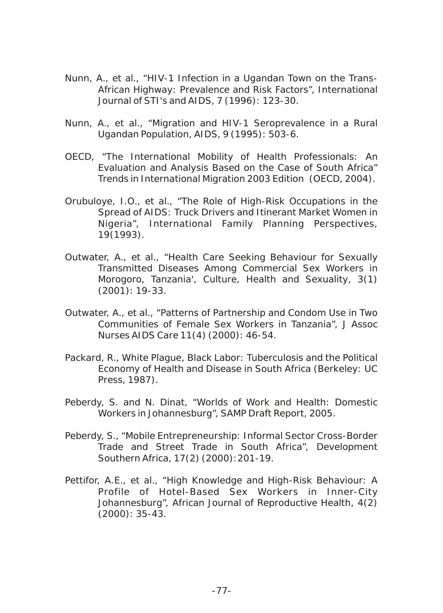- Nunn, A., et al., "HIV-1 Infection in a Ugandan Town on the Trans-African Highway: Prevalence and Risk Factors", *International Journal of STI's and AIDS*, 7 (1996): 123-30.
- Nunn, A., et al., "Migration and HIV-1 Seroprevalence in a Rural Ugandan Population, *AIDS*, 9 (1995): 503-6.
- OECD, "The International Mobility of Health Professionals: An Evaluation and Analysis Based on the Case of South Africa" Trends in International Migration 2003 Edition (OECD, 2004).
- Orubuloye, I.O., et al., "The Role of High-Risk Occupations in the Spread of AIDS: Truck Drivers and Itinerant Market Women in Nigeria", International Family Planning Perspectives, 19(1993).
- Outwater, A., et al., "Health Care Seeking Behaviour for Sexually Transmitted Diseases Among Commercial Sex Workers in Morogoro, Tanzania', *Culture, Health and Sexuality*, 3(1) (2001): 19-33.
- Outwater, A., et al., "Patterns of Partnership and Condom Use in Two Communities of Female Sex Workers in Tanzania", *J Assoc Nurses AIDS Care* 11(4) (2000): 46-54.
- Packard, R., White Plague, Black Labor: Tuberculosis and the Political Economy of Health and Disease in South Africa (Berkeley: UC Press, 1987).
- Peberdy, S. and N. Dinat, "Worlds of Work and Health: Domestic Workers in Johannesburg", SAMP Draft Report, 2005.
- Peberdy, S., "Mobile Entrepreneurship: Informal Sector Cross-Border Trade and Street Trade in South Africa", *Development Southern Africa*, 17(2) (2000):201-19.
- Pettifor, A.E., et al., "High Knowledge and High-Risk Behaviour: A Profile of Hotel-Based Sex Workers in Inner-City Johannesburg", African Journal of Reproductive Health, 4(2) (2000): 35-43.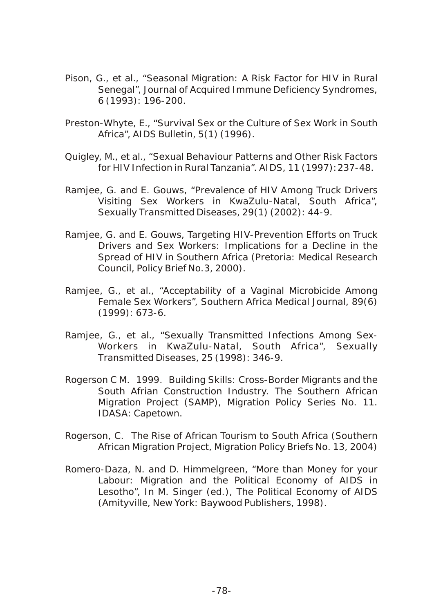- Pison, G., et al., "Seasonal Migration: A Risk Factor for HIV in Rural Senegal", *Journal of Acquired Immune Deficiency Syndromes*, 6 (1993): 196-200.
- Preston-Whyte, E., "Survival Sex or the Culture of Sex Work in South Africa", *AIDS Bulletin*, 5(1) (1996).
- Quigley, M., et al., "Sexual Behaviour Patterns and Other Risk Factors for HIV Infection in Rural Tanzania". *AIDS*, 11 (1997):237-48.
- Ramjee, G. and E. Gouws, "Prevalence of HIV Among Truck Drivers Visiting Sex Workers in KwaZulu-Natal, South Africa", *Sexually Transmitted Diseases*, 29(1) (2002): 44-9.
- Ramjee, G. and E. Gouws, Targeting HIV-Prevention Efforts on Truck Drivers and Sex Workers: Implications for a Decline in the Spread of HIV in Southern Africa (Pretoria: Medical Research Council, Policy Brief No.3, 2000).
- Ramjee, G., et al., "Acceptability of a Vaginal Microbicide Among Female Sex Workers", *Southern Africa Medical Journal,* 89(6) (1999): 673-6.
- Ramjee, G., et al., "Sexually Transmitted Infections Among Sex-Workers in KwaZulu-Natal, South Africa", *Sexually Transmitted Diseases*, 25 (1998): 346-9.
- Rogerson C M. 1999. Building Skills: Cross-Border Migrants and the South Afrian Construction Industry. The Southern African Migration Project (SAMP), Migration Policy Series No. 11. IDASA: Capetown.
- Rogerson, C. The Rise of African Tourism to South Africa (Southern African Migration Project, Migration Policy Briefs No. 13, 2004)
- Romero-Daza, N. and D. Himmelgreen, "More than Money for your Labour: Migration and the Political Economy of AIDS in Lesotho", In M. Singer (ed.), The Political Economy of AIDS (Amityville, New York: Baywood Publishers, 1998).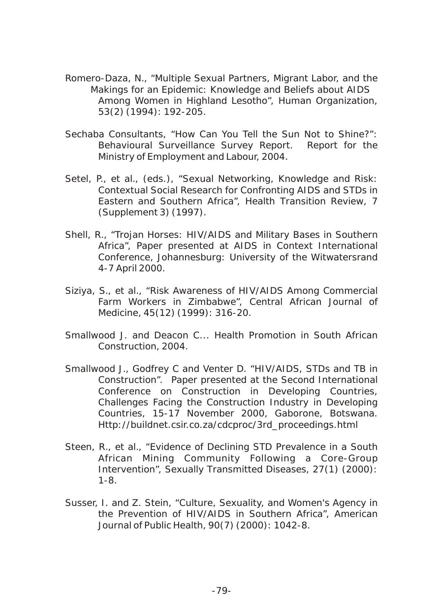- Romero-Daza, N., "Multiple Sexual Partners, Migrant Labor, and the Makings for an Epidemic: Knowledge and Beliefs about AIDS Among Women in Highland Lesotho", *Human Organization*, 53(2) (1994): 192-205.
- Sechaba Consultants, "How Can You Tell the Sun Not to Shine?": Behavioural Surveillance Survey Report. Report for the Ministry of Employment and Labour, 2004.
- Setel, P., et al., (eds.), "Sexual Networking, Knowledge and Risk: Contextual Social Research for Confronting AIDS and STDs in Eastern and Southern Africa", *Health Transition Review*, 7 (Supplement 3) (1997).
- Shell, R., "Trojan Horses: HIV/AIDS and Military Bases in Southern Africa", Paper presented at AIDS in Context International Conference, Johannesburg: University of the Witwatersrand 4-7 April 2000.
- Siziya, S., et al., "Risk Awareness of HIV/AIDS Among Commercial Farm Workers in Zimbabwe", Central African Journal of Medicine, 45(12) (1999): 316-20.
- Smallwood J. and Deacon C... Health Promotion in South African Construction, 2004.
- Smallwood J., Godfrey C and Venter D. "HIV/AIDS, STDs and TB in Construction". Paper presented at the Second International Conference on Construction in Developing Countries, Challenges Facing the Construction Industry in Developing Countries, 15-17 November 2000, Gaborone, Botswana. Http://buildnet.csir.co.za/cdcproc/3rd\_proceedings.html
- Steen, R., et al., "Evidence of Declining STD Prevalence in a South African Mining Community Following a Core-Group Intervention", *Sexually Transmitted Diseases*, 27(1) (2000): 1-8.
- Susser, I. and Z. Stein, "Culture, Sexuality, and Women's Agency in the Prevention of HIV/AIDS in Southern Africa", American Journal of Public Health, 90(7) (2000): 1042-8.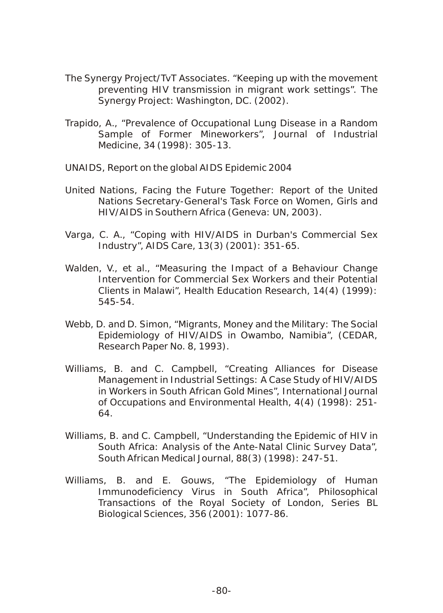- The Synergy Project/TvT Associates. "Keeping up with the movement preventing HIV transmission in migrant work settings". The Synergy Project: Washington, DC. (2002).
- Trapido, A., "Prevalence of Occupational Lung Disease in a Random Sample of Former Mineworkers", Journal of Industrial Medicine, 34 (1998): 305-13.
- UNAIDS, Report on the global AIDS Epidemic 2004
- United Nations, Facing the Future Together: Report of the United Nations Secretary-General's Task Force on Women, Girls and HIV/AIDS in Southern Africa (Geneva: UN, 2003).
- Varga, C. A., "Coping with HIV/AIDS in Durban's Commercial Sex Industry", *AIDS Care*, 13(3) (2001): 351-65.
- Walden, V., et al., "Measuring the Impact of a Behaviour Change Intervention for Commercial Sex Workers and their Potential Clients in Malawi", Health Education Research, 14(4) (1999): 545-54.
- Webb, D. and D. Simon, "Migrants, Money and the Military: The Social Epidemiology of HIV/AIDS in Owambo, Namibia", (CEDAR, Research Paper No. 8, 1993).
- Williams, B. and C. Campbell, "Creating Alliances for Disease Management in Industrial Settings: A Case Study of HIV/AIDS in Workers in South African Gold Mines", International Journal of Occupations and Environmental Health, 4(4) (1998): 251- 64.
- Williams, B. and C. Campbell, "Understanding the Epidemic of HIV in South Africa: Analysis of the Ante-Natal Clinic Survey Data", *South African Medical Journal*, 88(3) (1998): 247-51.
- Williams, B. and E. Gouws, "The Epidemiology of Human Immunodeficiency Virus in South Africa", Philosophical Transactions of the Royal Society of London, Series BL Biological Sciences, 356 (2001): 1077-86.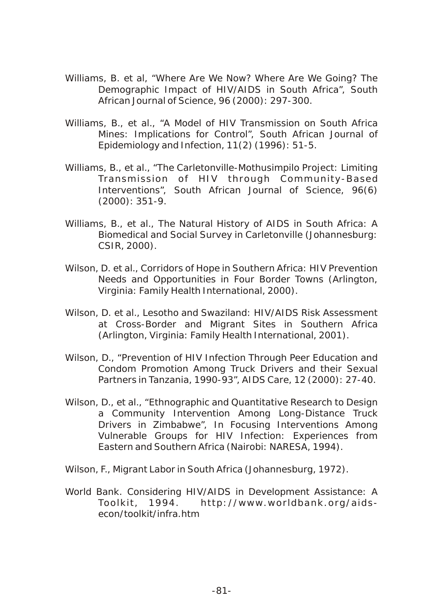- Williams, B. et al, "Where Are We Now? Where Are We Going? The Demographic Impact of HIV/AIDS in South Africa", South African Journal of Science, 96 (2000): 297-300.
- Williams, B., et al., "A Model of HIV Transmission on South Africa Mines: Implications for Control", *South African Journal of Epidemiology and Infection*, 11(2) (1996): 51-5.
- Williams, B., et al., "The Carletonville-Mothusimpilo Project: Limiting Transmission of HIV through Community-Based Interventions", *South African Journal of Science*, 96(6) (2000): 351-9.
- Williams, B., et al., The Natural History of AIDS in South Africa: A Biomedical and Social Survey in Carletonville (Johannesburg: CSIR, 2000).
- Wilson, D. et al., Corridors of Hope in Southern Africa: HIV Prevention Needs and Opportunities in Four Border Towns (Arlington, Virginia: Family Health International, 2000).
- Wilson, D. et al., Lesotho and Swaziland: HIV/AIDS Risk Assessment at Cross-Border and Migrant Sites in Southern Africa (Arlington, Virginia: Family Health International, 2001).
- Wilson, D., "Prevention of HIV Infection Through Peer Education and Condom Promotion Among Truck Drivers and their Sexual Partners in Tanzania, 1990-93", AIDS Care, 12 (2000): 27-40.
- Wilson, D., et al., "Ethnographic and Quantitative Research to Design a Community Intervention Among Long-Distance Truck Drivers in Zimbabwe", In Focusing Interventions Among Vulnerable Groups for HIV Infection: Experiences from Eastern and Southern Africa (Nairobi: NARESA, 1994).
- Wilson, F., Migrant Labor in South Africa (Johannesburg, 1972).
- World Bank. Considering HIV/AIDS in Development Assistance: A Toolkit, 1994. http://www.worldbank.org/aidsecon/toolkit/infra.htm